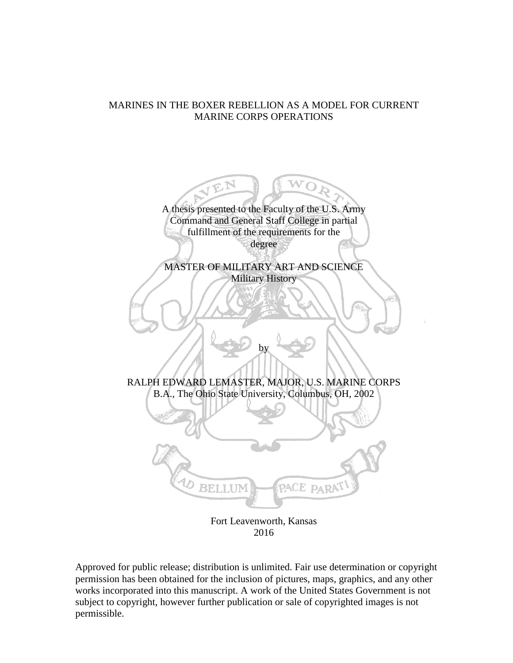# MARINES IN THE BOXER REBELLION AS A MODEL FOR CURRENT MARINE CORPS OPERATIONS



2016

Approved for public release; distribution is unlimited. Fair use determination or copyright permission has been obtained for the inclusion of pictures, maps, graphics, and any other works incorporated into this manuscript. A work of the United States Government is not subject to copyright, however further publication or sale of copyrighted images is not permissible.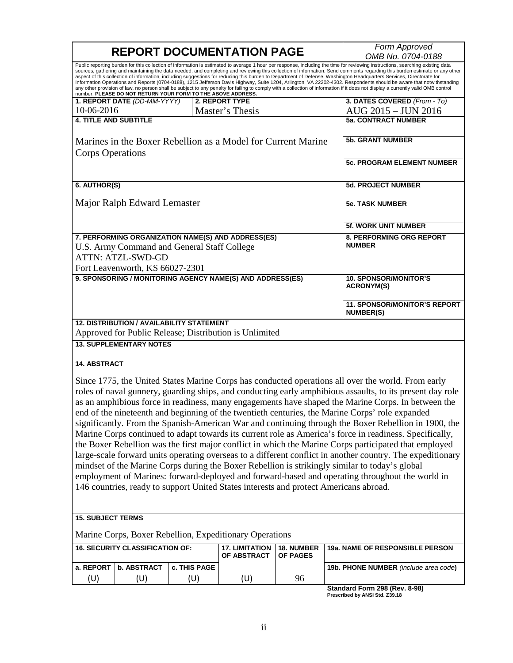|                                                                                                                                                                                                                                                                                                                                                                                                                           | <b>REPORT DOCUMENTATION PAGE</b>                                                                                                                                 | Form Approved                                    |                                                           |                               |                                                                                                                                                                                                                                                                                                                                                                                                                                                                                                                                                           |  |  |  |
|---------------------------------------------------------------------------------------------------------------------------------------------------------------------------------------------------------------------------------------------------------------------------------------------------------------------------------------------------------------------------------------------------------------------------|------------------------------------------------------------------------------------------------------------------------------------------------------------------|--------------------------------------------------|-----------------------------------------------------------|-------------------------------|-----------------------------------------------------------------------------------------------------------------------------------------------------------------------------------------------------------------------------------------------------------------------------------------------------------------------------------------------------------------------------------------------------------------------------------------------------------------------------------------------------------------------------------------------------------|--|--|--|
|                                                                                                                                                                                                                                                                                                                                                                                                                           |                                                                                                                                                                  |                                                  |                                                           |                               | OMB No. 0704-0188<br>Public reporting burden for this collection of information is estimated to average 1 hour per response, including the time for reviewing instructions, searching existing data<br>sources, gathering and maintaining the data needed, and completing and reviewing this collection of information. Send comments regarding this burden estimate or any other<br>aspect of this collection of information, including suggestions for reducing this burden to Department of Defense, Washington Headquarters Services, Directorate for |  |  |  |
| Information Operations and Reports (0704-0188), 1215 Jefferson Davis Highway, Suite 1204, Arlington, VA 22202-4302. Respondents should be aware that notwithstanding<br>any other provision of law, no person shall be subject to any penalty for failing to comply with a collection of information if it does not display a currently valid OMB control<br>number. PLEASE DO NOT RETURN YOUR FORM TO THE ABOVE ADDRESS. |                                                                                                                                                                  |                                                  |                                                           |                               |                                                                                                                                                                                                                                                                                                                                                                                                                                                                                                                                                           |  |  |  |
|                                                                                                                                                                                                                                                                                                                                                                                                                           | 1. REPORT DATE (DD-MM-YYYY)                                                                                                                                      |                                                  | 2. REPORT TYPE                                            |                               | 3. DATES COVERED (From - To)                                                                                                                                                                                                                                                                                                                                                                                                                                                                                                                              |  |  |  |
| 10-06-2016                                                                                                                                                                                                                                                                                                                                                                                                                |                                                                                                                                                                  |                                                  | Master's Thesis                                           |                               | AUG 2015 - JUN 2016                                                                                                                                                                                                                                                                                                                                                                                                                                                                                                                                       |  |  |  |
| <b>4. TITLE AND SUBTITLE</b>                                                                                                                                                                                                                                                                                                                                                                                              |                                                                                                                                                                  |                                                  |                                                           |                               | <b>5a. CONTRACT NUMBER</b>                                                                                                                                                                                                                                                                                                                                                                                                                                                                                                                                |  |  |  |
|                                                                                                                                                                                                                                                                                                                                                                                                                           | Marines in the Boxer Rebellion as a Model for Current Marine                                                                                                     | <b>5b. GRANT NUMBER</b>                          |                                                           |                               |                                                                                                                                                                                                                                                                                                                                                                                                                                                                                                                                                           |  |  |  |
| <b>Corps Operations</b>                                                                                                                                                                                                                                                                                                                                                                                                   |                                                                                                                                                                  | <b>5c. PROGRAM ELEMENT NUMBER</b>                |                                                           |                               |                                                                                                                                                                                                                                                                                                                                                                                                                                                                                                                                                           |  |  |  |
| 6. AUTHOR(S)                                                                                                                                                                                                                                                                                                                                                                                                              |                                                                                                                                                                  | <b>5d. PROJECT NUMBER</b>                        |                                                           |                               |                                                                                                                                                                                                                                                                                                                                                                                                                                                                                                                                                           |  |  |  |
|                                                                                                                                                                                                                                                                                                                                                                                                                           | Major Ralph Edward Lemaster                                                                                                                                      | <b>5e. TASK NUMBER</b>                           |                                                           |                               |                                                                                                                                                                                                                                                                                                                                                                                                                                                                                                                                                           |  |  |  |
|                                                                                                                                                                                                                                                                                                                                                                                                                           |                                                                                                                                                                  | 5f. WORK UNIT NUMBER                             |                                                           |                               |                                                                                                                                                                                                                                                                                                                                                                                                                                                                                                                                                           |  |  |  |
|                                                                                                                                                                                                                                                                                                                                                                                                                           | 7. PERFORMING ORGANIZATION NAME(S) AND ADDRESS(ES)<br>U.S. Army Command and General Staff College<br><b>ATTN: ATZL-SWD-GD</b><br>Fort Leavenworth, KS 66027-2301 | 8. PERFORMING ORG REPORT<br><b>NUMBER</b>        |                                                           |                               |                                                                                                                                                                                                                                                                                                                                                                                                                                                                                                                                                           |  |  |  |
|                                                                                                                                                                                                                                                                                                                                                                                                                           |                                                                                                                                                                  |                                                  | 9. SPONSORING / MONITORING AGENCY NAME(S) AND ADDRESS(ES) |                               | <b>10. SPONSOR/MONITOR'S</b>                                                                                                                                                                                                                                                                                                                                                                                                                                                                                                                              |  |  |  |
|                                                                                                                                                                                                                                                                                                                                                                                                                           |                                                                                                                                                                  | <b>ACRONYM(S)</b>                                |                                                           |                               |                                                                                                                                                                                                                                                                                                                                                                                                                                                                                                                                                           |  |  |  |
|                                                                                                                                                                                                                                                                                                                                                                                                                           |                                                                                                                                                                  | 11. SPONSOR/MONITOR'S REPORT<br><b>NUMBER(S)</b> |                                                           |                               |                                                                                                                                                                                                                                                                                                                                                                                                                                                                                                                                                           |  |  |  |
|                                                                                                                                                                                                                                                                                                                                                                                                                           | <b>12. DISTRIBUTION / AVAILABILITY STATEMENT</b>                                                                                                                 |                                                  |                                                           |                               |                                                                                                                                                                                                                                                                                                                                                                                                                                                                                                                                                           |  |  |  |
| Approved for Public Release; Distribution is Unlimited<br><b>13. SUPPLEMENTARY NOTES</b>                                                                                                                                                                                                                                                                                                                                  |                                                                                                                                                                  |                                                  |                                                           |                               |                                                                                                                                                                                                                                                                                                                                                                                                                                                                                                                                                           |  |  |  |
| <b>14. ABSTRACT</b>                                                                                                                                                                                                                                                                                                                                                                                                       |                                                                                                                                                                  |                                                  |                                                           |                               |                                                                                                                                                                                                                                                                                                                                                                                                                                                                                                                                                           |  |  |  |
|                                                                                                                                                                                                                                                                                                                                                                                                                           |                                                                                                                                                                  |                                                  |                                                           |                               |                                                                                                                                                                                                                                                                                                                                                                                                                                                                                                                                                           |  |  |  |
|                                                                                                                                                                                                                                                                                                                                                                                                                           |                                                                                                                                                                  |                                                  |                                                           |                               | Since 1775, the United States Marine Corps has conducted operations all over the world. From early                                                                                                                                                                                                                                                                                                                                                                                                                                                        |  |  |  |
| roles of naval gunnery, guarding ships, and conducting early amphibious assaults, to its present day role                                                                                                                                                                                                                                                                                                                 |                                                                                                                                                                  |                                                  |                                                           |                               |                                                                                                                                                                                                                                                                                                                                                                                                                                                                                                                                                           |  |  |  |
| as an amphibious force in readiness, many engagements have shaped the Marine Corps. In between the<br>end of the nineteenth and beginning of the twentieth centuries, the Marine Corps' role expanded                                                                                                                                                                                                                     |                                                                                                                                                                  |                                                  |                                                           |                               |                                                                                                                                                                                                                                                                                                                                                                                                                                                                                                                                                           |  |  |  |
|                                                                                                                                                                                                                                                                                                                                                                                                                           |                                                                                                                                                                  |                                                  |                                                           |                               |                                                                                                                                                                                                                                                                                                                                                                                                                                                                                                                                                           |  |  |  |
|                                                                                                                                                                                                                                                                                                                                                                                                                           |                                                                                                                                                                  |                                                  |                                                           |                               | significantly. From the Spanish-American War and continuing through the Boxer Rebellion in 1900, the                                                                                                                                                                                                                                                                                                                                                                                                                                                      |  |  |  |
|                                                                                                                                                                                                                                                                                                                                                                                                                           |                                                                                                                                                                  |                                                  |                                                           |                               | Marine Corps continued to adapt towards its current role as America's force in readiness. Specifically,                                                                                                                                                                                                                                                                                                                                                                                                                                                   |  |  |  |
|                                                                                                                                                                                                                                                                                                                                                                                                                           |                                                                                                                                                                  |                                                  |                                                           |                               | the Boxer Rebellion was the first major conflict in which the Marine Corps participated that employed                                                                                                                                                                                                                                                                                                                                                                                                                                                     |  |  |  |
|                                                                                                                                                                                                                                                                                                                                                                                                                           |                                                                                                                                                                  |                                                  |                                                           |                               | large-scale forward units operating overseas to a different conflict in another country. The expeditionary                                                                                                                                                                                                                                                                                                                                                                                                                                                |  |  |  |
|                                                                                                                                                                                                                                                                                                                                                                                                                           |                                                                                                                                                                  |                                                  |                                                           |                               | mindset of the Marine Corps during the Boxer Rebellion is strikingly similar to today's global                                                                                                                                                                                                                                                                                                                                                                                                                                                            |  |  |  |
|                                                                                                                                                                                                                                                                                                                                                                                                                           |                                                                                                                                                                  |                                                  |                                                           |                               | employment of Marines: forward-deployed and forward-based and operating throughout the world in                                                                                                                                                                                                                                                                                                                                                                                                                                                           |  |  |  |
|                                                                                                                                                                                                                                                                                                                                                                                                                           |                                                                                                                                                                  |                                                  |                                                           |                               | 146 countries, ready to support United States interests and protect Americans abroad.                                                                                                                                                                                                                                                                                                                                                                                                                                                                     |  |  |  |
|                                                                                                                                                                                                                                                                                                                                                                                                                           |                                                                                                                                                                  |                                                  |                                                           |                               |                                                                                                                                                                                                                                                                                                                                                                                                                                                                                                                                                           |  |  |  |
| <b>15. SUBJECT TERMS</b>                                                                                                                                                                                                                                                                                                                                                                                                  |                                                                                                                                                                  |                                                  |                                                           |                               |                                                                                                                                                                                                                                                                                                                                                                                                                                                                                                                                                           |  |  |  |
|                                                                                                                                                                                                                                                                                                                                                                                                                           |                                                                                                                                                                  |                                                  | Marine Corps, Boxer Rebellion, Expeditionary Operations   |                               |                                                                                                                                                                                                                                                                                                                                                                                                                                                                                                                                                           |  |  |  |
|                                                                                                                                                                                                                                                                                                                                                                                                                           | <b>16. SECURITY CLASSIFICATION OF:</b>                                                                                                                           |                                                  | <b>17. LIMITATION</b><br>OF ABSTRACT                      | 18. NUMBER<br><b>OF PAGES</b> | 19a. NAME OF RESPONSIBLE PERSON                                                                                                                                                                                                                                                                                                                                                                                                                                                                                                                           |  |  |  |
| a. REPORT                                                                                                                                                                                                                                                                                                                                                                                                                 | <b>b. ABSTRACT</b>                                                                                                                                               | c. THIS PAGE                                     |                                                           |                               | 19b. PHONE NUMBER (include area code)                                                                                                                                                                                                                                                                                                                                                                                                                                                                                                                     |  |  |  |
| (U)                                                                                                                                                                                                                                                                                                                                                                                                                       | (U)                                                                                                                                                              | (U)                                              | (U)                                                       | 96                            |                                                                                                                                                                                                                                                                                                                                                                                                                                                                                                                                                           |  |  |  |
|                                                                                                                                                                                                                                                                                                                                                                                                                           |                                                                                                                                                                  |                                                  |                                                           |                               | Standard Form 298 (Rev. 8-98)<br>Prescribed by ANSI Std. Z39.18                                                                                                                                                                                                                                                                                                                                                                                                                                                                                           |  |  |  |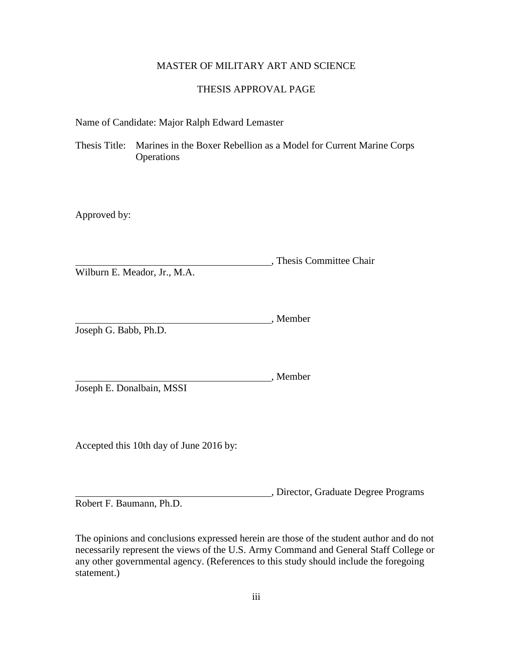# MASTER OF MILITARY ART AND SCIENCE

# THESIS APPROVAL PAGE

Name of Candidate: Major Ralph Edward Lemaster

Thesis Title: Marines in the Boxer Rebellion as a Model for Current Marine Corps **Operations** 

Approved by:

, Thesis Committee Chair Wilburn E. Meador, Jr., M.A.

, Member Joseph G. Babb, Ph.D.

Joseph E. Donalbain, MSSI

Accepted this 10th day of June 2016 by:

, Director, Graduate Degree Programs Robert F. Baumann, Ph.D.

, Member

The opinions and conclusions expressed herein are those of the student author and do not necessarily represent the views of the U.S. Army Command and General Staff College or any other governmental agency. (References to this study should include the foregoing statement.)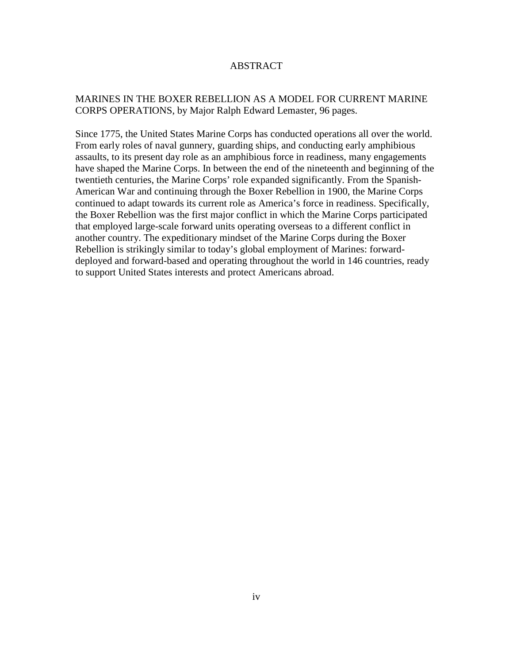# ABSTRACT

# MARINES IN THE BOXER REBELLION AS A MODEL FOR CURRENT MARINE CORPS OPERATIONS, by Major Ralph Edward Lemaster, 96 pages.

Since 1775, the United States Marine Corps has conducted operations all over the world. From early roles of naval gunnery, guarding ships, and conducting early amphibious assaults, to its present day role as an amphibious force in readiness, many engagements have shaped the Marine Corps. In between the end of the nineteenth and beginning of the twentieth centuries, the Marine Corps' role expanded significantly. From the Spanish-American War and continuing through the Boxer Rebellion in 1900, the Marine Corps continued to adapt towards its current role as America's force in readiness. Specifically, the Boxer Rebellion was the first major conflict in which the Marine Corps participated that employed large-scale forward units operating overseas to a different conflict in another country. The expeditionary mindset of the Marine Corps during the Boxer Rebellion is strikingly similar to today's global employment of Marines: forwarddeployed and forward-based and operating throughout the world in 146 countries, ready to support United States interests and protect Americans abroad.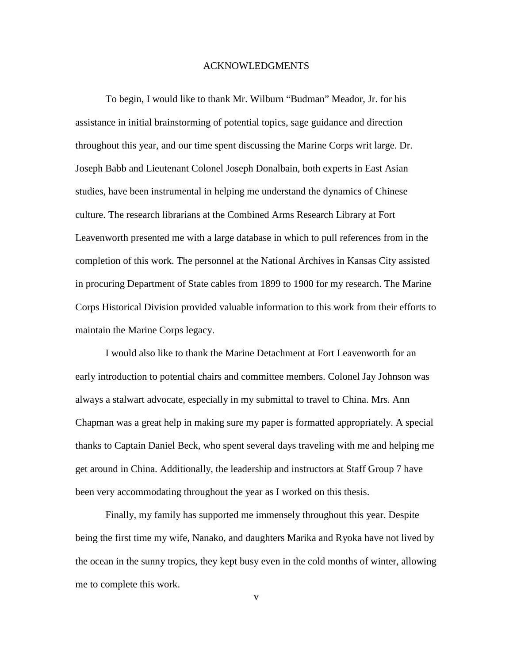### ACKNOWLEDGMENTS

To begin, I would like to thank Mr. Wilburn "Budman" Meador, Jr. for his assistance in initial brainstorming of potential topics, sage guidance and direction throughout this year, and our time spent discussing the Marine Corps writ large. Dr. Joseph Babb and Lieutenant Colonel Joseph Donalbain, both experts in East Asian studies, have been instrumental in helping me understand the dynamics of Chinese culture. The research librarians at the Combined Arms Research Library at Fort Leavenworth presented me with a large database in which to pull references from in the completion of this work. The personnel at the National Archives in Kansas City assisted in procuring Department of State cables from 1899 to 1900 for my research. The Marine Corps Historical Division provided valuable information to this work from their efforts to maintain the Marine Corps legacy.

I would also like to thank the Marine Detachment at Fort Leavenworth for an early introduction to potential chairs and committee members. Colonel Jay Johnson was always a stalwart advocate, especially in my submittal to travel to China. Mrs. Ann Chapman was a great help in making sure my paper is formatted appropriately. A special thanks to Captain Daniel Beck, who spent several days traveling with me and helping me get around in China. Additionally, the leadership and instructors at Staff Group 7 have been very accommodating throughout the year as I worked on this thesis.

Finally, my family has supported me immensely throughout this year. Despite being the first time my wife, Nanako, and daughters Marika and Ryoka have not lived by the ocean in the sunny tropics, they kept busy even in the cold months of winter, allowing me to complete this work.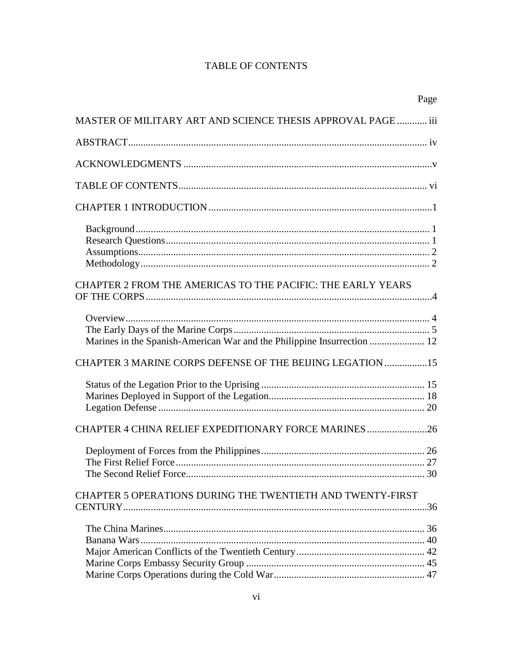# **TABLE OF CONTENTS**

|                                                                         | Page |
|-------------------------------------------------------------------------|------|
| MASTER OF MILITARY ART AND SCIENCE THESIS APPROVAL PAGE  iii            |      |
|                                                                         |      |
|                                                                         |      |
|                                                                         |      |
|                                                                         |      |
| CHAPTER 2 FROM THE AMERICAS TO THE PACIFIC: THE EARLY YEARS             |      |
|                                                                         |      |
| Marines in the Spanish-American War and the Philippine Insurrection  12 |      |
| CHAPTER 3 MARINE CORPS DEFENSE OF THE BEIJING LEGATION  15              |      |
|                                                                         |      |
|                                                                         |      |
|                                                                         |      |
| CHAPTER 5 OPERATIONS DURING THE TWENTIETH AND TWENTY-FIRST              |      |
|                                                                         |      |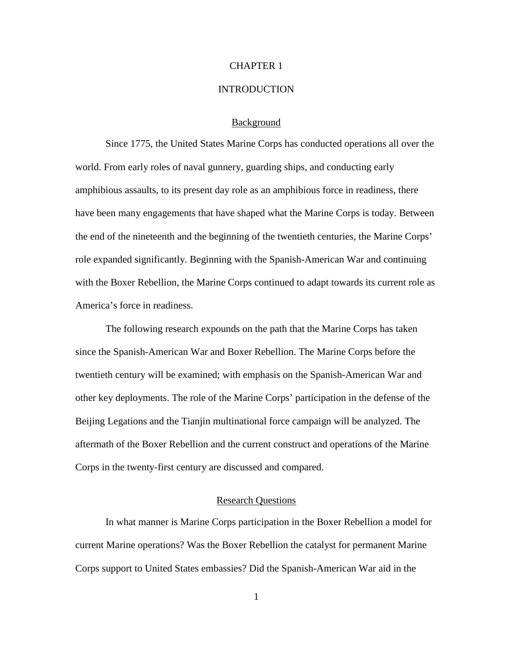### CHAPTER 1

### **INTRODUCTION**

### Background

Since 1775, the United States Marine Corps has conducted operations all over the world. From early roles of naval gunnery, guarding ships, and conducting early amphibious assaults, to its present day role as an amphibious force in readiness, there have been many engagements that have shaped what the Marine Corps is today. Between the end of the nineteenth and the beginning of the twentieth centuries, the Marine Corps' role expanded significantly. Beginning with the Spanish-American War and continuing with the Boxer Rebellion, the Marine Corps continued to adapt towards its current role as America's force in readiness.

The following research expounds on the path that the Marine Corps has taken since the Spanish-American War and Boxer Rebellion. The Marine Corps before the twentieth century will be examined; with emphasis on the Spanish-American War and other key deployments. The role of the Marine Corps' participation in the defense of the Beijing Legations and the Tianjin multinational force campaign will be analyzed. The aftermath of the Boxer Rebellion and the current construct and operations of the Marine Corps in the twenty-first century are discussed and compared.

### Research Questions

In what manner is Marine Corps participation in the Boxer Rebellion a model for current Marine operations? Was the Boxer Rebellion the catalyst for permanent Marine Corps support to United States embassies? Did the Spanish-American War aid in the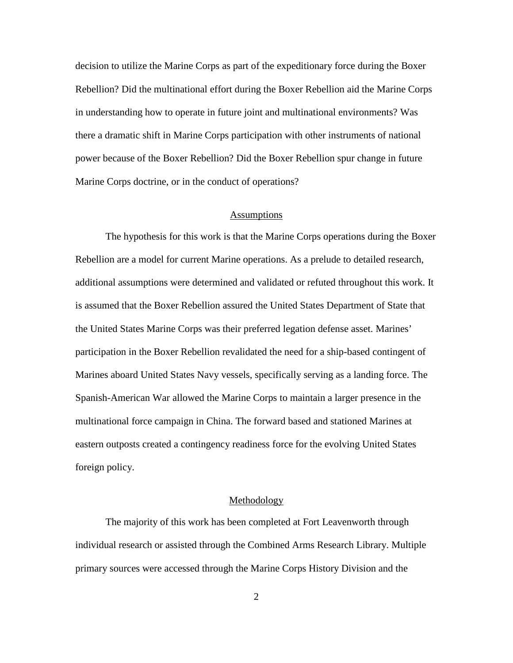decision to utilize the Marine Corps as part of the expeditionary force during the Boxer Rebellion? Did the multinational effort during the Boxer Rebellion aid the Marine Corps in understanding how to operate in future joint and multinational environments? Was there a dramatic shift in Marine Corps participation with other instruments of national power because of the Boxer Rebellion? Did the Boxer Rebellion spur change in future Marine Corps doctrine, or in the conduct of operations?

#### Assumptions

The hypothesis for this work is that the Marine Corps operations during the Boxer Rebellion are a model for current Marine operations. As a prelude to detailed research, additional assumptions were determined and validated or refuted throughout this work. It is assumed that the Boxer Rebellion assured the United States Department of State that the United States Marine Corps was their preferred legation defense asset. Marines' participation in the Boxer Rebellion revalidated the need for a ship-based contingent of Marines aboard United States Navy vessels, specifically serving as a landing force. The Spanish-American War allowed the Marine Corps to maintain a larger presence in the multinational force campaign in China. The forward based and stationed Marines at eastern outposts created a contingency readiness force for the evolving United States foreign policy.

### Methodology

The majority of this work has been completed at Fort Leavenworth through individual research or assisted through the Combined Arms Research Library. Multiple primary sources were accessed through the Marine Corps History Division and the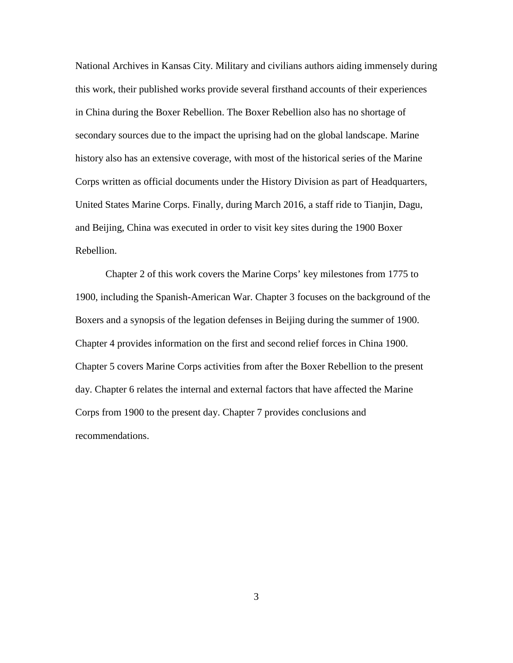National Archives in Kansas City. Military and civilians authors aiding immensely during this work, their published works provide several firsthand accounts of their experiences in China during the Boxer Rebellion. The Boxer Rebellion also has no shortage of secondary sources due to the impact the uprising had on the global landscape. Marine history also has an extensive coverage, with most of the historical series of the Marine Corps written as official documents under the History Division as part of Headquarters, United States Marine Corps. Finally, during March 2016, a staff ride to Tianjin, Dagu, and Beijing, China was executed in order to visit key sites during the 1900 Boxer Rebellion.

Chapter 2 of this work covers the Marine Corps' key milestones from 1775 to 1900, including the Spanish-American War. Chapter 3 focuses on the background of the Boxers and a synopsis of the legation defenses in Beijing during the summer of 1900. Chapter 4 provides information on the first and second relief forces in China 1900. Chapter 5 covers Marine Corps activities from after the Boxer Rebellion to the present day. Chapter 6 relates the internal and external factors that have affected the Marine Corps from 1900 to the present day. Chapter 7 provides conclusions and recommendations.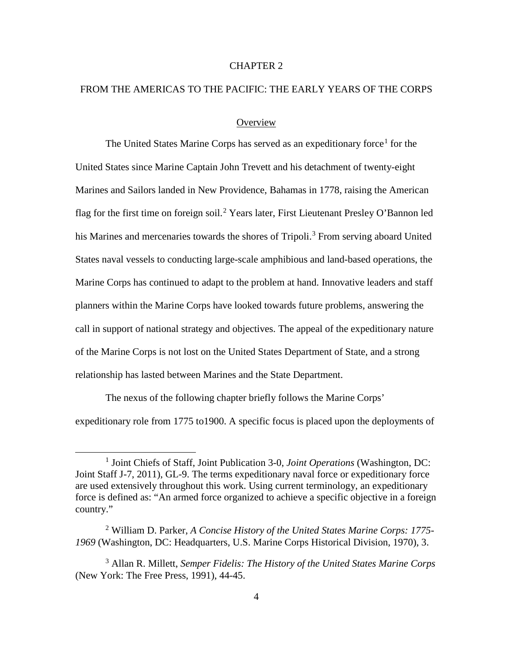# CHAPTER 2

# FROM THE AMERICAS TO THE PACIFIC: THE EARLY YEARS OF THE CORPS

### **Overview**

The United States Marine Corps has served as an expeditionary force<sup>[1](#page-10-0)</sup> for the United States since Marine Captain John Trevett and his detachment of twenty-eight Marines and Sailors landed in New Providence, Bahamas in 1778, raising the American flag for the first time on foreign soil.<sup>[2](#page-10-1)</sup> Years later, First Lieutenant Presley O'Bannon led his Marines and mercenaries towards the shores of Tripoli.<sup>[3](#page-10-2)</sup> From serving aboard United States naval vessels to conducting large-scale amphibious and land-based operations, the Marine Corps has continued to adapt to the problem at hand. Innovative leaders and staff planners within the Marine Corps have looked towards future problems, answering the call in support of national strategy and objectives. The appeal of the expeditionary nature of the Marine Corps is not lost on the United States Department of State, and a strong relationship has lasted between Marines and the State Department.

The nexus of the following chapter briefly follows the Marine Corps' expeditionary role from 1775 to1900. A specific focus is placed upon the deployments of

<span id="page-10-0"></span> <sup>1</sup> Joint Chiefs of Staff, Joint Publication 3-0, *Joint Operations* (Washington, DC: Joint Staff J-7, 2011), GL-9. The terms expeditionary naval force or expeditionary force are used extensively throughout this work. Using current terminology, an expeditionary force is defined as: "An armed force organized to achieve a specific objective in a foreign country."

<span id="page-10-1"></span><sup>2</sup> William D. Parker, *A Concise History of the United States Marine Corps: 1775- 1969* (Washington, DC: Headquarters, U.S. Marine Corps Historical Division, 1970), 3.

<span id="page-10-2"></span><sup>3</sup> Allan R. Millett, *Semper Fidelis: The History of the United States Marine Corps* (New York: The Free Press, 1991), 44-45.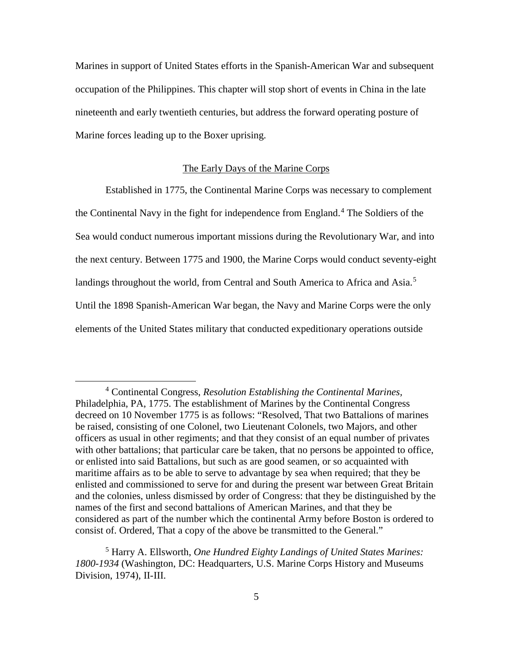Marines in support of United States efforts in the Spanish-American War and subsequent occupation of the Philippines. This chapter will stop short of events in China in the late nineteenth and early twentieth centuries, but address the forward operating posture of Marine forces leading up to the Boxer uprising.

#### The Early Days of the Marine Corps

Established in 1775, the Continental Marine Corps was necessary to complement the Continental Navy in the fight for independence from England. [4](#page-11-0) The Soldiers of the Sea would conduct numerous important missions during the Revolutionary War, and into the next century. Between 1775 and 1900, the Marine Corps would conduct seventy-eight landings throughout the world, from Central and South America to Africa and Asia.<sup>[5](#page-11-1)</sup> Until the 1898 Spanish-American War began, the Navy and Marine Corps were the only elements of the United States military that conducted expeditionary operations outside

<span id="page-11-0"></span> <sup>4</sup> Continental Congress, *Resolution Establishing the Continental Marines,* Philadelphia, PA, 1775. The establishment of Marines by the Continental Congress decreed on 10 November 1775 is as follows: "Resolved, That two Battalions of marines be raised, consisting of one Colonel, two Lieutenant Colonels, two Majors, and other officers as usual in other regiments; and that they consist of an equal number of privates with other battalions; that particular care be taken, that no persons be appointed to office, or enlisted into said Battalions, but such as are good seamen, or so acquainted with maritime affairs as to be able to serve to advantage by sea when required; that they be enlisted and commissioned to serve for and during the present war between Great Britain and the colonies, unless dismissed by order of Congress: that they be distinguished by the names of the first and second battalions of American Marines, and that they be considered as part of the number which the continental Army before Boston is ordered to consist of. Ordered, That a copy of the above be transmitted to the General."

<span id="page-11-1"></span><sup>5</sup> Harry A. Ellsworth, *One Hundred Eighty Landings of United States Marines: 1800-1934* (Washington, DC: Headquarters, U.S. Marine Corps History and Museums Division, 1974), II-III.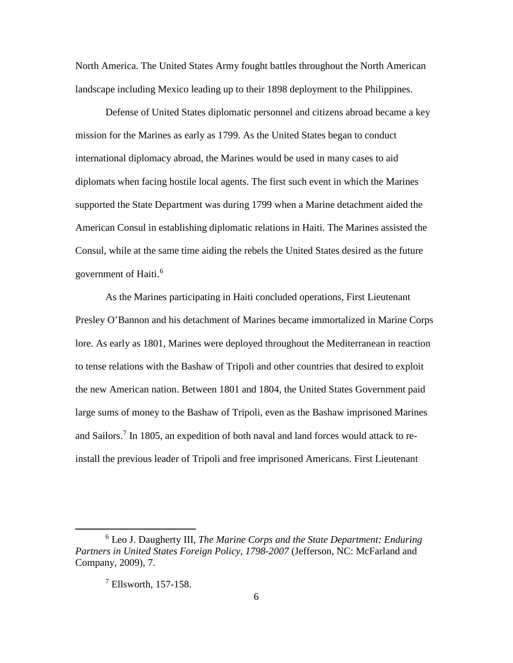North America. The United States Army fought battles throughout the North American landscape including Mexico leading up to their 1898 deployment to the Philippines.

Defense of United States diplomatic personnel and citizens abroad became a key mission for the Marines as early as 1799. As the United States began to conduct international diplomacy abroad, the Marines would be used in many cases to aid diplomats when facing hostile local agents. The first such event in which the Marines supported the State Department was during 1799 when a Marine detachment aided the American Consul in establishing diplomatic relations in Haiti. The Marines assisted the Consul, while at the same time aiding the rebels the United States desired as the future government of Haiti.<sup>[6](#page-12-0)</sup>

As the Marines participating in Haiti concluded operations, First Lieutenant Presley O'Bannon and his detachment of Marines became immortalized in Marine Corps lore. As early as 1801, Marines were deployed throughout the Mediterranean in reaction to tense relations with the Bashaw of Tripoli and other countries that desired to exploit the new American nation. Between 1801 and 1804, the United States Government paid large sums of money to the Bashaw of Tripoli, even as the Bashaw imprisoned Marines and Sailors.[7](#page-12-1) In 1805, an expedition of both naval and land forces would attack to reinstall the previous leader of Tripoli and free imprisoned Americans. First Lieutenant

<span id="page-12-1"></span><span id="page-12-0"></span> <sup>6</sup> Leo J. Daugherty III, *The Marine Corps and the State Department: Enduring Partners in United States Foreign Policy, 1798-2007* (Jefferson, NC: McFarland and Company, 2009), 7.

 $<sup>7</sup>$  Ellsworth, 157-158.</sup>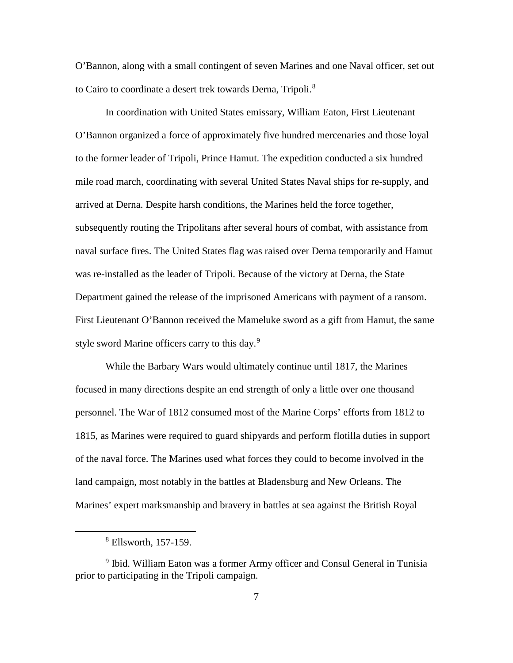O'Bannon, along with a small contingent of seven Marines and one Naval officer, set out to Cairo to coordinate a desert trek towards Derna, Tripoli.<sup>[8](#page-13-0)</sup>

In coordination with United States emissary, William Eaton, First Lieutenant O'Bannon organized a force of approximately five hundred mercenaries and those loyal to the former leader of Tripoli, Prince Hamut. The expedition conducted a six hundred mile road march, coordinating with several United States Naval ships for re-supply, and arrived at Derna. Despite harsh conditions, the Marines held the force together, subsequently routing the Tripolitans after several hours of combat, with assistance from naval surface fires. The United States flag was raised over Derna temporarily and Hamut was re-installed as the leader of Tripoli. Because of the victory at Derna, the State Department gained the release of the imprisoned Americans with payment of a ransom. First Lieutenant O'Bannon received the Mameluke sword as a gift from Hamut, the same style sword Marine officers carry to this day.<sup>[9](#page-13-1)</sup>

While the Barbary Wars would ultimately continue until 1817, the Marines focused in many directions despite an end strength of only a little over one thousand personnel. The War of 1812 consumed most of the Marine Corps' efforts from 1812 to 1815, as Marines were required to guard shipyards and perform flotilla duties in support of the naval force. The Marines used what forces they could to become involved in the land campaign, most notably in the battles at Bladensburg and New Orleans. The Marines' expert marksmanship and bravery in battles at sea against the British Royal

 <sup>8</sup> Ellsworth, 157-159.

<span id="page-13-1"></span><span id="page-13-0"></span><sup>&</sup>lt;sup>9</sup> Ibid. William Eaton was a former Army officer and Consul General in Tunisia prior to participating in the Tripoli campaign.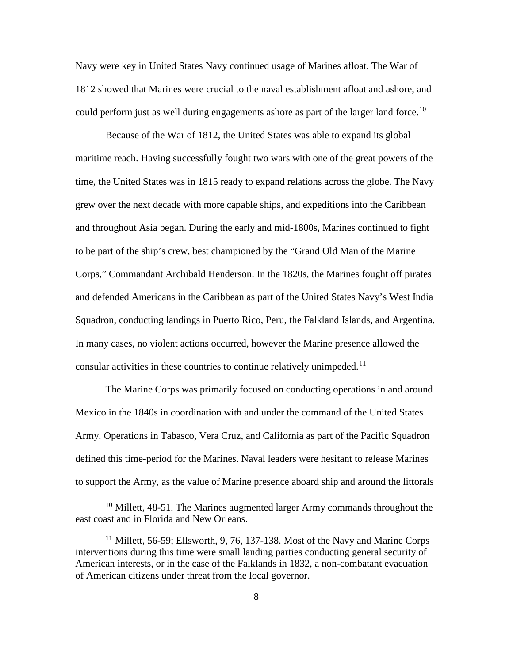Navy were key in United States Navy continued usage of Marines afloat. The War of 1812 showed that Marines were crucial to the naval establishment afloat and ashore, and could perform just as well during engagements ashore as part of the larger land force.<sup>[10](#page-14-0)</sup>

Because of the War of 1812, the United States was able to expand its global maritime reach. Having successfully fought two wars with one of the great powers of the time, the United States was in 1815 ready to expand relations across the globe. The Navy grew over the next decade with more capable ships, and expeditions into the Caribbean and throughout Asia began. During the early and mid-1800s, Marines continued to fight to be part of the ship's crew, best championed by the "Grand Old Man of the Marine Corps," Commandant Archibald Henderson. In the 1820s, the Marines fought off pirates and defended Americans in the Caribbean as part of the United States Navy's West India Squadron, conducting landings in Puerto Rico, Peru, the Falkland Islands, and Argentina. In many cases, no violent actions occurred, however the Marine presence allowed the consular activities in these countries to continue relatively unimpeded.<sup>[11](#page-14-1)</sup>

The Marine Corps was primarily focused on conducting operations in and around Mexico in the 1840s in coordination with and under the command of the United States Army. Operations in Tabasco, Vera Cruz, and California as part of the Pacific Squadron defined this time-period for the Marines. Naval leaders were hesitant to release Marines to support the Army, as the value of Marine presence aboard ship and around the littorals

<span id="page-14-0"></span> $10$  Millett, 48-51. The Marines augmented larger Army commands throughout the east coast and in Florida and New Orleans.

<span id="page-14-1"></span> $11$  Millett, 56-59; Ellsworth, 9, 76, 137-138. Most of the Navy and Marine Corps interventions during this time were small landing parties conducting general security of American interests, or in the case of the Falklands in 1832, a non-combatant evacuation of American citizens under threat from the local governor.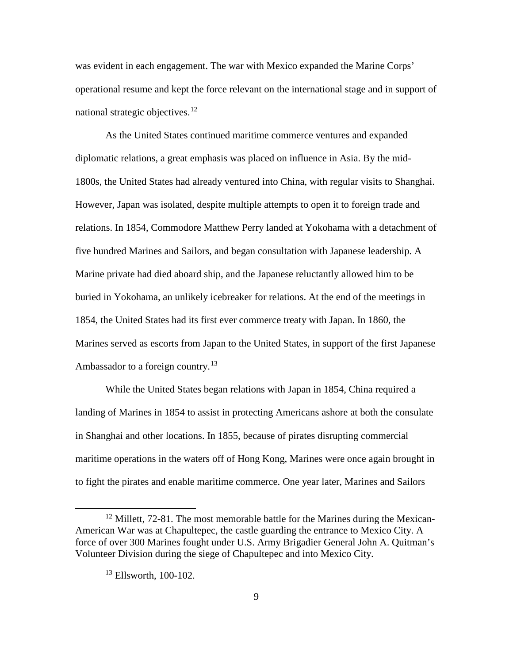was evident in each engagement. The war with Mexico expanded the Marine Corps' operational resume and kept the force relevant on the international stage and in support of national strategic objectives.<sup>[12](#page-15-0)</sup>

As the United States continued maritime commerce ventures and expanded diplomatic relations, a great emphasis was placed on influence in Asia. By the mid-1800s, the United States had already ventured into China, with regular visits to Shanghai. However, Japan was isolated, despite multiple attempts to open it to foreign trade and relations. In 1854, Commodore Matthew Perry landed at Yokohama with a detachment of five hundred Marines and Sailors, and began consultation with Japanese leadership. A Marine private had died aboard ship, and the Japanese reluctantly allowed him to be buried in Yokohama, an unlikely icebreaker for relations. At the end of the meetings in 1854, the United States had its first ever commerce treaty with Japan. In 1860, the Marines served as escorts from Japan to the United States, in support of the first Japanese Ambassador to a foreign country.<sup>[13](#page-15-1)</sup>

While the United States began relations with Japan in 1854, China required a landing of Marines in 1854 to assist in protecting Americans ashore at both the consulate in Shanghai and other locations. In 1855, because of pirates disrupting commercial maritime operations in the waters off of Hong Kong, Marines were once again brought in to fight the pirates and enable maritime commerce. One year later, Marines and Sailors

<span id="page-15-1"></span><span id="page-15-0"></span> $12$  Millett, 72-81. The most memorable battle for the Marines during the Mexican-American War was at Chapultepec, the castle guarding the entrance to Mexico City. A force of over 300 Marines fought under U.S. Army Brigadier General John A. Quitman's Volunteer Division during the siege of Chapultepec and into Mexico City.

<sup>&</sup>lt;sup>13</sup> Ellsworth, 100-102.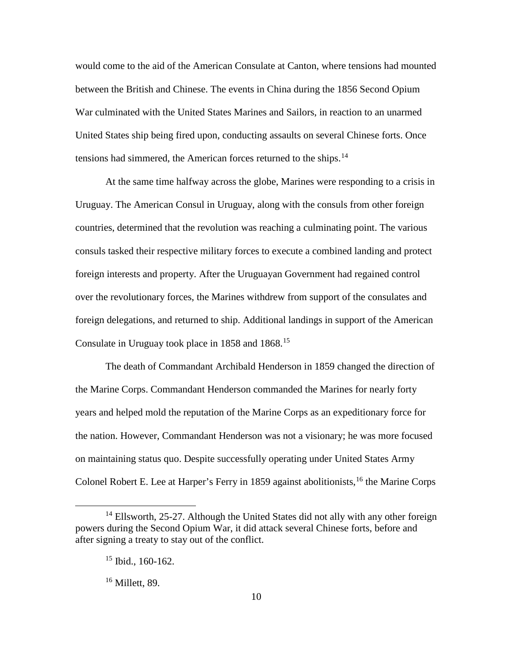would come to the aid of the American Consulate at Canton, where tensions had mounted between the British and Chinese. The events in China during the 1856 Second Opium War culminated with the United States Marines and Sailors, in reaction to an unarmed United States ship being fired upon, conducting assaults on several Chinese forts. Once tensions had simmered, the American forces returned to the ships.<sup>[14](#page-16-0)</sup>

At the same time halfway across the globe, Marines were responding to a crisis in Uruguay. The American Consul in Uruguay, along with the consuls from other foreign countries, determined that the revolution was reaching a culminating point. The various consuls tasked their respective military forces to execute a combined landing and protect foreign interests and property. After the Uruguayan Government had regained control over the revolutionary forces, the Marines withdrew from support of the consulates and foreign delegations, and returned to ship. Additional landings in support of the American Consulate in Uruguay took place in 1858 and 1868.<sup>[15](#page-16-1)</sup>

The death of Commandant Archibald Henderson in 1859 changed the direction of the Marine Corps. Commandant Henderson commanded the Marines for nearly forty years and helped mold the reputation of the Marine Corps as an expeditionary force for the nation. However, Commandant Henderson was not a visionary; he was more focused on maintaining status quo. Despite successfully operating under United States Army Colonel Robert E. Lee at Harper's Ferry in 1859 against abolitionists, <sup>[16](#page-16-2)</sup> the Marine Corps

<span id="page-16-2"></span><span id="page-16-1"></span><span id="page-16-0"></span> $14$  Ellsworth, 25-27. Although the United States did not ally with any other foreign powers during the Second Opium War, it did attack several Chinese forts, before and after signing a treaty to stay out of the conflict.

 $15$  Ibid., 160-162.

<sup>&</sup>lt;sup>16</sup> Millett, 89.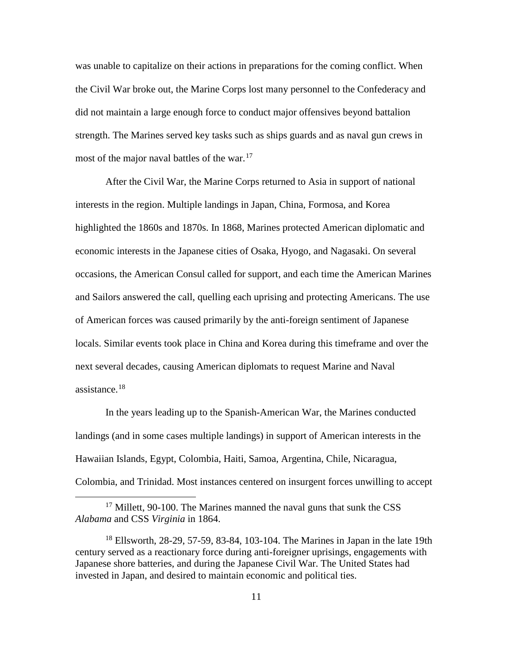was unable to capitalize on their actions in preparations for the coming conflict. When the Civil War broke out, the Marine Corps lost many personnel to the Confederacy and did not maintain a large enough force to conduct major offensives beyond battalion strength. The Marines served key tasks such as ships guards and as naval gun crews in most of the major naval battles of the war. $17$ 

After the Civil War, the Marine Corps returned to Asia in support of national interests in the region. Multiple landings in Japan, China, Formosa, and Korea highlighted the 1860s and 1870s. In 1868, Marines protected American diplomatic and economic interests in the Japanese cities of Osaka, Hyogo, and Nagasaki. On several occasions, the American Consul called for support, and each time the American Marines and Sailors answered the call, quelling each uprising and protecting Americans. The use of American forces was caused primarily by the anti-foreign sentiment of Japanese locals. Similar events took place in China and Korea during this timeframe and over the next several decades, causing American diplomats to request Marine and Naval assistance.[18](#page-17-1)

In the years leading up to the Spanish-American War, the Marines conducted landings (and in some cases multiple landings) in support of American interests in the Hawaiian Islands, Egypt, Colombia, Haiti, Samoa, Argentina, Chile, Nicaragua, Colombia, and Trinidad. Most instances centered on insurgent forces unwilling to accept

<span id="page-17-0"></span> $17$  Millett, 90-100. The Marines manned the naval guns that sunk the CSS *Alabama* and CSS *Virginia* in 1864.

<span id="page-17-1"></span><sup>18</sup> Ellsworth, 28-29, 57-59, 83-84, 103-104. The Marines in Japan in the late 19th century served as a reactionary force during anti-foreigner uprisings, engagements with Japanese shore batteries, and during the Japanese Civil War. The United States had invested in Japan, and desired to maintain economic and political ties.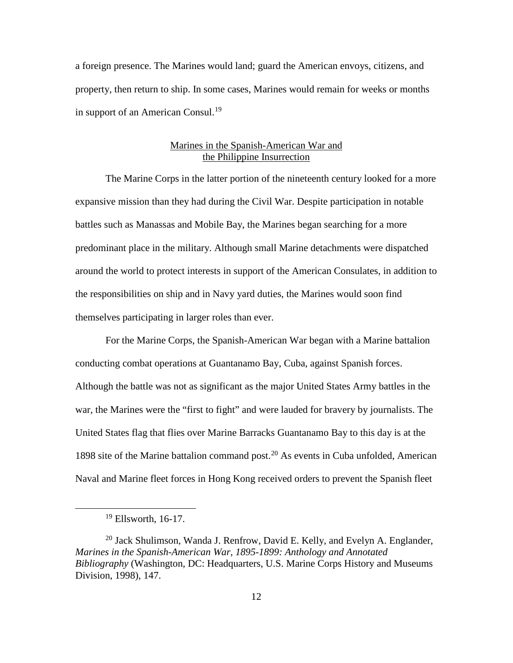a foreign presence. The Marines would land; guard the American envoys, citizens, and property, then return to ship. In some cases, Marines would remain for weeks or months in support of an American Consul.<sup>[19](#page-18-0)</sup>

# Marines in the Spanish-American War and the Philippine Insurrection

The Marine Corps in the latter portion of the nineteenth century looked for a more expansive mission than they had during the Civil War. Despite participation in notable battles such as Manassas and Mobile Bay, the Marines began searching for a more predominant place in the military. Although small Marine detachments were dispatched around the world to protect interests in support of the American Consulates, in addition to the responsibilities on ship and in Navy yard duties, the Marines would soon find themselves participating in larger roles than ever.

For the Marine Corps, the Spanish-American War began with a Marine battalion conducting combat operations at Guantanamo Bay, Cuba, against Spanish forces. Although the battle was not as significant as the major United States Army battles in the war, the Marines were the "first to fight" and were lauded for bravery by journalists. The United States flag that flies over Marine Barracks Guantanamo Bay to this day is at the 1898 site of the Marine battalion command post.<sup>[20](#page-18-1)</sup> As events in Cuba unfolded, American Naval and Marine fleet forces in Hong Kong received orders to prevent the Spanish fleet

 $19$  Ellsworth, 16-17.

<span id="page-18-1"></span><span id="page-18-0"></span><sup>&</sup>lt;sup>20</sup> Jack Shulimson, Wanda J. Renfrow, David E. Kelly, and Evelyn A. Englander, *Marines in the Spanish-American War, 1895-1899: Anthology and Annotated Bibliography* (Washington, DC: Headquarters, U.S. Marine Corps History and Museums Division, 1998), 147.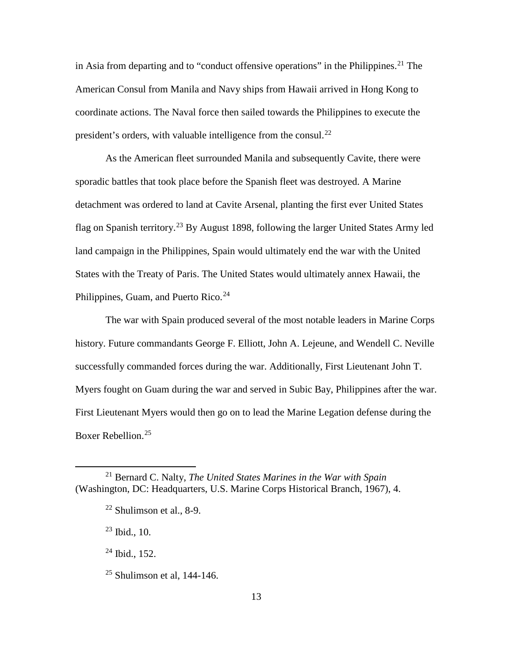in Asia from departing and to "conduct offensive operations" in the Philippines.<sup>[21](#page-19-0)</sup> The American Consul from Manila and Navy ships from Hawaii arrived in Hong Kong to coordinate actions. The Naval force then sailed towards the Philippines to execute the president's orders, with valuable intelligence from the consul.[22](#page-19-1)

As the American fleet surrounded Manila and subsequently Cavite, there were sporadic battles that took place before the Spanish fleet was destroyed. A Marine detachment was ordered to land at Cavite Arsenal, planting the first ever United States flag on Spanish territory.<sup>[23](#page-19-2)</sup> By August 1898, following the larger United States Army led land campaign in the Philippines, Spain would ultimately end the war with the United States with the Treaty of Paris. The United States would ultimately annex Hawaii, the Philippines, Guam, and Puerto Rico.<sup>[24](#page-19-3)</sup>

The war with Spain produced several of the most notable leaders in Marine Corps history. Future commandants George F. Elliott, John A. Lejeune, and Wendell C. Neville successfully commanded forces during the war. Additionally, First Lieutenant John T. Myers fought on Guam during the war and served in Subic Bay, Philippines after the war. First Lieutenant Myers would then go on to lead the Marine Legation defense during the Boxer Rebellion.[25](#page-19-4)

<span id="page-19-2"></span><span id="page-19-1"></span><span id="page-19-0"></span> <sup>21</sup> Bernard C. Nalty, *The United States Marines in the War with Spain* (Washington, DC: Headquarters, U.S. Marine Corps Historical Branch, 1967), 4.

 $22$  Shulimson et al., 8-9.

 $23$  Ibid., 10.

<span id="page-19-3"></span><sup>24</sup> Ibid., 152.

<span id="page-19-4"></span> $25$  Shulimson et al, 144-146.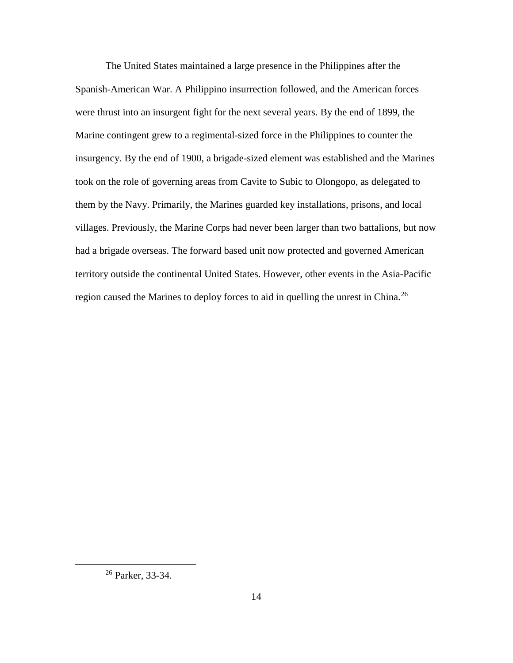The United States maintained a large presence in the Philippines after the Spanish-American War. A Philippino insurrection followed, and the American forces were thrust into an insurgent fight for the next several years. By the end of 1899, the Marine contingent grew to a regimental-sized force in the Philippines to counter the insurgency. By the end of 1900, a brigade-sized element was established and the Marines took on the role of governing areas from Cavite to Subic to Olongopo, as delegated to them by the Navy. Primarily, the Marines guarded key installations, prisons, and local villages. Previously, the Marine Corps had never been larger than two battalions, but now had a brigade overseas. The forward based unit now protected and governed American territory outside the continental United States. However, other events in the Asia-Pacific region caused the Marines to deploy forces to aid in quelling the unrest in China.<sup>[26](#page-20-0)</sup>

<span id="page-20-0"></span> <sup>26</sup> Parker, 33-34.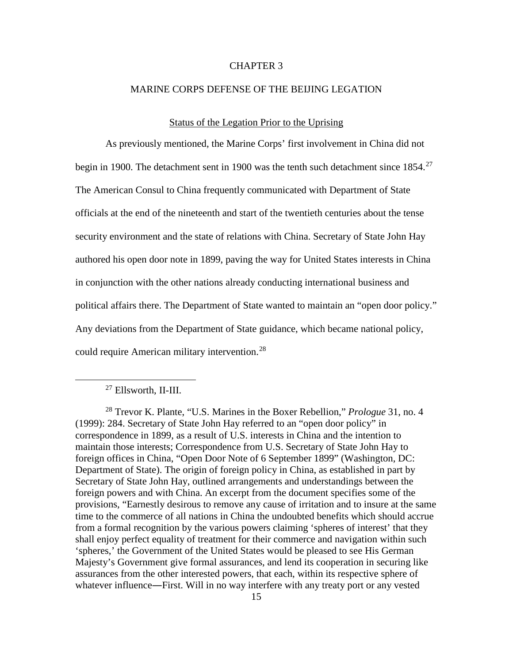# CHAPTER 3

### MARINE CORPS DEFENSE OF THE BEIJING LEGATION

### Status of the Legation Prior to the Uprising

As previously mentioned, the Marine Corps' first involvement in China did not begin in 1900. The detachment sent in 1900 was the tenth such detachment since 1854.<sup>[27](#page-21-0)</sup> The American Consul to China frequently communicated with Department of State officials at the end of the nineteenth and start of the twentieth centuries about the tense security environment and the state of relations with China. Secretary of State John Hay authored his open door note in 1899, paving the way for United States interests in China in conjunction with the other nations already conducting international business and political affairs there. The Department of State wanted to maintain an "open door policy." Any deviations from the Department of State guidance, which became national policy, could require American military intervention.<sup>[28](#page-21-1)</sup>

 <sup>27</sup> Ellsworth, II-III.

<span id="page-21-1"></span><span id="page-21-0"></span><sup>28</sup> Trevor K. Plante, "U.S. Marines in the Boxer Rebellion," *Prologue* 31, no. 4 (1999): 284. Secretary of State John Hay referred to an "open door policy" in correspondence in 1899, as a result of U.S. interests in China and the intention to maintain those interests; Correspondence from U.S. Secretary of State John Hay to foreign offices in China, "Open Door Note of 6 September 1899" (Washington, DC: Department of State). The origin of foreign policy in China, as established in part by Secretary of State John Hay, outlined arrangements and understandings between the foreign powers and with China. An excerpt from the document specifies some of the provisions, "Earnestly desirous to remove any cause of irritation and to insure at the same time to the commerce of all nations in China the undoubted benefits which should accrue from a formal recognition by the various powers claiming 'spheres of interest' that they shall enjoy perfect equality of treatment for their commerce and navigation within such 'spheres,' the Government of the United States would be pleased to see His German Majesty's Government give formal assurances, and lend its cooperation in securing like assurances from the other interested powers, that each, within its respective sphere of whatever influence—First. Will in no way interfere with any treaty port or any vested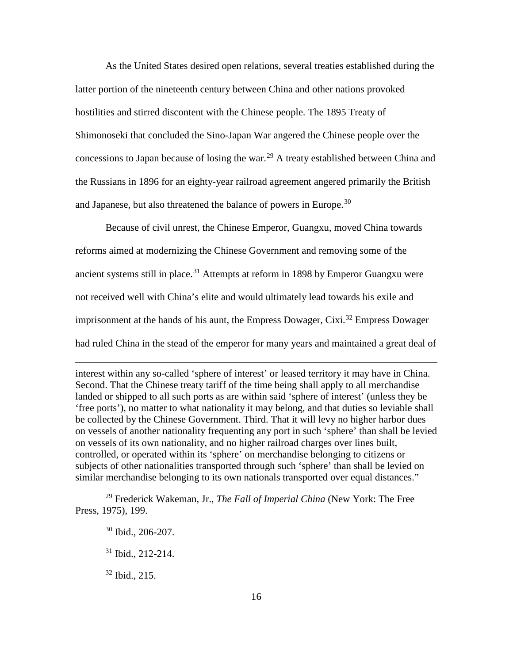As the United States desired open relations, several treaties established during the latter portion of the nineteenth century between China and other nations provoked hostilities and stirred discontent with the Chinese people. The 1895 Treaty of Shimonoseki that concluded the Sino-Japan War angered the Chinese people over the concessions to Japan because of losing the war.<sup>[29](#page-22-0)</sup> A treaty established between China and the Russians in 1896 for an eighty-year railroad agreement angered primarily the British and Japanese, but also threatened the balance of powers in Europe.<sup>[30](#page-22-1)</sup>

Because of civil unrest, the Chinese Emperor, Guangxu, moved China towards reforms aimed at modernizing the Chinese Government and removing some of the ancient systems still in place.<sup>[31](#page-22-2)</sup> Attempts at reform in 1898 by Emperor Guangxu were not received well with China's elite and would ultimately lead towards his exile and imprisonment at the hands of his aunt, the Empress Dowager, Cixi.<sup>[32](#page-22-3)</sup> Empress Dowager had ruled China in the stead of the emperor for many years and maintained a great deal of

interest within any so-called 'sphere of interest' or leased territory it may have in China. Second. That the Chinese treaty tariff of the time being shall apply to all merchandise landed or shipped to all such ports as are within said 'sphere of interest' (unless they be 'free ports'), no matter to what nationality it may belong, and that duties so leviable shall be collected by the Chinese Government. Third. That it will levy no higher harbor dues on vessels of another nationality frequenting any port in such 'sphere' than shall be levied on vessels of its own nationality, and no higher railroad charges over lines built, controlled, or operated within its 'sphere' on merchandise belonging to citizens or subjects of other nationalities transported through such 'sphere' than shall be levied on similar merchandise belonging to its own nationals transported over equal distances."

<span id="page-22-2"></span><span id="page-22-1"></span><span id="page-22-0"></span><sup>29</sup> Frederick Wakeman, Jr., *The Fall of Imperial China* (New York: The Free Press, 1975), 199.

- $30$  Ibid., 206-207.
- <sup>31</sup> Ibid., 212-214.
- <span id="page-22-3"></span> $32$  Ibid., 215.

 $\overline{a}$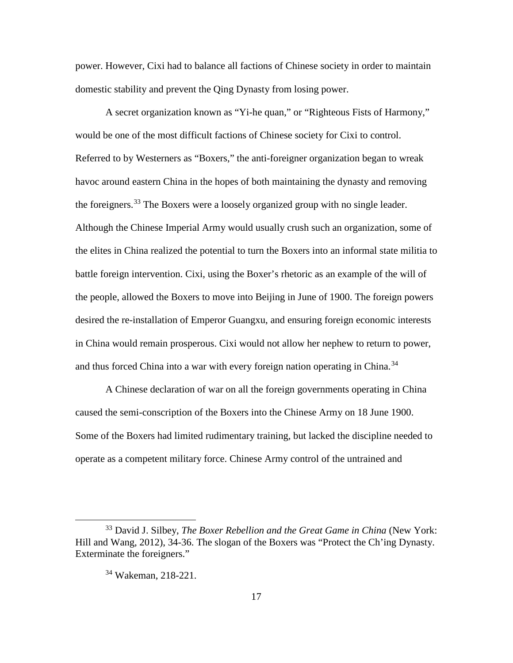power. However, Cixi had to balance all factions of Chinese society in order to maintain domestic stability and prevent the Qing Dynasty from losing power.

A secret organization known as "Yi-he quan," or "Righteous Fists of Harmony," would be one of the most difficult factions of Chinese society for Cixi to control. Referred to by Westerners as "Boxers," the anti-foreigner organization began to wreak havoc around eastern China in the hopes of both maintaining the dynasty and removing the foreigners.<sup>[33](#page-23-0)</sup> The Boxers were a loosely organized group with no single leader. Although the Chinese Imperial Army would usually crush such an organization, some of the elites in China realized the potential to turn the Boxers into an informal state militia to battle foreign intervention. Cixi, using the Boxer's rhetoric as an example of the will of the people, allowed the Boxers to move into Beijing in June of 1900. The foreign powers desired the re-installation of Emperor Guangxu, and ensuring foreign economic interests in China would remain prosperous. Cixi would not allow her nephew to return to power, and thus forced China into a war with every foreign nation operating in China.<sup>[34](#page-23-1)</sup>

A Chinese declaration of war on all the foreign governments operating in China caused the semi-conscription of the Boxers into the Chinese Army on 18 June 1900. Some of the Boxers had limited rudimentary training, but lacked the discipline needed to operate as a competent military force. Chinese Army control of the untrained and

<span id="page-23-1"></span><span id="page-23-0"></span> <sup>33</sup> David J. Silbey, *The Boxer Rebellion and the Great Game in China* (New York: Hill and Wang, 2012), 34-36. The slogan of the Boxers was "Protect the Ch'ing Dynasty. Exterminate the foreigners."

<sup>34</sup> Wakeman, 218-221.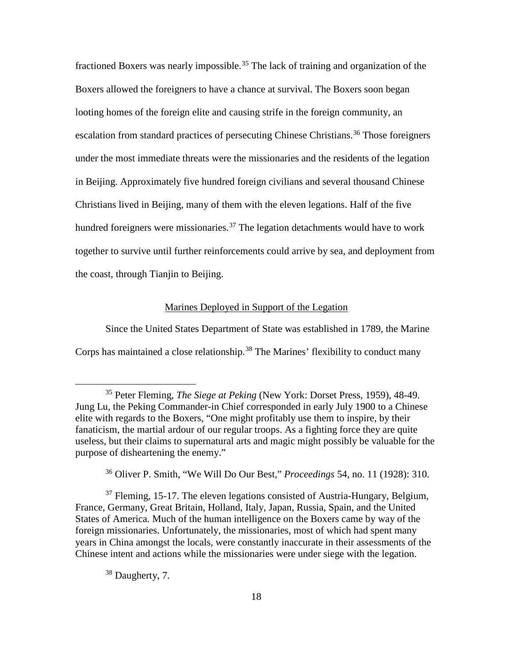fractioned Boxers was nearly impossible.<sup>[35](#page-24-0)</sup> The lack of training and organization of the Boxers allowed the foreigners to have a chance at survival. The Boxers soon began looting homes of the foreign elite and causing strife in the foreign community, an escalation from standard practices of persecuting Chinese Christians.<sup>[36](#page-24-1)</sup> Those foreigners under the most immediate threats were the missionaries and the residents of the legation in Beijing. Approximately five hundred foreign civilians and several thousand Chinese Christians lived in Beijing, many of them with the eleven legations. Half of the five hundred foreigners were missionaries.<sup>[37](#page-24-2)</sup> The legation detachments would have to work together to survive until further reinforcements could arrive by sea, and deployment from the coast, through Tianjin to Beijing.

# Marines Deployed in Support of the Legation

Since the United States Department of State was established in 1789, the Marine Corps has maintained a close relationship.<sup>[38](#page-24-3)</sup> The Marines' flexibility to conduct many

<span id="page-24-2"></span><span id="page-24-1"></span> $37$  Fleming, 15-17. The eleven legations consisted of Austria-Hungary, Belgium, France, Germany, Great Britain, Holland, Italy, Japan, Russia, Spain, and the United States of America. Much of the human intelligence on the Boxers came by way of the foreign missionaries. Unfortunately, the missionaries, most of which had spent many years in China amongst the locals, were constantly inaccurate in their assessments of the Chinese intent and actions while the missionaries were under siege with the legation.

<span id="page-24-3"></span><sup>38</sup> Daugherty, 7.

<span id="page-24-0"></span> <sup>35</sup> Peter Fleming, *The Siege at Peking* (New York: Dorset Press, 1959), 48-49. Jung Lu, the Peking Commander-in Chief corresponded in early July 1900 to a Chinese elite with regards to the Boxers, "One might profitably use them to inspire, by their fanaticism, the martial ardour of our regular troops. As a fighting force they are quite useless, but their claims to supernatural arts and magic might possibly be valuable for the purpose of disheartening the enemy."

<sup>36</sup> Oliver P. Smith, "We Will Do Our Best," *Proceedings* 54, no. 11 (1928): 310.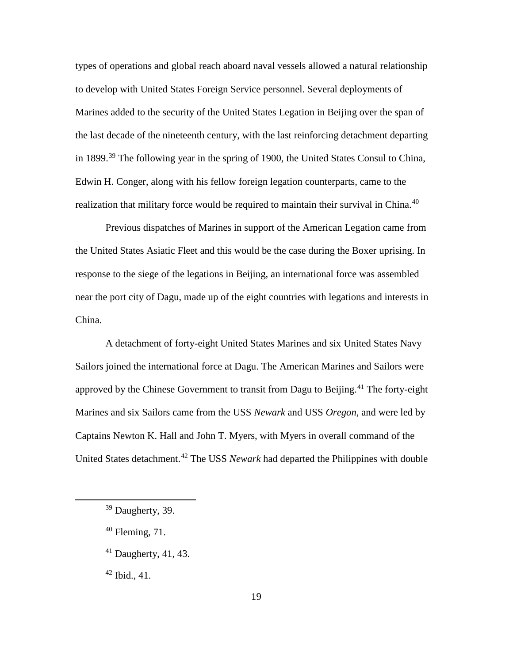types of operations and global reach aboard naval vessels allowed a natural relationship to develop with United States Foreign Service personnel. Several deployments of Marines added to the security of the United States Legation in Beijing over the span of the last decade of the nineteenth century, with the last reinforcing detachment departing in 1899.<sup>[39](#page-25-0)</sup> The following year in the spring of 1900, the United States Consul to China, Edwin H. Conger, along with his fellow foreign legation counterparts, came to the realization that military force would be required to maintain their survival in China.<sup>[40](#page-25-1)</sup>

Previous dispatches of Marines in support of the American Legation came from the United States Asiatic Fleet and this would be the case during the Boxer uprising. In response to the siege of the legations in Beijing, an international force was assembled near the port city of Dagu, made up of the eight countries with legations and interests in China.

A detachment of forty-eight United States Marines and six United States Navy Sailors joined the international force at Dagu. The American Marines and Sailors were approved by the Chinese Government to transit from Dagu to Beijing.<sup>[41](#page-25-2)</sup> The forty-eight Marines and six Sailors came from the USS *Newark* and USS *Oregon*, and were led by Captains Newton K. Hall and John T. Myers, with Myers in overall command of the United States detachment.[42](#page-25-3) The USS *Newark* had departed the Philippines with double

<span id="page-25-3"></span> $42$  Ibid., 41.

<span id="page-25-0"></span><sup>&</sup>lt;sup>39</sup> Daugherty, 39.

<span id="page-25-1"></span> $40$  Fleming, 71.

<span id="page-25-2"></span> $41$  Daugherty, 41, 43.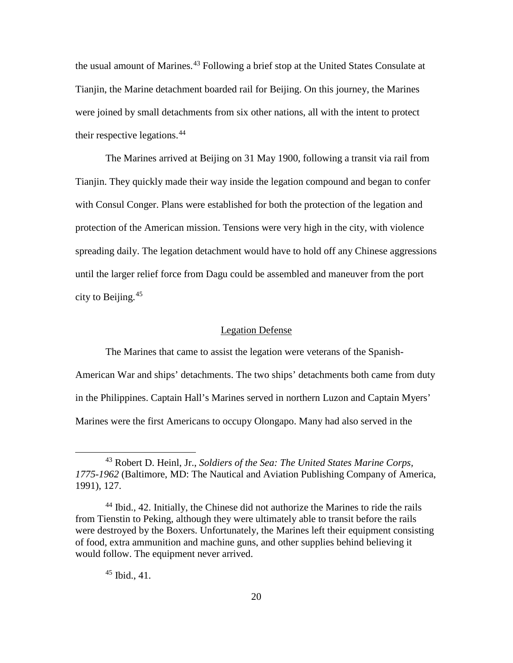the usual amount of Marines.<sup>[43](#page-26-0)</sup> Following a brief stop at the United States Consulate at Tianjin, the Marine detachment boarded rail for Beijing. On this journey, the Marines were joined by small detachments from six other nations, all with the intent to protect their respective legations.[44](#page-26-1)

The Marines arrived at Beijing on 31 May 1900, following a transit via rail from Tianjin. They quickly made their way inside the legation compound and began to confer with Consul Conger. Plans were established for both the protection of the legation and protection of the American mission. Tensions were very high in the city, with violence spreading daily. The legation detachment would have to hold off any Chinese aggressions until the larger relief force from Dagu could be assembled and maneuver from the port city to Beijing. [45](#page-26-2)

## Legation Defense

The Marines that came to assist the legation were veterans of the Spanish-American War and ships' detachments. The two ships' detachments both came from duty in the Philippines. Captain Hall's Marines served in northern Luzon and Captain Myers' Marines were the first Americans to occupy Olongapo. Many had also served in the

 $45$  Ibid., 41.

<span id="page-26-0"></span> <sup>43</sup> Robert D. Heinl, Jr., *Soldiers of the Sea: The United States Marine Corps, 1775-1962* (Baltimore, MD: The Nautical and Aviation Publishing Company of America, 1991), 127.

<span id="page-26-2"></span><span id="page-26-1"></span><sup>44</sup> Ibid., 42. Initially, the Chinese did not authorize the Marines to ride the rails from Tienstin to Peking, although they were ultimately able to transit before the rails were destroyed by the Boxers. Unfortunately, the Marines left their equipment consisting of food, extra ammunition and machine guns, and other supplies behind believing it would follow. The equipment never arrived.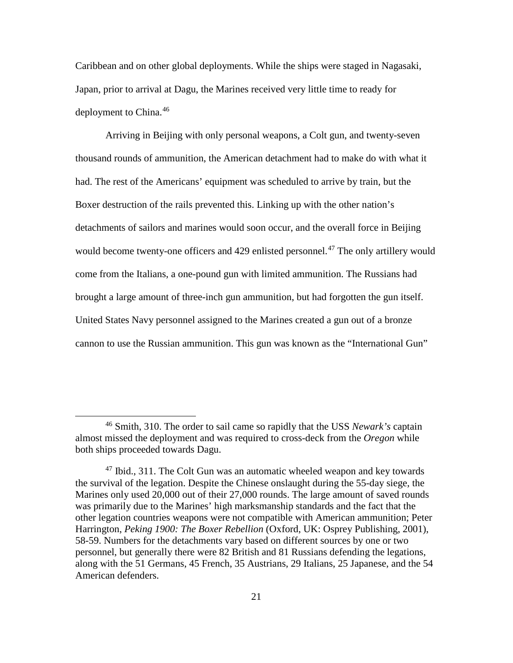Caribbean and on other global deployments. While the ships were staged in Nagasaki, Japan, prior to arrival at Dagu, the Marines received very little time to ready for deployment to China.<sup>[46](#page-27-0)</sup>

Arriving in Beijing with only personal weapons, a Colt gun, and twenty-seven thousand rounds of ammunition, the American detachment had to make do with what it had. The rest of the Americans' equipment was scheduled to arrive by train, but the Boxer destruction of the rails prevented this. Linking up with the other nation's detachments of sailors and marines would soon occur, and the overall force in Beijing would become twenty-one officers and 429 enlisted personnel.<sup>[47](#page-27-1)</sup> The only artillery would come from the Italians, a one-pound gun with limited ammunition. The Russians had brought a large amount of three-inch gun ammunition, but had forgotten the gun itself. United States Navy personnel assigned to the Marines created a gun out of a bronze cannon to use the Russian ammunition. This gun was known as the "International Gun"

<span id="page-27-0"></span> <sup>46</sup> Smith, 310. The order to sail came so rapidly that the USS *Newark's* captain almost missed the deployment and was required to cross-deck from the *Oregon* while both ships proceeded towards Dagu.

<span id="page-27-1"></span> $47$  Ibid., 311. The Colt Gun was an automatic wheeled weapon and key towards the survival of the legation. Despite the Chinese onslaught during the 55-day siege, the Marines only used 20,000 out of their 27,000 rounds. The large amount of saved rounds was primarily due to the Marines' high marksmanship standards and the fact that the other legation countries weapons were not compatible with American ammunition; Peter Harrington, *Peking 1900: The Boxer Rebellion* (Oxford, UK: Osprey Publishing, 2001), 58-59. Numbers for the detachments vary based on different sources by one or two personnel, but generally there were 82 British and 81 Russians defending the legations, along with the 51 Germans, 45 French, 35 Austrians, 29 Italians, 25 Japanese, and the 54 American defenders.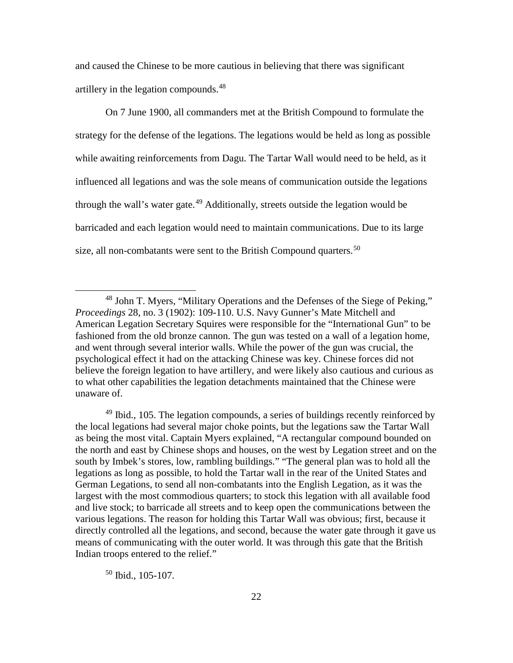and caused the Chinese to be more cautious in believing that there was significant artillery in the legation compounds.[48](#page-28-0)

On 7 June 1900, all commanders met at the British Compound to formulate the strategy for the defense of the legations. The legations would be held as long as possible while awaiting reinforcements from Dagu. The Tartar Wall would need to be held, as it influenced all legations and was the sole means of communication outside the legations through the wall's water gate.<sup>[49](#page-28-1)</sup> Additionally, streets outside the legation would be barricaded and each legation would need to maintain communications. Due to its large size, all non-combatants were sent to the British Compound quarters.<sup>[50](#page-28-2)</sup>

<span id="page-28-1"></span> $49$  Ibid., 105. The legation compounds, a series of buildings recently reinforced by the local legations had several major choke points, but the legations saw the Tartar Wall as being the most vital. Captain Myers explained, "A rectangular compound bounded on the north and east by Chinese shops and houses, on the west by Legation street and on the south by Imbek's stores, low, rambling buildings." "The general plan was to hold all the legations as long as possible, to hold the Tartar wall in the rear of the United States and German Legations, to send all non-combatants into the English Legation, as it was the largest with the most commodious quarters; to stock this legation with all available food and live stock; to barricade all streets and to keep open the communications between the various legations. The reason for holding this Tartar Wall was obvious; first, because it directly controlled all the legations, and second, because the water gate through it gave us means of communicating with the outer world. It was through this gate that the British Indian troops entered to the relief."

<span id="page-28-2"></span> $50$  Ibid., 105-107.

<span id="page-28-0"></span> <sup>48</sup> John T. Myers, "Military Operations and the Defenses of the Siege of Peking," *Proceedings* 28, no. 3 (1902): 109-110. U.S. Navy Gunner's Mate Mitchell and American Legation Secretary Squires were responsible for the "International Gun" to be fashioned from the old bronze cannon. The gun was tested on a wall of a legation home, and went through several interior walls. While the power of the gun was crucial, the psychological effect it had on the attacking Chinese was key. Chinese forces did not believe the foreign legation to have artillery, and were likely also cautious and curious as to what other capabilities the legation detachments maintained that the Chinese were unaware of.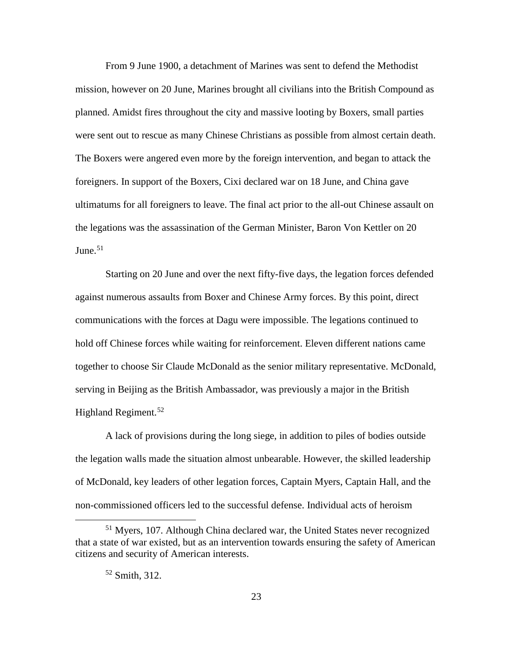From 9 June 1900, a detachment of Marines was sent to defend the Methodist mission, however on 20 June, Marines brought all civilians into the British Compound as planned. Amidst fires throughout the city and massive looting by Boxers, small parties were sent out to rescue as many Chinese Christians as possible from almost certain death. The Boxers were angered even more by the foreign intervention, and began to attack the foreigners. In support of the Boxers, Cixi declared war on 18 June, and China gave ultimatums for all foreigners to leave. The final act prior to the all-out Chinese assault on the legations was the assassination of the German Minister, Baron Von Kettler on 20 Iune $51$ 

Starting on 20 June and over the next fifty-five days, the legation forces defended against numerous assaults from Boxer and Chinese Army forces. By this point, direct communications with the forces at Dagu were impossible. The legations continued to hold off Chinese forces while waiting for reinforcement. Eleven different nations came together to choose Sir Claude McDonald as the senior military representative. McDonald, serving in Beijing as the British Ambassador, was previously a major in the British Highland Regiment.<sup>[52](#page-29-1)</sup>

A lack of provisions during the long siege, in addition to piles of bodies outside the legation walls made the situation almost unbearable. However, the skilled leadership of McDonald, key leaders of other legation forces, Captain Myers, Captain Hall, and the non-commissioned officers led to the successful defense. Individual acts of heroism

<span id="page-29-1"></span><span id="page-29-0"></span> <sup>51</sup> Myers, 107. Although China declared war, the United States never recognized that a state of war existed, but as an intervention towards ensuring the safety of American citizens and security of American interests.

 $52$  Smith, 312.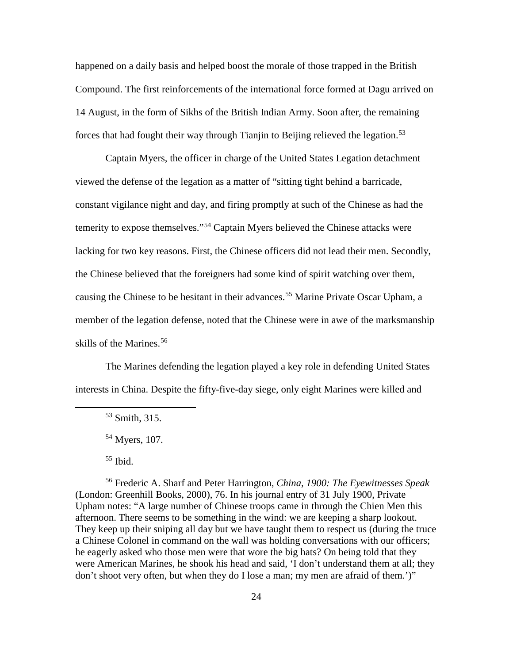happened on a daily basis and helped boost the morale of those trapped in the British Compound. The first reinforcements of the international force formed at Dagu arrived on 14 August, in the form of Sikhs of the British Indian Army. Soon after, the remaining forces that had fought their way through Tianjin to Beijing relieved the legation.<sup>[53](#page-30-0)</sup>

Captain Myers, the officer in charge of the United States Legation detachment viewed the defense of the legation as a matter of "sitting tight behind a barricade, constant vigilance night and day, and firing promptly at such of the Chinese as had the temerity to expose themselves."[54](#page-30-1) Captain Myers believed the Chinese attacks were lacking for two key reasons. First, the Chinese officers did not lead their men. Secondly, the Chinese believed that the foreigners had some kind of spirit watching over them, causing the Chinese to be hesitant in their advances.<sup>[55](#page-30-2)</sup> Marine Private Oscar Upham, a member of the legation defense, noted that the Chinese were in awe of the marksmanship skills of the Marines.<sup>[56](#page-30-3)</sup>

<span id="page-30-0"></span>The Marines defending the legation played a key role in defending United States interests in China. Despite the fifty-five-day siege, only eight Marines were killed and

<span id="page-30-3"></span><span id="page-30-2"></span><span id="page-30-1"></span><sup>56</sup> Frederic A. Sharf and Peter Harrington, *China, 1900: The Eyewitnesses Speak* (London: Greenhill Books, 2000), 76. In his journal entry of 31 July 1900, Private Upham notes: "A large number of Chinese troops came in through the Chien Men this afternoon. There seems to be something in the wind: we are keeping a sharp lookout. They keep up their sniping all day but we have taught them to respect us (during the truce a Chinese Colonel in command on the wall was holding conversations with our officers; he eagerly asked who those men were that wore the big hats? On being told that they were American Marines, he shook his head and said, 'I don't understand them at all; they don't shoot very often, but when they do I lose a man; my men are afraid of them.')"

 <sup>53</sup> Smith, 315.

<sup>54</sup> Myers, 107.

 $55$  Ibid.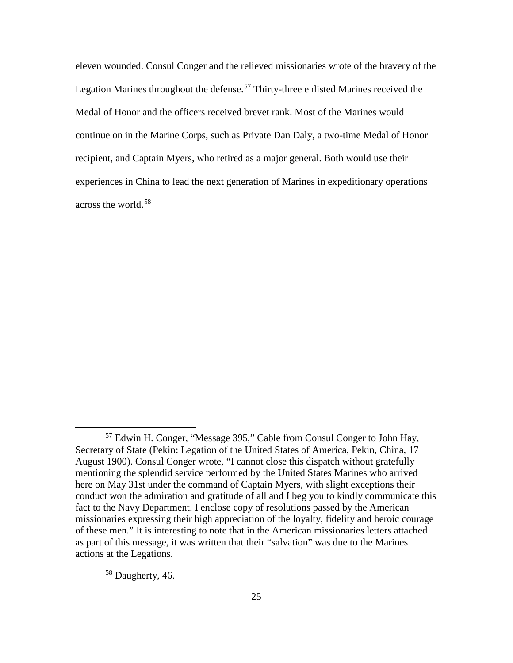eleven wounded. Consul Conger and the relieved missionaries wrote of the bravery of the Legation Marines throughout the defense.<sup>[57](#page-31-0)</sup> Thirty-three enlisted Marines received the Medal of Honor and the officers received brevet rank. Most of the Marines would continue on in the Marine Corps, such as Private Dan Daly, a two-time Medal of Honor recipient, and Captain Myers, who retired as a major general. Both would use their experiences in China to lead the next generation of Marines in expeditionary operations across the world.[58](#page-31-1)

<span id="page-31-1"></span><sup>58</sup> Daugherty, 46.

<span id="page-31-0"></span> <sup>57</sup> Edwin H. Conger, "Message 395," Cable from Consul Conger to John Hay, Secretary of State (Pekin: Legation of the United States of America, Pekin, China, 17 August 1900). Consul Conger wrote, "I cannot close this dispatch without gratefully mentioning the splendid service performed by the United States Marines who arrived here on May 31st under the command of Captain Myers, with slight exceptions their conduct won the admiration and gratitude of all and I beg you to kindly communicate this fact to the Navy Department. I enclose copy of resolutions passed by the American missionaries expressing their high appreciation of the loyalty, fidelity and heroic courage of these men." It is interesting to note that in the American missionaries letters attached as part of this message, it was written that their "salvation" was due to the Marines actions at the Legations.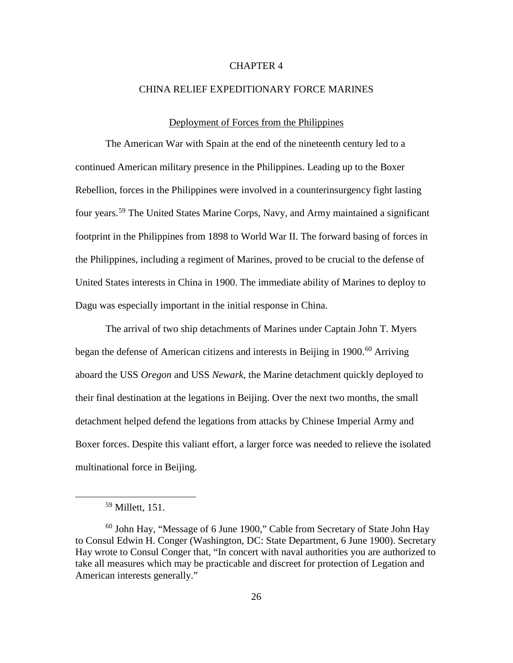# CHAPTER 4

### CHINA RELIEF EXPEDITIONARY FORCE MARINES

#### Deployment of Forces from the Philippines

The American War with Spain at the end of the nineteenth century led to a continued American military presence in the Philippines. Leading up to the Boxer Rebellion, forces in the Philippines were involved in a counterinsurgency fight lasting four years.[59](#page-32-0) The United States Marine Corps, Navy, and Army maintained a significant footprint in the Philippines from 1898 to World War II. The forward basing of forces in the Philippines, including a regiment of Marines, proved to be crucial to the defense of United States interests in China in 1900. The immediate ability of Marines to deploy to Dagu was especially important in the initial response in China.

The arrival of two ship detachments of Marines under Captain John T. Myers began the defense of American citizens and interests in Beijing in  $1900<sup>60</sup>$  $1900<sup>60</sup>$  $1900<sup>60</sup>$  Arriving aboard the USS *Oregon* and USS *Newark,* the Marine detachment quickly deployed to their final destination at the legations in Beijing. Over the next two months, the small detachment helped defend the legations from attacks by Chinese Imperial Army and Boxer forces. Despite this valiant effort, a larger force was needed to relieve the isolated multinational force in Beijing.

 $59$  Millett, 151.

<span id="page-32-1"></span><span id="page-32-0"></span><sup>60</sup> John Hay, "Message of 6 June 1900," Cable from Secretary of State John Hay to Consul Edwin H. Conger (Washington, DC: State Department, 6 June 1900). Secretary Hay wrote to Consul Conger that, "In concert with naval authorities you are authorized to take all measures which may be practicable and discreet for protection of Legation and American interests generally."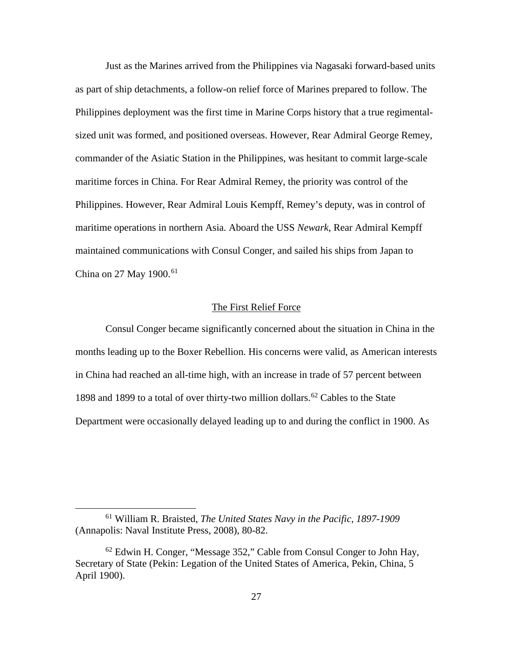Just as the Marines arrived from the Philippines via Nagasaki forward-based units as part of ship detachments, a follow-on relief force of Marines prepared to follow. The Philippines deployment was the first time in Marine Corps history that a true regimentalsized unit was formed, and positioned overseas. However, Rear Admiral George Remey, commander of the Asiatic Station in the Philippines, was hesitant to commit large-scale maritime forces in China. For Rear Admiral Remey, the priority was control of the Philippines. However, Rear Admiral Louis Kempff, Remey's deputy, was in control of maritime operations in northern Asia. Aboard the USS *Newark*, Rear Admiral Kempff maintained communications with Consul Conger, and sailed his ships from Japan to China on 27 May 1900.<sup>[61](#page-33-0)</sup>

### The First Relief Force

Consul Conger became significantly concerned about the situation in China in the months leading up to the Boxer Rebellion. His concerns were valid, as American interests in China had reached an all-time high, with an increase in trade of 57 percent between 1898 and 1899 to a total of over thirty-two million dollars.<sup>[62](#page-33-1)</sup> Cables to the State Department were occasionally delayed leading up to and during the conflict in 1900. As

<span id="page-33-0"></span> <sup>61</sup> William R. Braisted, *The United States Navy in the Pacific, 1897-1909* (Annapolis: Naval Institute Press, 2008), 80-82.

<span id="page-33-1"></span> $62$  Edwin H. Conger, "Message 352," Cable from Consul Conger to John Hay, Secretary of State (Pekin: Legation of the United States of America, Pekin, China, 5 April 1900).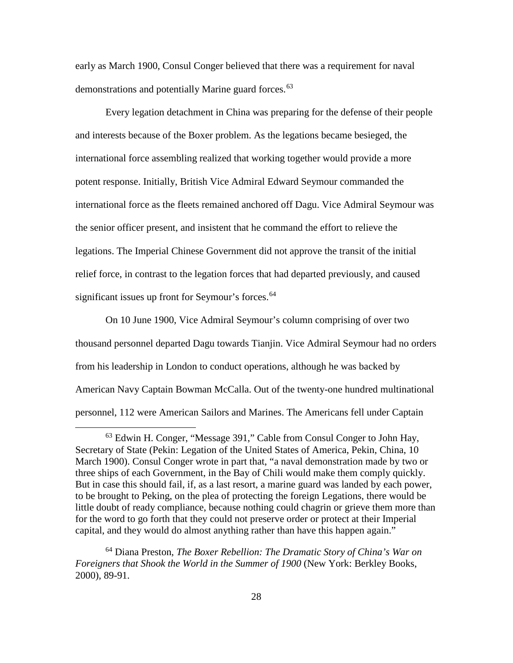early as March 1900, Consul Conger believed that there was a requirement for naval demonstrations and potentially Marine guard forces.<sup>[63](#page-34-0)</sup>

Every legation detachment in China was preparing for the defense of their people and interests because of the Boxer problem. As the legations became besieged, the international force assembling realized that working together would provide a more potent response. Initially, British Vice Admiral Edward Seymour commanded the international force as the fleets remained anchored off Dagu. Vice Admiral Seymour was the senior officer present, and insistent that he command the effort to relieve the legations. The Imperial Chinese Government did not approve the transit of the initial relief force, in contrast to the legation forces that had departed previously, and caused significant issues up front for Seymour's forces.<sup>[64](#page-34-1)</sup>

On 10 June 1900, Vice Admiral Seymour's column comprising of over two thousand personnel departed Dagu towards Tianjin. Vice Admiral Seymour had no orders from his leadership in London to conduct operations, although he was backed by American Navy Captain Bowman McCalla. Out of the twenty-one hundred multinational personnel, 112 were American Sailors and Marines. The Americans fell under Captain

<span id="page-34-1"></span><sup>64</sup> Diana Preston, *The Boxer Rebellion: The Dramatic Story of China's War on Foreigners that Shook the World in the Summer of 1900* (New York: Berkley Books, 2000), 89-91.

<span id="page-34-0"></span> <sup>63</sup> Edwin H. Conger, "Message 391," Cable from Consul Conger to John Hay, Secretary of State (Pekin: Legation of the United States of America, Pekin, China, 10 March 1900). Consul Conger wrote in part that, "a naval demonstration made by two or three ships of each Government, in the Bay of Chili would make them comply quickly. But in case this should fail, if, as a last resort, a marine guard was landed by each power, to be brought to Peking, on the plea of protecting the foreign Legations, there would be little doubt of ready compliance, because nothing could chagrin or grieve them more than for the word to go forth that they could not preserve order or protect at their Imperial capital, and they would do almost anything rather than have this happen again."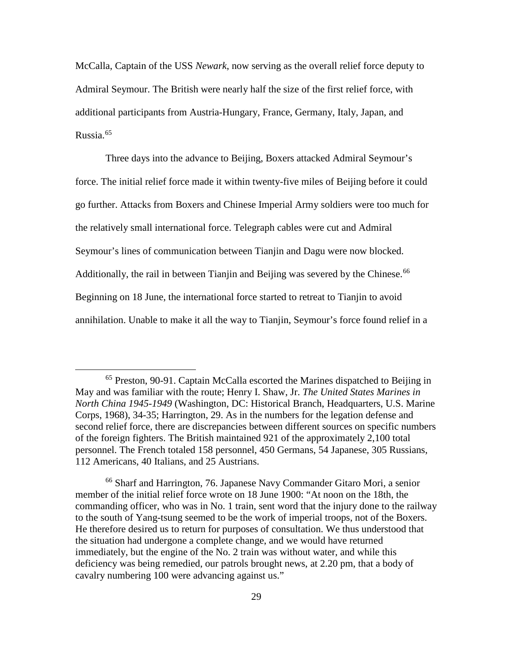McCalla, Captain of the USS *Newark*, now serving as the overall relief force deputy to Admiral Seymour. The British were nearly half the size of the first relief force, with additional participants from Austria-Hungary, France, Germany, Italy, Japan, and Russia. [65](#page-35-0)

Three days into the advance to Beijing, Boxers attacked Admiral Seymour's force. The initial relief force made it within twenty-five miles of Beijing before it could go further. Attacks from Boxers and Chinese Imperial Army soldiers were too much for the relatively small international force. Telegraph cables were cut and Admiral Seymour's lines of communication between Tianjin and Dagu were now blocked. Additionally, the rail in between Tianjin and Beijing was severed by the Chinese.<sup>[66](#page-35-1)</sup> Beginning on 18 June, the international force started to retreat to Tianjin to avoid annihilation. Unable to make it all the way to Tianjin, Seymour's force found relief in a

<span id="page-35-0"></span> <sup>65</sup> Preston, 90-91. Captain McCalla escorted the Marines dispatched to Beijing in May and was familiar with the route; Henry I. Shaw, Jr. *The United States Marines in North China 1945-1949* (Washington, DC: Historical Branch, Headquarters, U.S. Marine Corps, 1968), 34-35; Harrington, 29. As in the numbers for the legation defense and second relief force, there are discrepancies between different sources on specific numbers of the foreign fighters. The British maintained 921 of the approximately 2,100 total personnel. The French totaled 158 personnel, 450 Germans, 54 Japanese, 305 Russians, 112 Americans, 40 Italians, and 25 Austrians.

<span id="page-35-1"></span><sup>66</sup> Sharf and Harrington, 76. Japanese Navy Commander Gitaro Mori, a senior member of the initial relief force wrote on 18 June 1900: "At noon on the 18th, the commanding officer, who was in No. 1 train, sent word that the injury done to the railway to the south of Yang-tsung seemed to be the work of imperial troops, not of the Boxers. He therefore desired us to return for purposes of consultation. We thus understood that the situation had undergone a complete change, and we would have returned immediately, but the engine of the No. 2 train was without water, and while this deficiency was being remedied, our patrols brought news, at 2.20 pm, that a body of cavalry numbering 100 were advancing against us."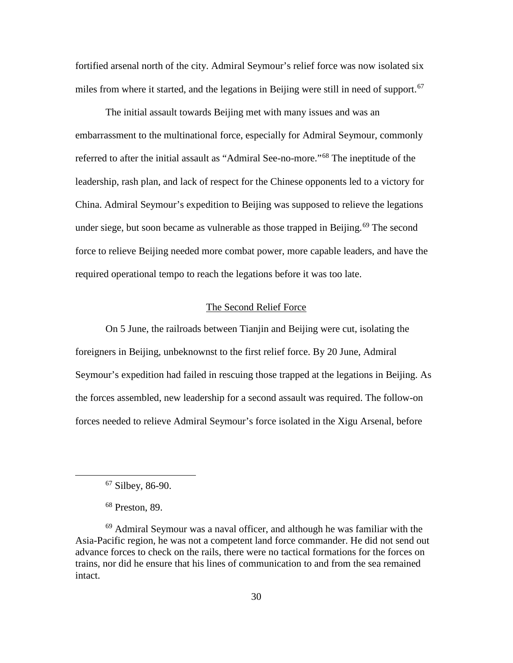fortified arsenal north of the city. Admiral Seymour's relief force was now isolated six miles from where it started, and the legations in Beijing were still in need of support.<sup>[67](#page-36-0)</sup>

The initial assault towards Beijing met with many issues and was an embarrassment to the multinational force, especially for Admiral Seymour, commonly referred to after the initial assault as "Admiral See-no-more."[68](#page-36-1) The ineptitude of the leadership, rash plan, and lack of respect for the Chinese opponents led to a victory for China. Admiral Seymour's expedition to Beijing was supposed to relieve the legations under siege, but soon became as vulnerable as those trapped in Beijing.<sup>[69](#page-36-2)</sup> The second force to relieve Beijing needed more combat power, more capable leaders, and have the required operational tempo to reach the legations before it was too late.

#### The Second Relief Force

On 5 June, the railroads between Tianjin and Beijing were cut, isolating the foreigners in Beijing, unbeknownst to the first relief force. By 20 June, Admiral Seymour's expedition had failed in rescuing those trapped at the legations in Beijing. As the forces assembled, new leadership for a second assault was required. The follow-on forces needed to relieve Admiral Seymour's force isolated in the Xigu Arsenal, before

 <sup>67</sup> Silbey, 86-90.

<sup>68</sup> Preston, 89.

<span id="page-36-2"></span><span id="page-36-1"></span><span id="page-36-0"></span> $69$  Admiral Seymour was a naval officer, and although he was familiar with the Asia-Pacific region, he was not a competent land force commander. He did not send out advance forces to check on the rails, there were no tactical formations for the forces on trains, nor did he ensure that his lines of communication to and from the sea remained intact.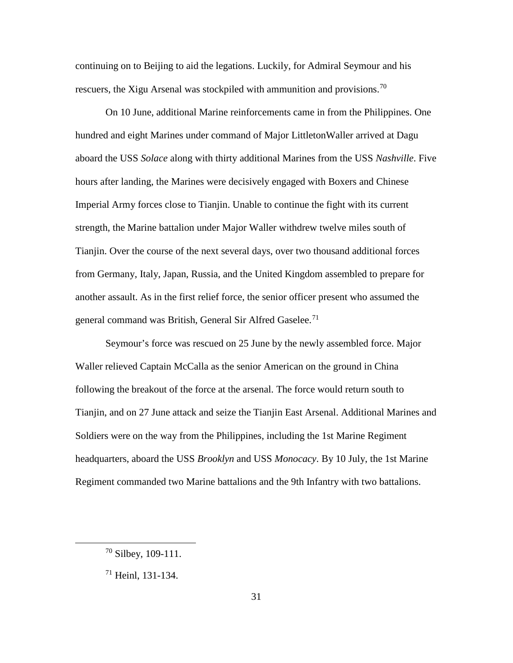continuing on to Beijing to aid the legations. Luckily, for Admiral Seymour and his rescuers, the Xigu Arsenal was stockpiled with ammunition and provisions.<sup>[70](#page-37-0)</sup>

On 10 June, additional Marine reinforcements came in from the Philippines. One hundred and eight Marines under command of Major LittletonWaller arrived at Dagu aboard the USS *Solace* along with thirty additional Marines from the USS *Nashville*. Five hours after landing, the Marines were decisively engaged with Boxers and Chinese Imperial Army forces close to Tianjin. Unable to continue the fight with its current strength, the Marine battalion under Major Waller withdrew twelve miles south of Tianjin. Over the course of the next several days, over two thousand additional forces from Germany, Italy, Japan, Russia, and the United Kingdom assembled to prepare for another assault. As in the first relief force, the senior officer present who assumed the general command was British, General Sir Alfred Gaselee.<sup>[71](#page-37-1)</sup>

Seymour's force was rescued on 25 June by the newly assembled force. Major Waller relieved Captain McCalla as the senior American on the ground in China following the breakout of the force at the arsenal. The force would return south to Tianjin, and on 27 June attack and seize the Tianjin East Arsenal. Additional Marines and Soldiers were on the way from the Philippines, including the 1st Marine Regiment headquarters, aboard the USS *Brooklyn* and USS *Monocacy*. By 10 July, the 1st Marine Regiment commanded two Marine battalions and the 9th Infantry with two battalions.

<span id="page-37-0"></span> <sup>70</sup> Silbey, 109-111.

<span id="page-37-1"></span> $71$  Heinl, 131-134.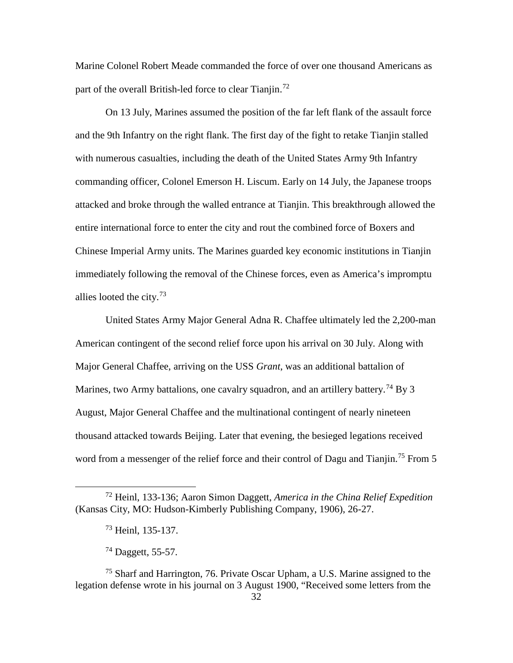Marine Colonel Robert Meade commanded the force of over one thousand Americans as part of the overall British-led force to clear Tianjin.<sup>[72](#page-38-0)</sup>

On 13 July, Marines assumed the position of the far left flank of the assault force and the 9th Infantry on the right flank. The first day of the fight to retake Tianjin stalled with numerous casualties, including the death of the United States Army 9th Infantry commanding officer, Colonel Emerson H. Liscum. Early on 14 July, the Japanese troops attacked and broke through the walled entrance at Tianjin. This breakthrough allowed the entire international force to enter the city and rout the combined force of Boxers and Chinese Imperial Army units. The Marines guarded key economic institutions in Tianjin immediately following the removal of the Chinese forces, even as America's impromptu allies looted the city. $73$ 

United States Army Major General Adna R. Chaffee ultimately led the 2,200-man American contingent of the second relief force upon his arrival on 30 July. Along with Major General Chaffee, arriving on the USS *Grant*, was an additional battalion of Marines, two Army battalions, one cavalry squadron, and an artillery battery.<sup>[74](#page-38-2)</sup> By 3 August, Major General Chaffee and the multinational contingent of nearly nineteen thousand attacked towards Beijing. Later that evening, the besieged legations received word from a messenger of the relief force and their control of Dagu and Tianjin.<sup>[75](#page-38-3)</sup> From 5

<span id="page-38-1"></span><span id="page-38-0"></span> <sup>72</sup> Heinl, 133-136; Aaron Simon Daggett, *America in the China Relief Expedition* (Kansas City, MO: Hudson-Kimberly Publishing Company, 1906), 26-27.

<sup>73</sup> Heinl, 135-137.

 $^{74}$  Daggett, 55-57.

<span id="page-38-3"></span><span id="page-38-2"></span><sup>75</sup> Sharf and Harrington, 76. Private Oscar Upham, a U.S. Marine assigned to the legation defense wrote in his journal on 3 August 1900, "Received some letters from the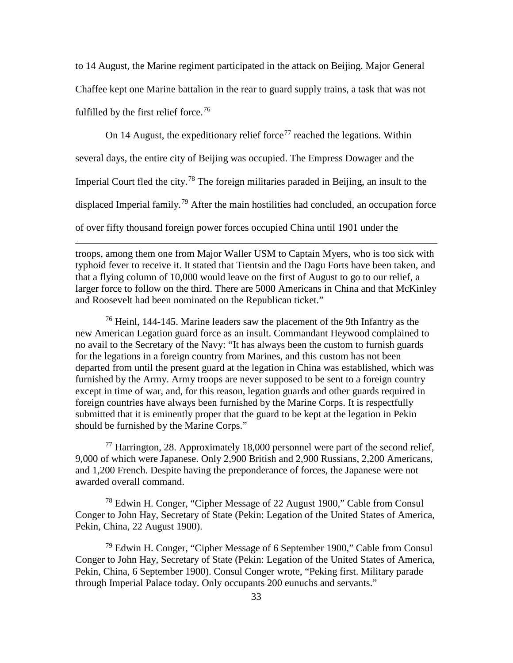to 14 August, the Marine regiment participated in the attack on Beijing. Major General Chaffee kept one Marine battalion in the rear to guard supply trains, a task that was not fulfilled by the first relief force.<sup>[76](#page-39-0)</sup>

On 14 August, the expeditionary relief force<sup>[77](#page-39-1)</sup> reached the legations. Within several days, the entire city of Beijing was occupied. The Empress Dowager and the Imperial Court fled the city.<sup>[78](#page-39-2)</sup> The foreign militaries paraded in Beijing, an insult to the displaced Imperial family.<sup>[79](#page-39-3)</sup> After the main hostilities had concluded, an occupation force of over fifty thousand foreign power forces occupied China until 1901 under the

troops, among them one from Major Waller USM to Captain Myers, who is too sick with typhoid fever to receive it. It stated that Tientsin and the Dagu Forts have been taken, and that a flying column of 10,000 would leave on the first of August to go to our relief, a larger force to follow on the third. There are 5000 Americans in China and that McKinley and Roosevelt had been nominated on the Republican ticket."

 $\overline{a}$ 

<span id="page-39-0"></span><sup>76</sup> Heinl, 144-145. Marine leaders saw the placement of the 9th Infantry as the new American Legation guard force as an insult. Commandant Heywood complained to no avail to the Secretary of the Navy: "It has always been the custom to furnish guards for the legations in a foreign country from Marines, and this custom has not been departed from until the present guard at the legation in China was established, which was furnished by the Army. Army troops are never supposed to be sent to a foreign country except in time of war, and, for this reason, legation guards and other guards required in foreign countries have always been furnished by the Marine Corps. It is respectfully submitted that it is eminently proper that the guard to be kept at the legation in Pekin should be furnished by the Marine Corps."

<span id="page-39-1"></span><sup>77</sup> Harrington, 28. Approximately 18,000 personnel were part of the second relief, 9,000 of which were Japanese. Only 2,900 British and 2,900 Russians, 2,200 Americans, and 1,200 French. Despite having the preponderance of forces, the Japanese were not awarded overall command.

<span id="page-39-2"></span><sup>78</sup> Edwin H. Conger, "Cipher Message of 22 August 1900," Cable from Consul Conger to John Hay, Secretary of State (Pekin: Legation of the United States of America, Pekin, China, 22 August 1900).

<span id="page-39-3"></span><sup>79</sup> Edwin H. Conger, "Cipher Message of 6 September 1900," Cable from Consul Conger to John Hay, Secretary of State (Pekin: Legation of the United States of America, Pekin, China, 6 September 1900). Consul Conger wrote, "Peking first. Military parade through Imperial Palace today. Only occupants 200 eunuchs and servants."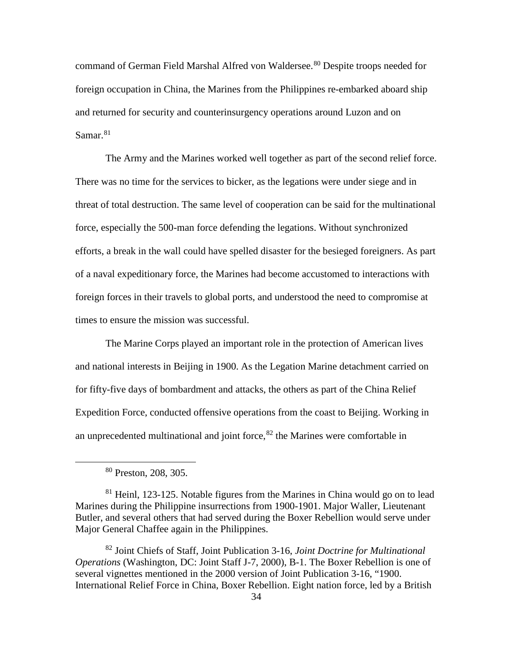command of German Field Marshal Alfred von Waldersee.<sup>[80](#page-40-0)</sup> Despite troops needed for foreign occupation in China, the Marines from the Philippines re-embarked aboard ship and returned for security and counterinsurgency operations around Luzon and on Samar.<sup>[81](#page-40-1)</sup>

The Army and the Marines worked well together as part of the second relief force. There was no time for the services to bicker, as the legations were under siege and in threat of total destruction. The same level of cooperation can be said for the multinational force, especially the 500-man force defending the legations. Without synchronized efforts, a break in the wall could have spelled disaster for the besieged foreigners. As part of a naval expeditionary force, the Marines had become accustomed to interactions with foreign forces in their travels to global ports, and understood the need to compromise at times to ensure the mission was successful.

The Marine Corps played an important role in the protection of American lives and national interests in Beijing in 1900. As the Legation Marine detachment carried on for fifty-five days of bombardment and attacks, the others as part of the China Relief Expedition Force, conducted offensive operations from the coast to Beijing. Working in an unprecedented multinational and joint force,  $82$  the Marines were comfortable in

 <sup>80</sup> Preston, 208, 305.

<span id="page-40-1"></span><span id="page-40-0"></span><sup>&</sup>lt;sup>81</sup> Heinl, 123-125. Notable figures from the Marines in China would go on to lead Marines during the Philippine insurrections from 1900-1901. Major Waller, Lieutenant Butler, and several others that had served during the Boxer Rebellion would serve under Major General Chaffee again in the Philippines.

<span id="page-40-2"></span><sup>82</sup> Joint Chiefs of Staff, Joint Publication 3-16, *Joint Doctrine for Multinational Operations* (Washington, DC: Joint Staff J-7, 2000), B-1. The Boxer Rebellion is one of several vignettes mentioned in the 2000 version of Joint Publication 3-16, "1900. International Relief Force in China, Boxer Rebellion. Eight nation force, led by a British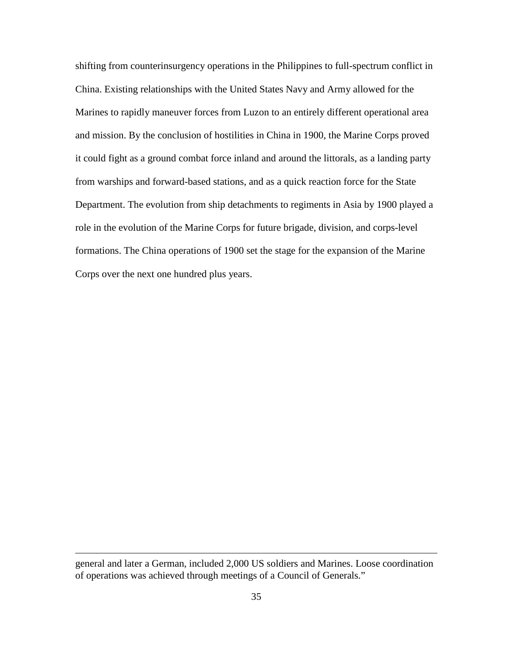shifting from counterinsurgency operations in the Philippines to full-spectrum conflict in China. Existing relationships with the United States Navy and Army allowed for the Marines to rapidly maneuver forces from Luzon to an entirely different operational area and mission. By the conclusion of hostilities in China in 1900, the Marine Corps proved it could fight as a ground combat force inland and around the littorals, as a landing party from warships and forward-based stations, and as a quick reaction force for the State Department. The evolution from ship detachments to regiments in Asia by 1900 played a role in the evolution of the Marine Corps for future brigade, division, and corps-level formations. The China operations of 1900 set the stage for the expansion of the Marine Corps over the next one hundred plus years.

general and later a German, included 2,000 US soldiers and Marines. Loose coordination of operations was achieved through meetings of a Council of Generals."

 $\overline{a}$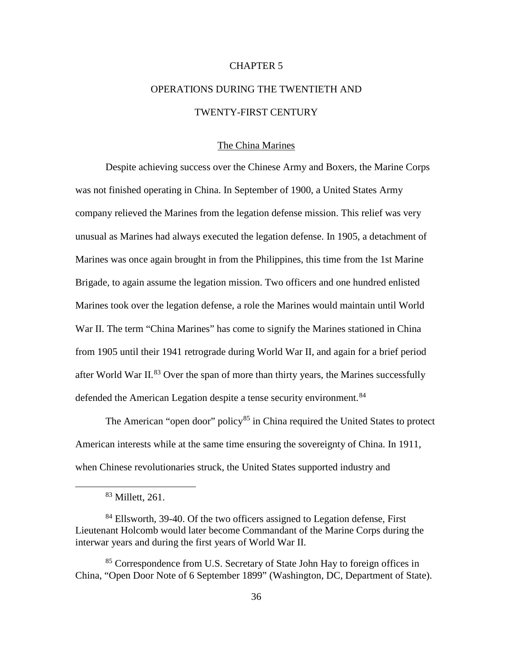## CHAPTER 5

# OPERATIONS DURING THE TWENTIETH AND TWENTY-FIRST CENTURY

#### The China Marines

Despite achieving success over the Chinese Army and Boxers, the Marine Corps was not finished operating in China. In September of 1900, a United States Army company relieved the Marines from the legation defense mission. This relief was very unusual as Marines had always executed the legation defense. In 1905, a detachment of Marines was once again brought in from the Philippines, this time from the 1st Marine Brigade, to again assume the legation mission. Two officers and one hundred enlisted Marines took over the legation defense, a role the Marines would maintain until World War II. The term "China Marines" has come to signify the Marines stationed in China from 1905 until their 1941 retrograde during World War II, and again for a brief period after World War II. $^{83}$  $^{83}$  $^{83}$  Over the span of more than thirty years, the Marines successfully defended the American Legation despite a tense security environment.<sup>[84](#page-42-1)</sup>

The American "open door" policy $85$  in China required the United States to protect American interests while at the same time ensuring the sovereignty of China. In 1911, when Chinese revolutionaries struck, the United States supported industry and

 <sup>83</sup> Millett, 261.

<span id="page-42-1"></span><span id="page-42-0"></span><sup>&</sup>lt;sup>84</sup> Ellsworth, 39-40. Of the two officers assigned to Legation defense, First Lieutenant Holcomb would later become Commandant of the Marine Corps during the interwar years and during the first years of World War II.

<span id="page-42-2"></span><sup>&</sup>lt;sup>85</sup> Correspondence from U.S. Secretary of State John Hay to foreign offices in China, "Open Door Note of 6 September 1899" (Washington, DC, Department of State).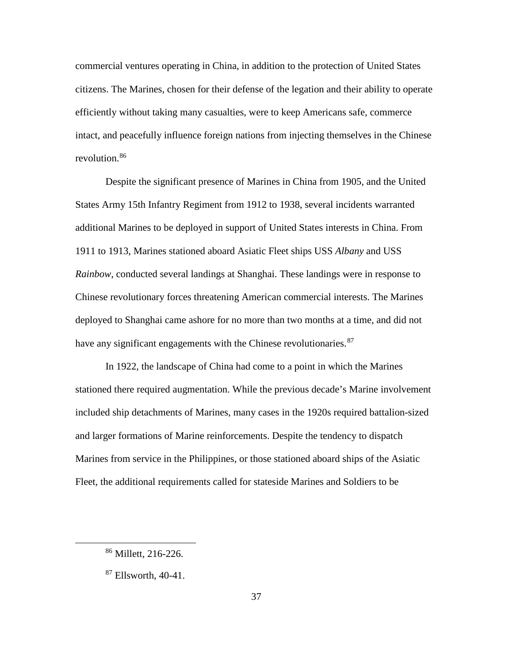commercial ventures operating in China, in addition to the protection of United States citizens. The Marines, chosen for their defense of the legation and their ability to operate efficiently without taking many casualties, were to keep Americans safe, commerce intact, and peacefully influence foreign nations from injecting themselves in the Chinese revolution.[86](#page-43-0)

Despite the significant presence of Marines in China from 1905, and the United States Army 15th Infantry Regiment from 1912 to 1938, several incidents warranted additional Marines to be deployed in support of United States interests in China. From 1911 to 1913, Marines stationed aboard Asiatic Fleet ships USS *Albany* and USS *Rainbow*, conducted several landings at Shanghai. These landings were in response to Chinese revolutionary forces threatening American commercial interests. The Marines deployed to Shanghai came ashore for no more than two months at a time, and did not have any significant engagements with the Chinese revolutionaries.<sup>[87](#page-43-1)</sup>

In 1922, the landscape of China had come to a point in which the Marines stationed there required augmentation. While the previous decade's Marine involvement included ship detachments of Marines, many cases in the 1920s required battalion-sized and larger formations of Marine reinforcements. Despite the tendency to dispatch Marines from service in the Philippines, or those stationed aboard ships of the Asiatic Fleet, the additional requirements called for stateside Marines and Soldiers to be

<span id="page-43-0"></span> <sup>86</sup> Millett, 216-226.

<span id="page-43-1"></span> $87$  Ellsworth, 40-41.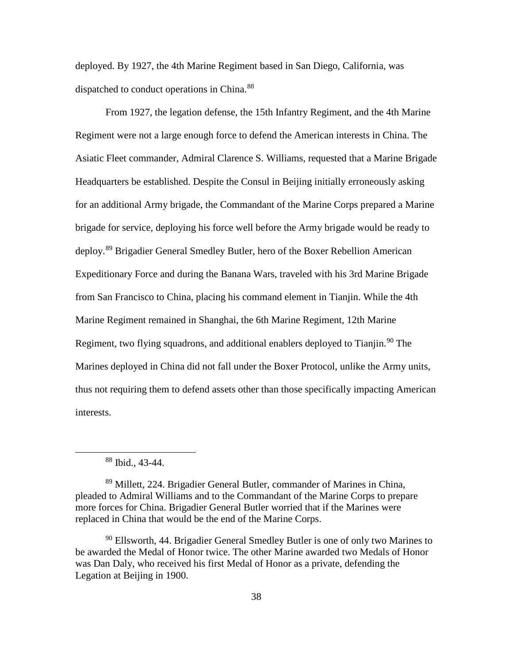deployed. By 1927, the 4th Marine Regiment based in San Diego, California, was dispatched to conduct operations in China.<sup>[88](#page-44-0)</sup>

From 1927, the legation defense, the 15th Infantry Regiment, and the 4th Marine Regiment were not a large enough force to defend the American interests in China. The Asiatic Fleet commander, Admiral Clarence S. Williams, requested that a Marine Brigade Headquarters be established. Despite the Consul in Beijing initially erroneously asking for an additional Army brigade, the Commandant of the Marine Corps prepared a Marine brigade for service, deploying his force well before the Army brigade would be ready to deploy.[89](#page-44-1) Brigadier General Smedley Butler, hero of the Boxer Rebellion American Expeditionary Force and during the Banana Wars, traveled with his 3rd Marine Brigade from San Francisco to China, placing his command element in Tianjin. While the 4th Marine Regiment remained in Shanghai, the 6th Marine Regiment, 12th Marine Regiment, two flying squadrons, and additional enablers deployed to Tianjin.<sup>[90](#page-44-2)</sup> The Marines deployed in China did not fall under the Boxer Protocol, unlike the Army units, thus not requiring them to defend assets other than those specifically impacting American interests.

 <sup>88</sup> Ibid., 43-44.

<span id="page-44-1"></span><span id="page-44-0"></span><sup>89</sup> Millett, 224. Brigadier General Butler, commander of Marines in China, pleaded to Admiral Williams and to the Commandant of the Marine Corps to prepare more forces for China. Brigadier General Butler worried that if the Marines were replaced in China that would be the end of the Marine Corps.

<span id="page-44-2"></span><sup>&</sup>lt;sup>90</sup> Ellsworth, 44. Brigadier General Smedley Butler is one of only two Marines to be awarded the Medal of Honor twice. The other Marine awarded two Medals of Honor was Dan Daly, who received his first Medal of Honor as a private, defending the Legation at Beijing in 1900.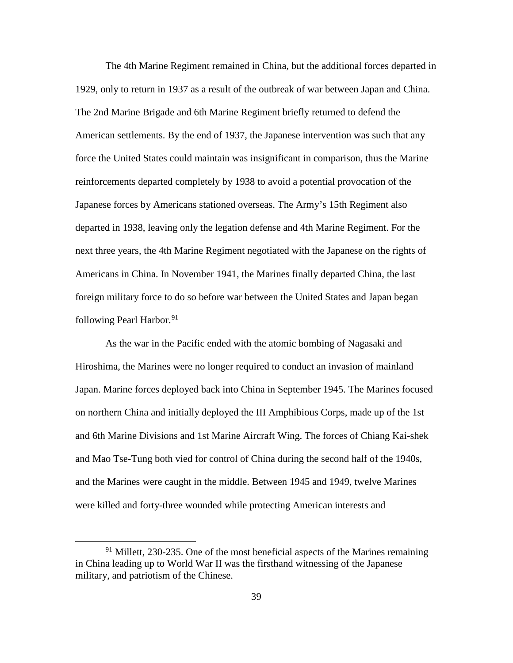The 4th Marine Regiment remained in China, but the additional forces departed in 1929, only to return in 1937 as a result of the outbreak of war between Japan and China. The 2nd Marine Brigade and 6th Marine Regiment briefly returned to defend the American settlements. By the end of 1937, the Japanese intervention was such that any force the United States could maintain was insignificant in comparison, thus the Marine reinforcements departed completely by 1938 to avoid a potential provocation of the Japanese forces by Americans stationed overseas. The Army's 15th Regiment also departed in 1938, leaving only the legation defense and 4th Marine Regiment. For the next three years, the 4th Marine Regiment negotiated with the Japanese on the rights of Americans in China. In November 1941, the Marines finally departed China, the last foreign military force to do so before war between the United States and Japan began following Pearl Harbor.<sup>[91](#page-45-0)</sup>

As the war in the Pacific ended with the atomic bombing of Nagasaki and Hiroshima, the Marines were no longer required to conduct an invasion of mainland Japan. Marine forces deployed back into China in September 1945. The Marines focused on northern China and initially deployed the III Amphibious Corps, made up of the 1st and 6th Marine Divisions and 1st Marine Aircraft Wing. The forces of Chiang Kai-shek and Mao Tse-Tung both vied for control of China during the second half of the 1940s, and the Marines were caught in the middle. Between 1945 and 1949, twelve Marines were killed and forty-three wounded while protecting American interests and

<span id="page-45-0"></span> $91$  Millett, 230-235. One of the most beneficial aspects of the Marines remaining in China leading up to World War II was the firsthand witnessing of the Japanese military, and patriotism of the Chinese.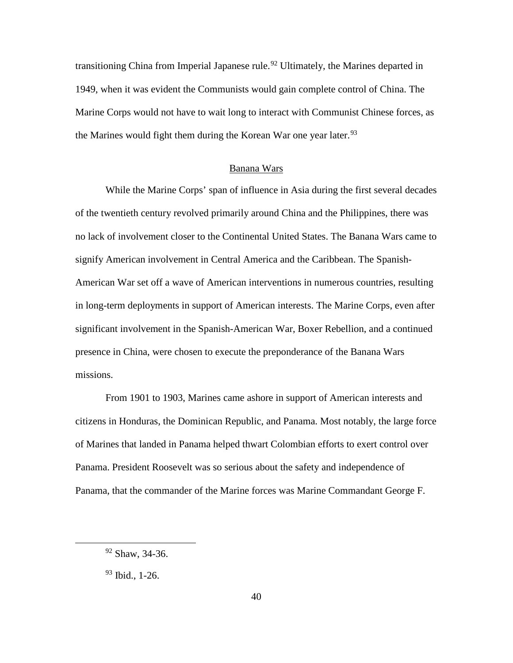transitioning China from Imperial Japanese rule.<sup>[92](#page-46-0)</sup> Ultimately, the Marines departed in 1949, when it was evident the Communists would gain complete control of China. The Marine Corps would not have to wait long to interact with Communist Chinese forces, as the Marines would fight them during the Korean War one year later.  $93$ 

#### Banana Wars

While the Marine Corps' span of influence in Asia during the first several decades of the twentieth century revolved primarily around China and the Philippines, there was no lack of involvement closer to the Continental United States. The Banana Wars came to signify American involvement in Central America and the Caribbean. The Spanish-American War set off a wave of American interventions in numerous countries, resulting in long-term deployments in support of American interests. The Marine Corps, even after significant involvement in the Spanish-American War, Boxer Rebellion, and a continued presence in China, were chosen to execute the preponderance of the Banana Wars missions.

From 1901 to 1903, Marines came ashore in support of American interests and citizens in Honduras, the Dominican Republic, and Panama. Most notably, the large force of Marines that landed in Panama helped thwart Colombian efforts to exert control over Panama. President Roosevelt was so serious about the safety and independence of Panama, that the commander of the Marine forces was Marine Commandant George F.

<span id="page-46-0"></span> <sup>92</sup> Shaw, 34-36.

<span id="page-46-1"></span><sup>93</sup> Ibid., 1-26.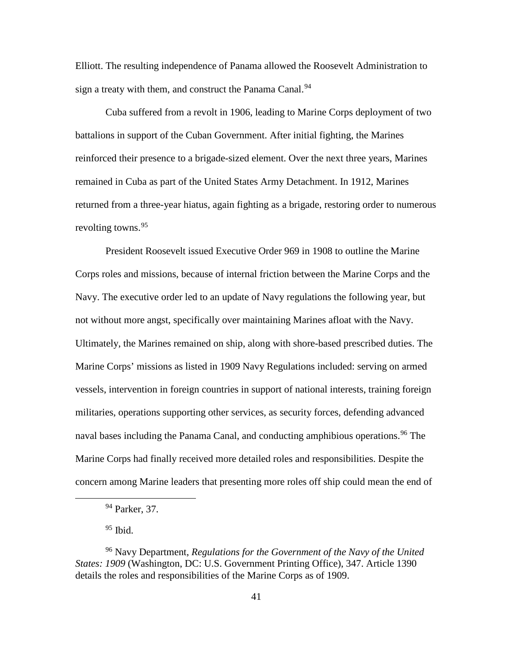Elliott. The resulting independence of Panama allowed the Roosevelt Administration to sign a treaty with them, and construct the Panama Canal.<sup>[94](#page-47-0)</sup>

Cuba suffered from a revolt in 1906, leading to Marine Corps deployment of two battalions in support of the Cuban Government. After initial fighting, the Marines reinforced their presence to a brigade-sized element. Over the next three years, Marines remained in Cuba as part of the United States Army Detachment. In 1912, Marines returned from a three-year hiatus, again fighting as a brigade, restoring order to numerous revolting towns.<sup>[95](#page-47-1)</sup>

President Roosevelt issued Executive Order 969 in 1908 to outline the Marine Corps roles and missions, because of internal friction between the Marine Corps and the Navy. The executive order led to an update of Navy regulations the following year, but not without more angst, specifically over maintaining Marines afloat with the Navy. Ultimately, the Marines remained on ship, along with shore-based prescribed duties. The Marine Corps' missions as listed in 1909 Navy Regulations included: serving on armed vessels, intervention in foreign countries in support of national interests, training foreign militaries, operations supporting other services, as security forces, defending advanced naval bases including the Panama Canal, and conducting amphibious operations.<sup>[96](#page-47-2)</sup> The Marine Corps had finally received more detailed roles and responsibilities. Despite the concern among Marine leaders that presenting more roles off ship could mean the end of

 $95$  Ibid.

 <sup>94</sup> Parker, 37.

<span id="page-47-2"></span><span id="page-47-1"></span><span id="page-47-0"></span><sup>96</sup> Navy Department, *Regulations for the Government of the Navy of the United States: 1909* (Washington, DC: U.S. Government Printing Office), 347. Article 1390 details the roles and responsibilities of the Marine Corps as of 1909.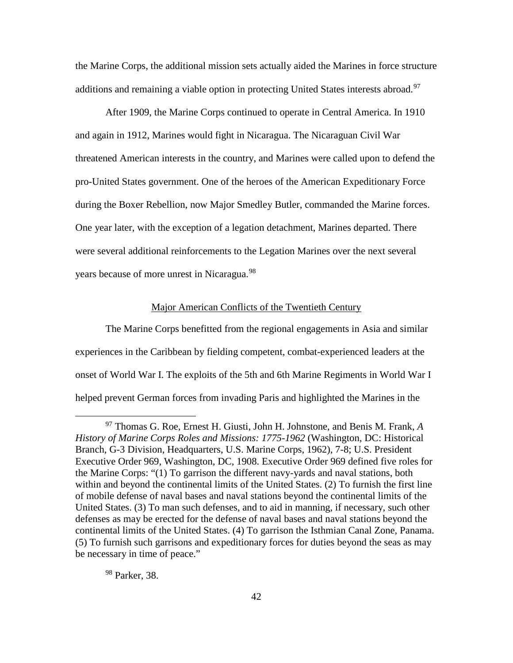the Marine Corps, the additional mission sets actually aided the Marines in force structure additions and remaining a viable option in protecting United States interests abroad.<sup>[97](#page-48-0)</sup>

After 1909, the Marine Corps continued to operate in Central America. In 1910 and again in 1912, Marines would fight in Nicaragua. The Nicaraguan Civil War threatened American interests in the country, and Marines were called upon to defend the pro-United States government. One of the heroes of the American Expeditionary Force during the Boxer Rebellion, now Major Smedley Butler, commanded the Marine forces. One year later, with the exception of a legation detachment, Marines departed. There were several additional reinforcements to the Legation Marines over the next several years because of more unrest in Nicaragua.<sup>[98](#page-48-1)</sup>

# Major American Conflicts of the Twentieth Century

The Marine Corps benefitted from the regional engagements in Asia and similar experiences in the Caribbean by fielding competent, combat-experienced leaders at the onset of World War I. The exploits of the 5th and 6th Marine Regiments in World War I helped prevent German forces from invading Paris and highlighted the Marines in the

<span id="page-48-1"></span><sup>98</sup> Parker, 38.

<span id="page-48-0"></span> <sup>97</sup> Thomas G. Roe, Ernest H. Giusti, John H. Johnstone, and Benis M. Frank, *<sup>A</sup> History of Marine Corps Roles and Missions: 1775-1962* (Washington, DC: Historical Branch, G-3 Division, Headquarters, U.S. Marine Corps, 1962), 7-8; U.S. President Executive Order 969, Washington, DC, 1908. Executive Order 969 defined five roles for the Marine Corps: "(1) To garrison the different navy-yards and naval stations, both within and beyond the continental limits of the United States. (2) To furnish the first line of mobile defense of naval bases and naval stations beyond the continental limits of the United States. (3) To man such defenses, and to aid in manning, if necessary, such other defenses as may be erected for the defense of naval bases and naval stations beyond the continental limits of the United States. (4) To garrison the Isthmian Canal Zone, Panama. (5) To furnish such garrisons and expeditionary forces for duties beyond the seas as may be necessary in time of peace."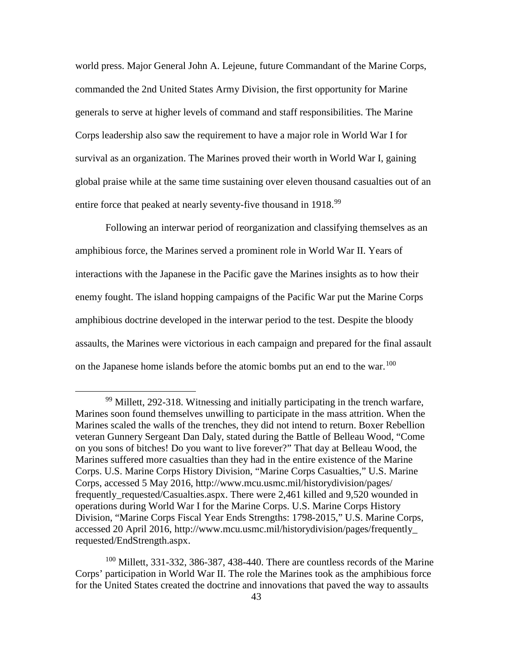world press. Major General John A. Lejeune, future Commandant of the Marine Corps, commanded the 2nd United States Army Division, the first opportunity for Marine generals to serve at higher levels of command and staff responsibilities. The Marine Corps leadership also saw the requirement to have a major role in World War I for survival as an organization. The Marines proved their worth in World War I, gaining global praise while at the same time sustaining over eleven thousand casualties out of an entire force that peaked at nearly seventy-five thousand in 1918.<sup>[99](#page-49-0)</sup>

Following an interwar period of reorganization and classifying themselves as an amphibious force, the Marines served a prominent role in World War II. Years of interactions with the Japanese in the Pacific gave the Marines insights as to how their enemy fought. The island hopping campaigns of the Pacific War put the Marine Corps amphibious doctrine developed in the interwar period to the test. Despite the bloody assaults, the Marines were victorious in each campaign and prepared for the final assault on the Japanese home islands before the atomic bombs put an end to the war.<sup>[100](#page-49-1)</sup>

<span id="page-49-0"></span><sup>&</sup>lt;sup>99</sup> Millett, 292-318. Witnessing and initially participating in the trench warfare, Marines soon found themselves unwilling to participate in the mass attrition. When the Marines scaled the walls of the trenches, they did not intend to return. Boxer Rebellion veteran Gunnery Sergeant Dan Daly, stated during the Battle of Belleau Wood, "Come on you sons of bitches! Do you want to live forever?" That day at Belleau Wood, the Marines suffered more casualties than they had in the entire existence of the Marine Corps. U.S. Marine Corps History Division, "Marine Corps Casualties," U.S. Marine Corps, accessed 5 May 2016, http://www.mcu.usmc.mil/historydivision/pages/ frequently requested/Casualties.aspx. There were 2,461 killed and 9,520 wounded in operations during World War I for the Marine Corps. U.S. Marine Corps History Division, "Marine Corps Fiscal Year Ends Strengths: 1798-2015," U.S. Marine Corps, accessed 20 April 2016, http://www.mcu.usmc.mil/historydivision/pages/frequently\_ requested/EndStrength.aspx.

<span id="page-49-1"></span> $100$  Millett, 331-332, 386-387, 438-440. There are countless records of the Marine Corps' participation in World War II. The role the Marines took as the amphibious force for the United States created the doctrine and innovations that paved the way to assaults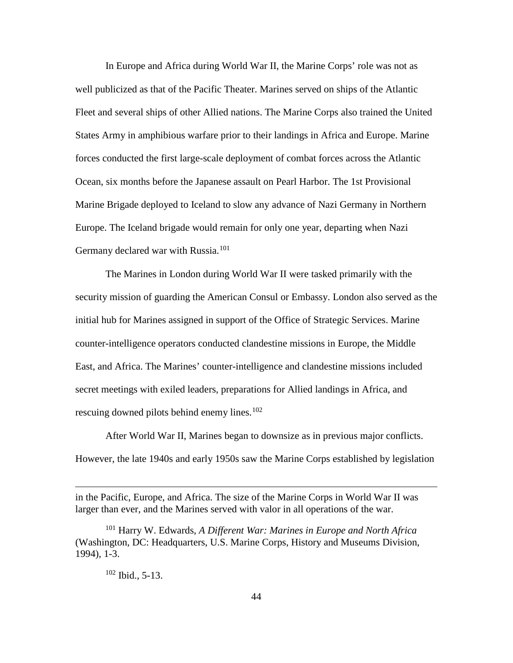In Europe and Africa during World War II, the Marine Corps' role was not as well publicized as that of the Pacific Theater. Marines served on ships of the Atlantic Fleet and several ships of other Allied nations. The Marine Corps also trained the United States Army in amphibious warfare prior to their landings in Africa and Europe. Marine forces conducted the first large-scale deployment of combat forces across the Atlantic Ocean, six months before the Japanese assault on Pearl Harbor. The 1st Provisional Marine Brigade deployed to Iceland to slow any advance of Nazi Germany in Northern Europe. The Iceland brigade would remain for only one year, departing when Nazi Germany declared war with Russia.<sup>[101](#page-50-0)</sup>

The Marines in London during World War II were tasked primarily with the security mission of guarding the American Consul or Embassy. London also served as the initial hub for Marines assigned in support of the Office of Strategic Services. Marine counter-intelligence operators conducted clandestine missions in Europe, the Middle East, and Africa. The Marines' counter-intelligence and clandestine missions included secret meetings with exiled leaders, preparations for Allied landings in Africa, and rescuing downed pilots behind enemy lines. $102$ 

After World War II, Marines began to downsize as in previous major conflicts. However, the late 1940s and early 1950s saw the Marine Corps established by legislation

# <sup>102</sup> Ibid., 5-13.

 $\overline{a}$ 

in the Pacific, Europe, and Africa. The size of the Marine Corps in World War II was larger than ever, and the Marines served with valor in all operations of the war.

<span id="page-50-1"></span><span id="page-50-0"></span><sup>101</sup> Harry W. Edwards, *A Different War: Marines in Europe and North Africa* (Washington, DC: Headquarters, U.S. Marine Corps, History and Museums Division, 1994), 1-3.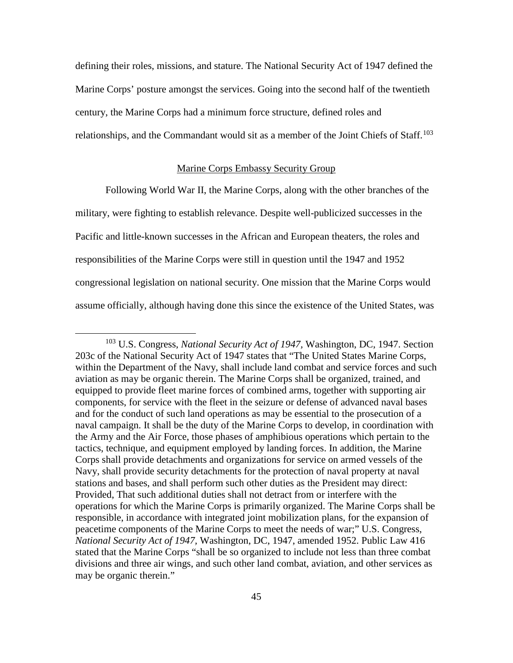defining their roles, missions, and stature. The National Security Act of 1947 defined the Marine Corps' posture amongst the services. Going into the second half of the twentieth century, the Marine Corps had a minimum force structure, defined roles and relationships, and the Commandant would sit as a member of the Joint Chiefs of Staff.<sup>[103](#page-51-0)</sup>

#### Marine Corps Embassy Security Group

Following World War II, the Marine Corps, along with the other branches of the military, were fighting to establish relevance. Despite well-publicized successes in the Pacific and little-known successes in the African and European theaters, the roles and responsibilities of the Marine Corps were still in question until the 1947 and 1952 congressional legislation on national security. One mission that the Marine Corps would assume officially, although having done this since the existence of the United States, was

<span id="page-51-0"></span> <sup>103</sup> U.S. Congress, *National Security Act of 1947,* Washington, DC, 1947. Section 203c of the National Security Act of 1947 states that "The United States Marine Corps, within the Department of the Navy, shall include land combat and service forces and such aviation as may be organic therein. The Marine Corps shall be organized, trained, and equipped to provide fleet marine forces of combined arms, together with supporting air components, for service with the fleet in the seizure or defense of advanced naval bases and for the conduct of such land operations as may be essential to the prosecution of a naval campaign. It shall be the duty of the Marine Corps to develop, in coordination with the Army and the Air Force, those phases of amphibious operations which pertain to the tactics, technique, and equipment employed by landing forces. In addition, the Marine Corps shall provide detachments and organizations for service on armed vessels of the Navy, shall provide security detachments for the protection of naval property at naval stations and bases, and shall perform such other duties as the President may direct: Provided, That such additional duties shall not detract from or interfere with the operations for which the Marine Corps is primarily organized. The Marine Corps shall be responsible, in accordance with integrated joint mobilization plans, for the expansion of peacetime components of the Marine Corps to meet the needs of war;" U.S. Congress, *National Security Act of 1947,* Washington, DC, 1947, amended 1952. Public Law 416 stated that the Marine Corps "shall be so organized to include not less than three combat divisions and three air wings, and such other land combat, aviation, and other services as may be organic therein."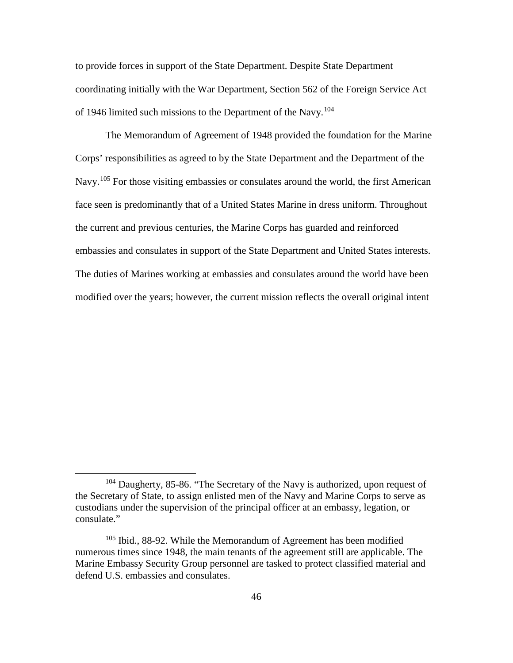to provide forces in support of the State Department. Despite State Department coordinating initially with the War Department, Section 562 of the Foreign Service Act of 1946 limited such missions to the Department of the Navy.[104](#page-52-0)

The Memorandum of Agreement of 1948 provided the foundation for the Marine Corps' responsibilities as agreed to by the State Department and the Department of the Navy.<sup>[105](#page-52-1)</sup> For those visiting embassies or consulates around the world, the first American face seen is predominantly that of a United States Marine in dress uniform. Throughout the current and previous centuries, the Marine Corps has guarded and reinforced embassies and consulates in support of the State Department and United States interests. The duties of Marines working at embassies and consulates around the world have been modified over the years; however, the current mission reflects the overall original intent

<span id="page-52-0"></span><sup>&</sup>lt;sup>104</sup> Daugherty, 85-86. "The Secretary of the Navy is authorized, upon request of the Secretary of State, to assign enlisted men of the Navy and Marine Corps to serve as custodians under the supervision of the principal officer at an embassy, legation, or consulate."

<span id="page-52-1"></span><sup>&</sup>lt;sup>105</sup> Ibid., 88-92. While the Memorandum of Agreement has been modified numerous times since 1948, the main tenants of the agreement still are applicable. The Marine Embassy Security Group personnel are tasked to protect classified material and defend U.S. embassies and consulates.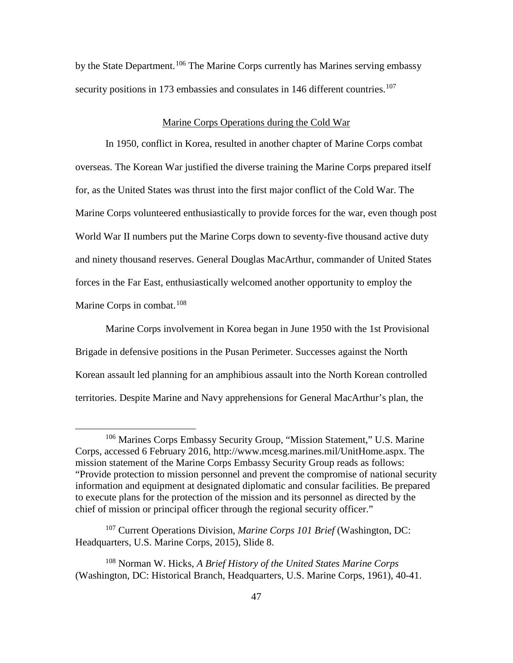by the State Department.<sup>[106](#page-53-0)</sup> The Marine Corps currently has Marines serving embassy security positions in 173 embassies and consulates in 146 different countries.<sup>[107](#page-53-1)</sup>

#### Marine Corps Operations during the Cold War

In 1950, conflict in Korea, resulted in another chapter of Marine Corps combat overseas. The Korean War justified the diverse training the Marine Corps prepared itself for, as the United States was thrust into the first major conflict of the Cold War. The Marine Corps volunteered enthusiastically to provide forces for the war, even though post World War II numbers put the Marine Corps down to seventy-five thousand active duty and ninety thousand reserves. General Douglas MacArthur, commander of United States forces in the Far East, enthusiastically welcomed another opportunity to employ the Marine Corps in combat.<sup>[108](#page-53-2)</sup>

Marine Corps involvement in Korea began in June 1950 with the 1st Provisional Brigade in defensive positions in the Pusan Perimeter. Successes against the North Korean assault led planning for an amphibious assault into the North Korean controlled territories. Despite Marine and Navy apprehensions for General MacArthur's plan, the

<span id="page-53-0"></span> <sup>106</sup> Marines Corps Embassy Security Group, "Mission Statement," U.S. Marine Corps, accessed 6 February 2016, http://www.mcesg.marines.mil/UnitHome.aspx. The mission statement of the Marine Corps Embassy Security Group reads as follows: "Provide protection to mission personnel and prevent the compromise of national security information and equipment at designated diplomatic and consular facilities. Be prepared to execute plans for the protection of the mission and its personnel as directed by the chief of mission or principal officer through the regional security officer."

<span id="page-53-1"></span><sup>107</sup> Current Operations Division, *Marine Corps 101 Brief* (Washington, DC: Headquarters, U.S. Marine Corps, 2015), Slide 8.

<span id="page-53-2"></span><sup>108</sup> Norman W. Hicks, *A Brief History of the United States Marine Corps* (Washington, DC: Historical Branch, Headquarters, U.S. Marine Corps, 1961), 40-41.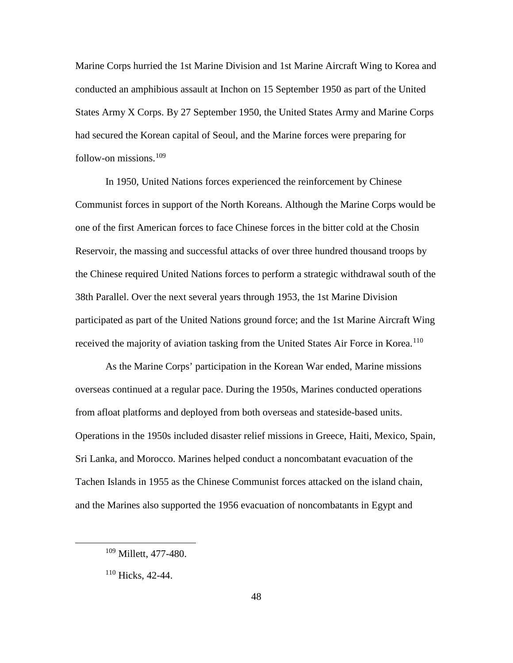Marine Corps hurried the 1st Marine Division and 1st Marine Aircraft Wing to Korea and conducted an amphibious assault at Inchon on 15 September 1950 as part of the United States Army X Corps. By 27 September 1950, the United States Army and Marine Corps had secured the Korean capital of Seoul, and the Marine forces were preparing for follow-on missions. [109](#page-54-0)

In 1950, United Nations forces experienced the reinforcement by Chinese Communist forces in support of the North Koreans. Although the Marine Corps would be one of the first American forces to face Chinese forces in the bitter cold at the Chosin Reservoir, the massing and successful attacks of over three hundred thousand troops by the Chinese required United Nations forces to perform a strategic withdrawal south of the 38th Parallel. Over the next several years through 1953, the 1st Marine Division participated as part of the United Nations ground force; and the 1st Marine Aircraft Wing received the majority of aviation tasking from the United States Air Force in Korea.<sup>[110](#page-54-1)</sup>

As the Marine Corps' participation in the Korean War ended, Marine missions overseas continued at a regular pace. During the 1950s, Marines conducted operations from afloat platforms and deployed from both overseas and stateside-based units. Operations in the 1950s included disaster relief missions in Greece, Haiti, Mexico, Spain, Sri Lanka, and Morocco. Marines helped conduct a noncombatant evacuation of the Tachen Islands in 1955 as the Chinese Communist forces attacked on the island chain, and the Marines also supported the 1956 evacuation of noncombatants in Egypt and

<span id="page-54-0"></span> <sup>109</sup> Millett, 477-480.

<span id="page-54-1"></span> $110$  Hicks, 42-44.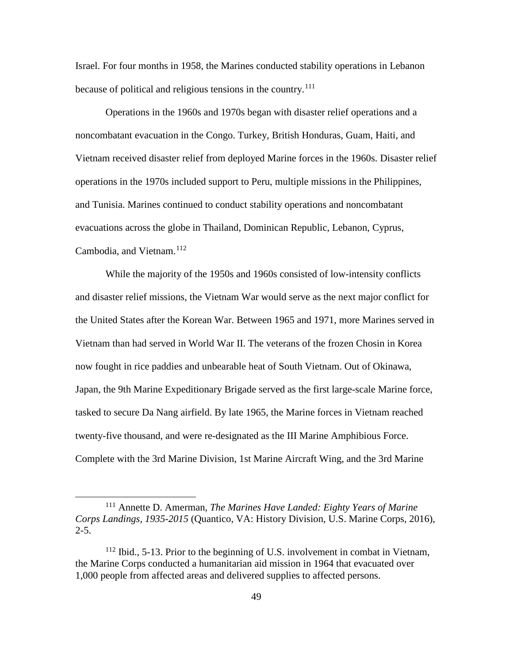Israel. For four months in 1958, the Marines conducted stability operations in Lebanon because of political and religious tensions in the country.<sup>[111](#page-55-0)</sup>

Operations in the 1960s and 1970s began with disaster relief operations and a noncombatant evacuation in the Congo. Turkey, British Honduras, Guam, Haiti, and Vietnam received disaster relief from deployed Marine forces in the 1960s. Disaster relief operations in the 1970s included support to Peru, multiple missions in the Philippines, and Tunisia. Marines continued to conduct stability operations and noncombatant evacuations across the globe in Thailand, Dominican Republic, Lebanon, Cyprus, Cambodia, and Vietnam.<sup>[112](#page-55-1)</sup>

While the majority of the 1950s and 1960s consisted of low-intensity conflicts and disaster relief missions, the Vietnam War would serve as the next major conflict for the United States after the Korean War. Between 1965 and 1971, more Marines served in Vietnam than had served in World War II. The veterans of the frozen Chosin in Korea now fought in rice paddies and unbearable heat of South Vietnam. Out of Okinawa, Japan, the 9th Marine Expeditionary Brigade served as the first large-scale Marine force, tasked to secure Da Nang airfield. By late 1965, the Marine forces in Vietnam reached twenty-five thousand, and were re-designated as the III Marine Amphibious Force. Complete with the 3rd Marine Division, 1st Marine Aircraft Wing, and the 3rd Marine

<span id="page-55-0"></span> <sup>111</sup> Annette D. Amerman, *The Marines Have Landed: Eighty Years of Marine Corps Landings, 1935-2015* (Quantico, VA: History Division, U.S. Marine Corps, 2016),  $2 - 5$ .

<span id="page-55-1"></span> $112$  Ibid., 5-13. Prior to the beginning of U.S. involvement in combat in Vietnam, the Marine Corps conducted a humanitarian aid mission in 1964 that evacuated over 1,000 people from affected areas and delivered supplies to affected persons.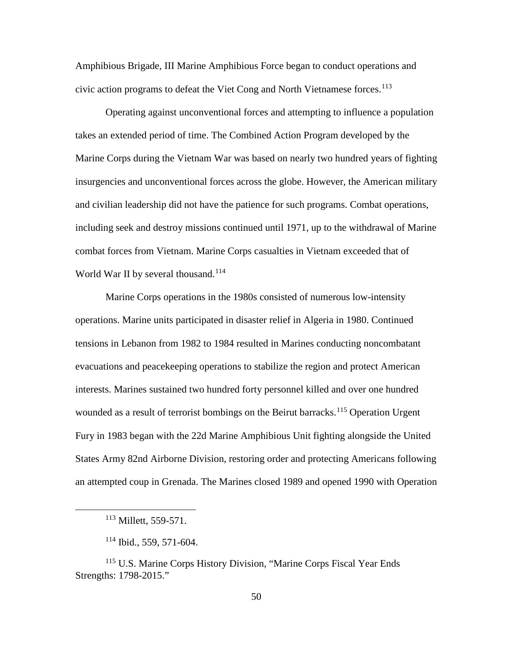Amphibious Brigade, III Marine Amphibious Force began to conduct operations and civic action programs to defeat the Viet Cong and North Vietnamese forces.<sup>[113](#page-56-0)</sup>

Operating against unconventional forces and attempting to influence a population takes an extended period of time. The Combined Action Program developed by the Marine Corps during the Vietnam War was based on nearly two hundred years of fighting insurgencies and unconventional forces across the globe. However, the American military and civilian leadership did not have the patience for such programs. Combat operations, including seek and destroy missions continued until 1971, up to the withdrawal of Marine combat forces from Vietnam. Marine Corps casualties in Vietnam exceeded that of World War II by several thousand.<sup>[114](#page-56-1)</sup>

Marine Corps operations in the 1980s consisted of numerous low-intensity operations. Marine units participated in disaster relief in Algeria in 1980. Continued tensions in Lebanon from 1982 to 1984 resulted in Marines conducting noncombatant evacuations and peacekeeping operations to stabilize the region and protect American interests. Marines sustained two hundred forty personnel killed and over one hundred wounded as a result of terrorist bombings on the Beirut barracks. [115](#page-56-2) Operation Urgent Fury in 1983 began with the 22d Marine Amphibious Unit fighting alongside the United States Army 82nd Airborne Division, restoring order and protecting Americans following an attempted coup in Grenada. The Marines closed 1989 and opened 1990 with Operation

<sup>&</sup>lt;sup>113</sup> Millett, 559-571.

 $114$  Ibid., 559, 571-604.

<span id="page-56-2"></span><span id="page-56-1"></span><span id="page-56-0"></span><sup>115</sup> U.S. Marine Corps History Division, "Marine Corps Fiscal Year Ends Strengths: 1798-2015."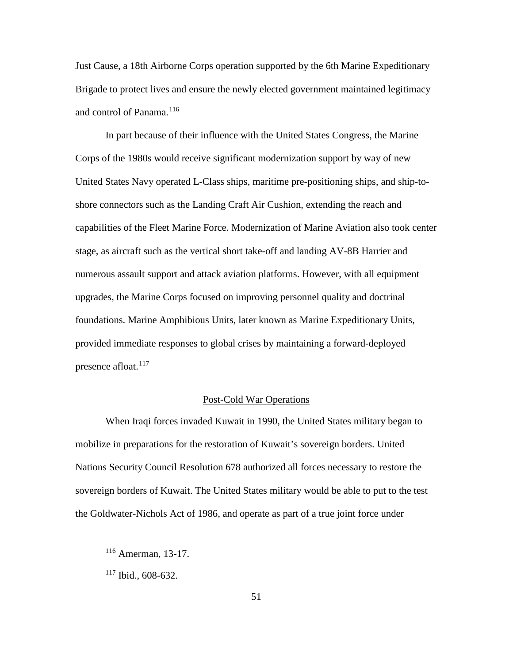Just Cause, a 18th Airborne Corps operation supported by the 6th Marine Expeditionary Brigade to protect lives and ensure the newly elected government maintained legitimacy and control of Panama.<sup>[116](#page-57-0)</sup>

In part because of their influence with the United States Congress, the Marine Corps of the 1980s would receive significant modernization support by way of new United States Navy operated L-Class ships, maritime pre-positioning ships, and ship-toshore connectors such as the Landing Craft Air Cushion, extending the reach and capabilities of the Fleet Marine Force. Modernization of Marine Aviation also took center stage, as aircraft such as the vertical short take-off and landing AV-8B Harrier and numerous assault support and attack aviation platforms. However, with all equipment upgrades, the Marine Corps focused on improving personnel quality and doctrinal foundations. Marine Amphibious Units, later known as Marine Expeditionary Units, provided immediate responses to global crises by maintaining a forward-deployed presence afloat. $117$ 

#### Post-Cold War Operations

When Iraqi forces invaded Kuwait in 1990, the United States military began to mobilize in preparations for the restoration of Kuwait's sovereign borders. United Nations Security Council Resolution 678 authorized all forces necessary to restore the sovereign borders of Kuwait. The United States military would be able to put to the test the Goldwater-Nichols Act of 1986, and operate as part of a true joint force under

<span id="page-57-0"></span> <sup>116</sup> Amerman, 13-17.

<span id="page-57-1"></span> $117$  Ibid., 608-632.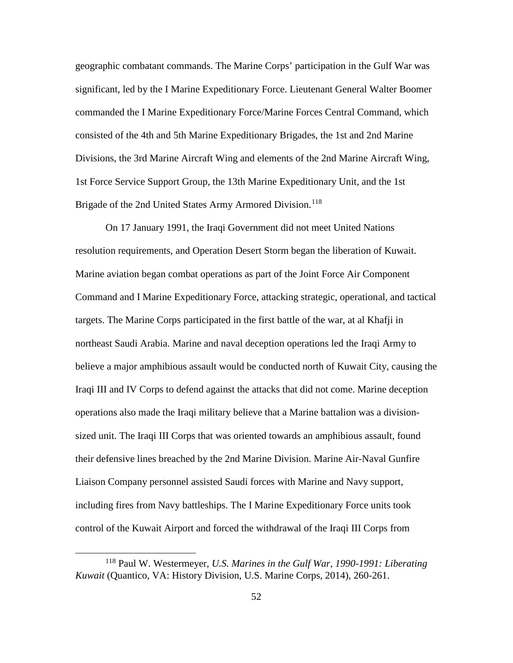geographic combatant commands. The Marine Corps' participation in the Gulf War was significant, led by the I Marine Expeditionary Force. Lieutenant General Walter Boomer commanded the I Marine Expeditionary Force/Marine Forces Central Command, which consisted of the 4th and 5th Marine Expeditionary Brigades, the 1st and 2nd Marine Divisions, the 3rd Marine Aircraft Wing and elements of the 2nd Marine Aircraft Wing, 1st Force Service Support Group, the 13th Marine Expeditionary Unit, and the 1st Brigade of the 2nd United States Army Armored Division.<sup>[118](#page-58-0)</sup>

On 17 January 1991, the Iraqi Government did not meet United Nations resolution requirements, and Operation Desert Storm began the liberation of Kuwait. Marine aviation began combat operations as part of the Joint Force Air Component Command and I Marine Expeditionary Force, attacking strategic, operational, and tactical targets. The Marine Corps participated in the first battle of the war, at al Khafji in northeast Saudi Arabia. Marine and naval deception operations led the Iraqi Army to believe a major amphibious assault would be conducted north of Kuwait City, causing the Iraqi III and IV Corps to defend against the attacks that did not come. Marine deception operations also made the Iraqi military believe that a Marine battalion was a divisionsized unit. The Iraqi III Corps that was oriented towards an amphibious assault, found their defensive lines breached by the 2nd Marine Division. Marine Air-Naval Gunfire Liaison Company personnel assisted Saudi forces with Marine and Navy support, including fires from Navy battleships. The I Marine Expeditionary Force units took control of the Kuwait Airport and forced the withdrawal of the Iraqi III Corps from

<span id="page-58-0"></span> <sup>118</sup> Paul W. Westermeyer, *U.S. Marines in the Gulf War, 1990-1991: Liberating Kuwait* (Quantico, VA: History Division, U.S. Marine Corps, 2014), 260-261.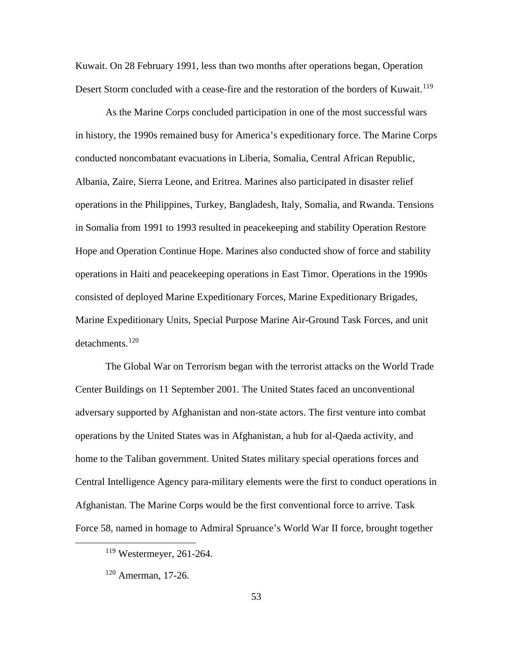Kuwait. On 28 February 1991, less than two months after operations began, Operation Desert Storm concluded with a cease-fire and the restoration of the borders of Kuwait.<sup>[119](#page-59-0)</sup>

As the Marine Corps concluded participation in one of the most successful wars in history, the 1990s remained busy for America's expeditionary force. The Marine Corps conducted noncombatant evacuations in Liberia, Somalia, Central African Republic, Albania, Zaire, Sierra Leone, and Eritrea. Marines also participated in disaster relief operations in the Philippines, Turkey, Bangladesh, Italy, Somalia, and Rwanda. Tensions in Somalia from 1991 to 1993 resulted in peacekeeping and stability Operation Restore Hope and Operation Continue Hope. Marines also conducted show of force and stability operations in Haiti and peacekeeping operations in East Timor. Operations in the 1990s consisted of deployed Marine Expeditionary Forces, Marine Expeditionary Brigades, Marine Expeditionary Units, Special Purpose Marine Air-Ground Task Forces, and unit detachments.<sup>[120](#page-59-1)</sup>

The Global War on Terrorism began with the terrorist attacks on the World Trade Center Buildings on 11 September 2001. The United States faced an unconventional adversary supported by Afghanistan and non-state actors. The first venture into combat operations by the United States was in Afghanistan, a hub for al-Qaeda activity, and home to the Taliban government. United States military special operations forces and Central Intelligence Agency para-military elements were the first to conduct operations in Afghanistan. The Marine Corps would be the first conventional force to arrive. Task Force 58, named in homage to Admiral Spruance's World War II force, brought together

<span id="page-59-0"></span> <sup>119</sup> Westermeyer, 261-264.

<span id="page-59-1"></span><sup>120</sup> Amerman, 17-26.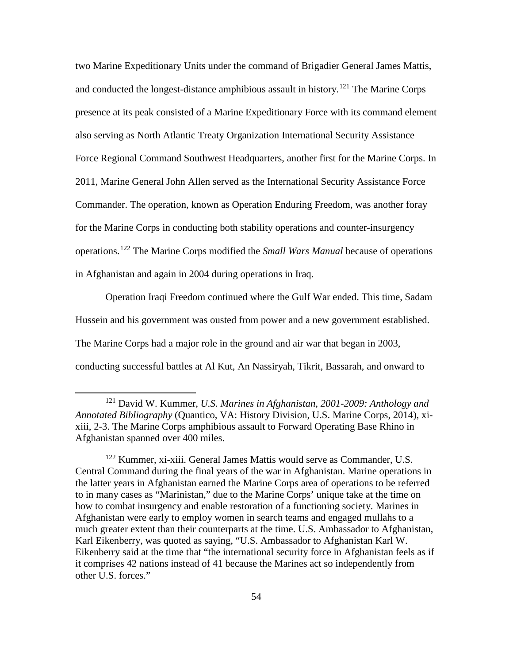two Marine Expeditionary Units under the command of Brigadier General James Mattis, and conducted the longest-distance amphibious assault in history.<sup>[121](#page-60-0)</sup> The Marine Corps presence at its peak consisted of a Marine Expeditionary Force with its command element also serving as North Atlantic Treaty Organization International Security Assistance Force Regional Command Southwest Headquarters, another first for the Marine Corps. In 2011, Marine General John Allen served as the International Security Assistance Force Commander. The operation, known as Operation Enduring Freedom, was another foray for the Marine Corps in conducting both stability operations and counter-insurgency operations.[122](#page-60-1) The Marine Corps modified the *Small Wars Manual* because of operations in Afghanistan and again in 2004 during operations in Iraq.

Operation Iraqi Freedom continued where the Gulf War ended. This time, Sadam Hussein and his government was ousted from power and a new government established. The Marine Corps had a major role in the ground and air war that began in 2003, conducting successful battles at Al Kut, An Nassiryah, Tikrit, Bassarah, and onward to

<span id="page-60-0"></span> <sup>121</sup> David W. Kummer, *U.S. Marines in Afghanistan, 2001-2009: Anthology and Annotated Bibliography* (Quantico, VA: History Division, U.S. Marine Corps, 2014), xixiii, 2-3. The Marine Corps amphibious assault to Forward Operating Base Rhino in Afghanistan spanned over 400 miles.

<span id="page-60-1"></span><sup>122</sup> Kummer, xi-xiii. General James Mattis would serve as Commander, U.S. Central Command during the final years of the war in Afghanistan. Marine operations in the latter years in Afghanistan earned the Marine Corps area of operations to be referred to in many cases as "Marinistan," due to the Marine Corps' unique take at the time on how to combat insurgency and enable restoration of a functioning society. Marines in Afghanistan were early to employ women in search teams and engaged mullahs to a much greater extent than their counterparts at the time. U.S. Ambassador to Afghanistan, Karl Eikenberry, was quoted as saying, "U.S. Ambassador to Afghanistan Karl W. Eikenberry said at the time that "the international security force in Afghanistan feels as if it comprises 42 nations instead of 41 because the Marines act so independently from other U.S. forces."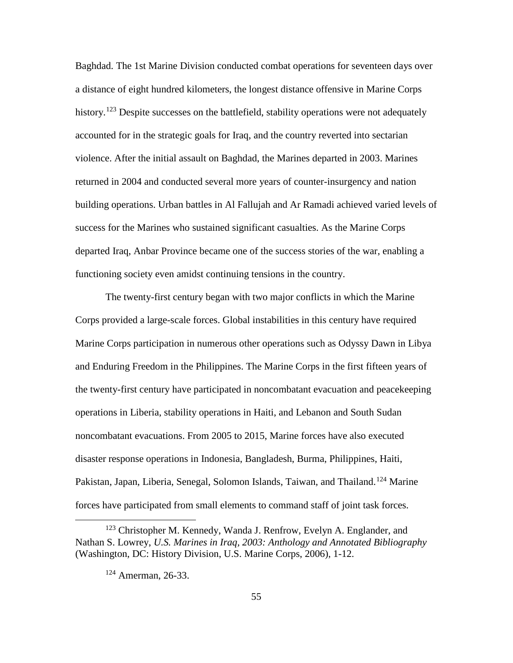Baghdad. The 1st Marine Division conducted combat operations for seventeen days over a distance of eight hundred kilometers, the longest distance offensive in Marine Corps history.<sup>[123](#page-61-0)</sup> Despite successes on the battlefield, stability operations were not adequately accounted for in the strategic goals for Iraq, and the country reverted into sectarian violence. After the initial assault on Baghdad, the Marines departed in 2003. Marines returned in 2004 and conducted several more years of counter-insurgency and nation building operations. Urban battles in Al Fallujah and Ar Ramadi achieved varied levels of success for the Marines who sustained significant casualties. As the Marine Corps departed Iraq, Anbar Province became one of the success stories of the war, enabling a functioning society even amidst continuing tensions in the country.

The twenty-first century began with two major conflicts in which the Marine Corps provided a large-scale forces. Global instabilities in this century have required Marine Corps participation in numerous other operations such as Odyssy Dawn in Libya and Enduring Freedom in the Philippines. The Marine Corps in the first fifteen years of the twenty-first century have participated in noncombatant evacuation and peacekeeping operations in Liberia, stability operations in Haiti, and Lebanon and South Sudan noncombatant evacuations. From 2005 to 2015, Marine forces have also executed disaster response operations in Indonesia, Bangladesh, Burma, Philippines, Haiti, Pakistan, Japan, Liberia, Senegal, Solomon Islands, Taiwan, and Thailand.<sup>[124](#page-61-1)</sup> Marine forces have participated from small elements to command staff of joint task forces.

<span id="page-61-1"></span><span id="page-61-0"></span><sup>&</sup>lt;sup>123</sup> Christopher M. Kennedy, Wanda J. Renfrow, Evelyn A. Englander, and Nathan S. Lowrey, *U.S. Marines in Iraq, 2003: Anthology and Annotated Bibliography* (Washington, DC: History Division, U.S. Marine Corps, 2006), 1-12.

<sup>124</sup> Amerman, 26-33.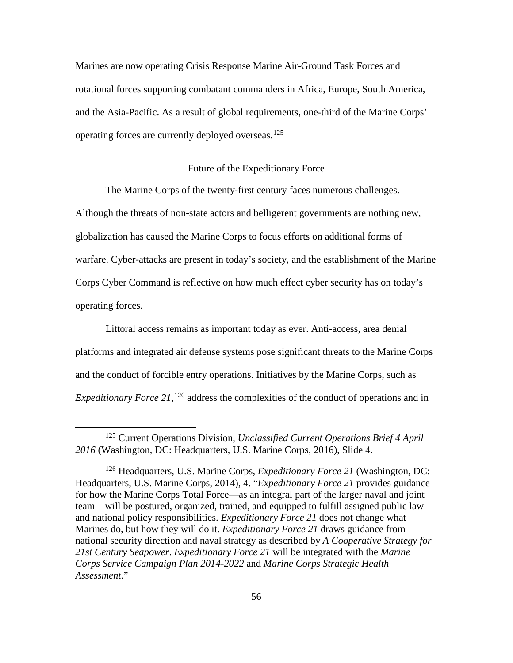Marines are now operating Crisis Response Marine Air-Ground Task Forces and rotational forces supporting combatant commanders in Africa, Europe, South America, and the Asia-Pacific. As a result of global requirements, one-third of the Marine Corps' operating forces are currently deployed overseas.[125](#page-62-0)

#### Future of the Expeditionary Force

The Marine Corps of the twenty-first century faces numerous challenges. Although the threats of non-state actors and belligerent governments are nothing new, globalization has caused the Marine Corps to focus efforts on additional forms of warfare. Cyber-attacks are present in today's society, and the establishment of the Marine Corps Cyber Command is reflective on how much effect cyber security has on today's operating forces.

Littoral access remains as important today as ever. Anti-access, area denial platforms and integrated air defense systems pose significant threats to the Marine Corps and the conduct of forcible entry operations. Initiatives by the Marine Corps, such as Expeditionary Force 21,<sup>[126](#page-62-1)</sup> address the complexities of the conduct of operations and in

<span id="page-62-0"></span> <sup>125</sup> Current Operations Division, *Unclassified Current Operations Brief 4 April 2016* (Washington, DC: Headquarters, U.S. Marine Corps, 2016), Slide 4.

<span id="page-62-1"></span><sup>126</sup> Headquarters, U.S. Marine Corps, *Expeditionary Force 21* (Washington, DC: Headquarters, U.S. Marine Corps, 2014), 4. "*Expeditionary Force 21* provides guidance for how the Marine Corps Total Force—as an integral part of the larger naval and joint team—will be postured, organized, trained, and equipped to fulfill assigned public law and national policy responsibilities. *Expeditionary Force 21* does not change what Marines do, but how they will do it. *Expeditionary Force 21* draws guidance from national security direction and naval strategy as described by *A Cooperative Strategy for 21st Century Seapower*. *Expeditionary Force 21* will be integrated with the *Marine Corps Service Campaign Plan 2014-2022* and *Marine Corps Strategic Health Assessment*."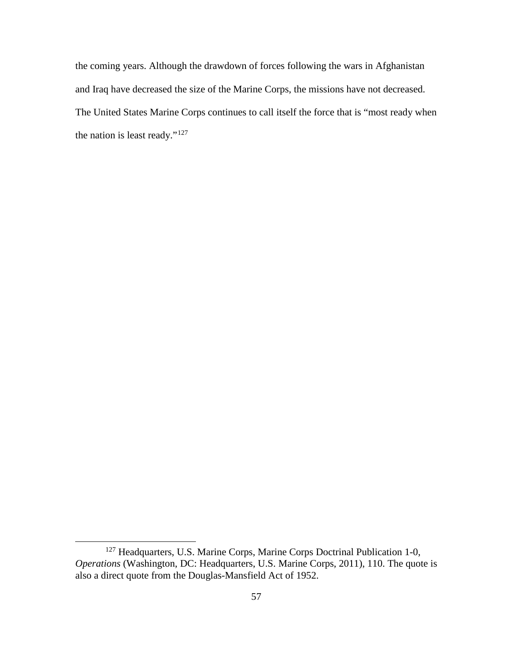the coming years. Although the drawdown of forces following the wars in Afghanistan and Iraq have decreased the size of the Marine Corps, the missions have not decreased. The United States Marine Corps continues to call itself the force that is "most ready when the nation is least ready."[127](#page-63-0)

<span id="page-63-0"></span><sup>&</sup>lt;sup>127</sup> Headquarters, U.S. Marine Corps, Marine Corps Doctrinal Publication 1-0, *Operations* (Washington, DC: Headquarters, U.S. Marine Corps, 2011), 110. The quote is also a direct quote from the Douglas-Mansfield Act of 1952.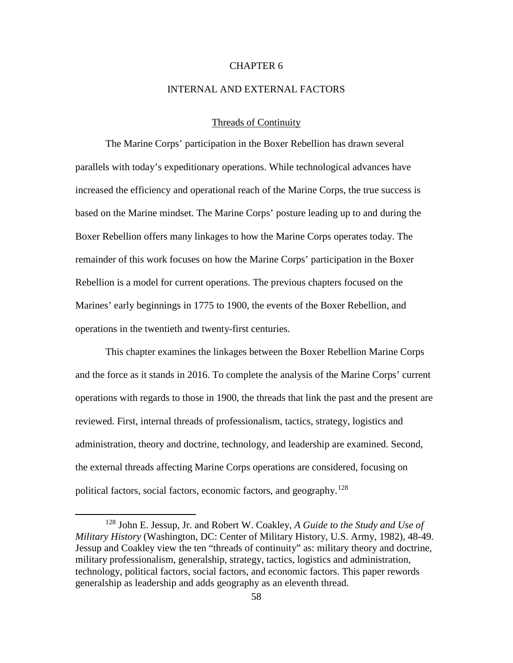# CHAPTER 6

## INTERNAL AND EXTERNAL FACTORS

## Threads of Continuity

The Marine Corps' participation in the Boxer Rebellion has drawn several parallels with today's expeditionary operations. While technological advances have increased the efficiency and operational reach of the Marine Corps, the true success is based on the Marine mindset. The Marine Corps' posture leading up to and during the Boxer Rebellion offers many linkages to how the Marine Corps operates today. The remainder of this work focuses on how the Marine Corps' participation in the Boxer Rebellion is a model for current operations. The previous chapters focused on the Marines' early beginnings in 1775 to 1900, the events of the Boxer Rebellion, and operations in the twentieth and twenty-first centuries.

This chapter examines the linkages between the Boxer Rebellion Marine Corps and the force as it stands in 2016. To complete the analysis of the Marine Corps' current operations with regards to those in 1900, the threads that link the past and the present are reviewed. First, internal threads of professionalism, tactics, strategy, logistics and administration, theory and doctrine, technology, and leadership are examined. Second, the external threads affecting Marine Corps operations are considered, focusing on political factors, social factors, economic factors, and geography.<sup>[128](#page-64-0)</sup>

<span id="page-64-0"></span> <sup>128</sup> John E. Jessup, Jr. and Robert W. Coakley, *A Guide to the Study and Use of Military History* (Washington, DC: Center of Military History, U.S. Army, 1982), 48-49. Jessup and Coakley view the ten "threads of continuity" as: military theory and doctrine, military professionalism, generalship, strategy, tactics, logistics and administration, technology, political factors, social factors, and economic factors. This paper rewords generalship as leadership and adds geography as an eleventh thread.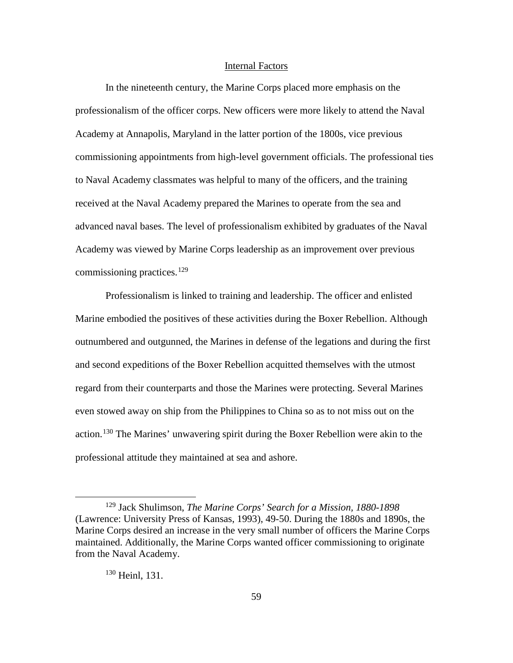#### Internal Factors

In the nineteenth century, the Marine Corps placed more emphasis on the professionalism of the officer corps. New officers were more likely to attend the Naval Academy at Annapolis, Maryland in the latter portion of the 1800s, vice previous commissioning appointments from high-level government officials. The professional ties to Naval Academy classmates was helpful to many of the officers, and the training received at the Naval Academy prepared the Marines to operate from the sea and advanced naval bases. The level of professionalism exhibited by graduates of the Naval Academy was viewed by Marine Corps leadership as an improvement over previous commissioning practices. [129](#page-65-0)

Professionalism is linked to training and leadership. The officer and enlisted Marine embodied the positives of these activities during the Boxer Rebellion. Although outnumbered and outgunned, the Marines in defense of the legations and during the first and second expeditions of the Boxer Rebellion acquitted themselves with the utmost regard from their counterparts and those the Marines were protecting. Several Marines even stowed away on ship from the Philippines to China so as to not miss out on the action.<sup>[130](#page-65-1)</sup> The Marines' unwavering spirit during the Boxer Rebellion were akin to the professional attitude they maintained at sea and ashore.

# <sup>130</sup> Heinl, 131.

<span id="page-65-1"></span><span id="page-65-0"></span> <sup>129</sup> Jack Shulimson, *The Marine Corps' Search for a Mission, 1880-1898* (Lawrence: University Press of Kansas, 1993), 49-50. During the 1880s and 1890s, the Marine Corps desired an increase in the very small number of officers the Marine Corps maintained. Additionally, the Marine Corps wanted officer commissioning to originate from the Naval Academy.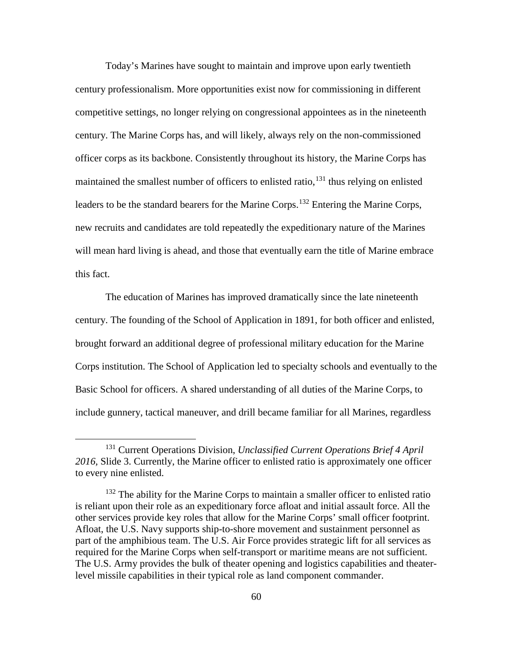Today's Marines have sought to maintain and improve upon early twentieth century professionalism. More opportunities exist now for commissioning in different competitive settings, no longer relying on congressional appointees as in the nineteenth century. The Marine Corps has, and will likely, always rely on the non-commissioned officer corps as its backbone. Consistently throughout its history, the Marine Corps has maintained the smallest number of officers to enlisted ratio,<sup>[131](#page-66-0)</sup> thus relying on enlisted leaders to be the standard bearers for the Marine Corps.<sup>[132](#page-66-1)</sup> Entering the Marine Corps, new recruits and candidates are told repeatedly the expeditionary nature of the Marines will mean hard living is ahead, and those that eventually earn the title of Marine embrace this fact.

The education of Marines has improved dramatically since the late nineteenth century. The founding of the School of Application in 1891, for both officer and enlisted, brought forward an additional degree of professional military education for the Marine Corps institution. The School of Application led to specialty schools and eventually to the Basic School for officers. A shared understanding of all duties of the Marine Corps, to include gunnery, tactical maneuver, and drill became familiar for all Marines, regardless

<span id="page-66-0"></span> <sup>131</sup> Current Operations Division, *Unclassified Current Operations Brief 4 April 2016,* Slide 3. Currently, the Marine officer to enlisted ratio is approximately one officer to every nine enlisted.

<span id="page-66-1"></span><sup>&</sup>lt;sup>132</sup> The ability for the Marine Corps to maintain a smaller officer to enlisted ratio is reliant upon their role as an expeditionary force afloat and initial assault force. All the other services provide key roles that allow for the Marine Corps' small officer footprint. Afloat, the U.S. Navy supports ship-to-shore movement and sustainment personnel as part of the amphibious team. The U.S. Air Force provides strategic lift for all services as required for the Marine Corps when self-transport or maritime means are not sufficient. The U.S. Army provides the bulk of theater opening and logistics capabilities and theaterlevel missile capabilities in their typical role as land component commander.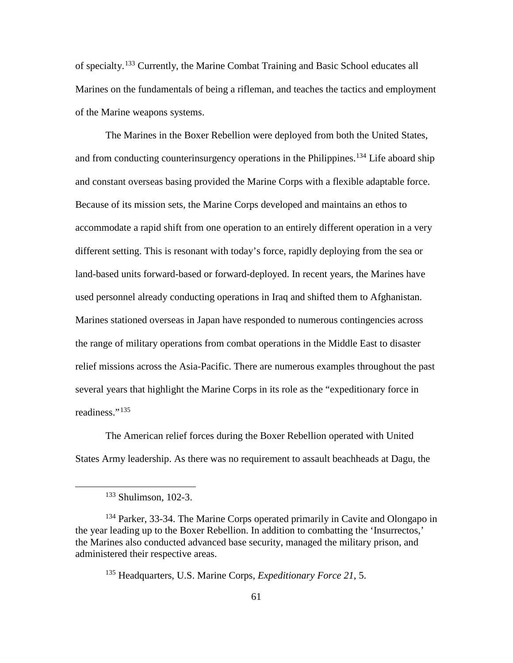of specialty.[133](#page-67-0) Currently, the Marine Combat Training and Basic School educates all Marines on the fundamentals of being a rifleman, and teaches the tactics and employment of the Marine weapons systems.

The Marines in the Boxer Rebellion were deployed from both the United States, and from conducting counterinsurgency operations in the Philippines.<sup>[134](#page-67-1)</sup> Life aboard ship and constant overseas basing provided the Marine Corps with a flexible adaptable force. Because of its mission sets, the Marine Corps developed and maintains an ethos to accommodate a rapid shift from one operation to an entirely different operation in a very different setting. This is resonant with today's force, rapidly deploying from the sea or land-based units forward-based or forward-deployed. In recent years, the Marines have used personnel already conducting operations in Iraq and shifted them to Afghanistan. Marines stationed overseas in Japan have responded to numerous contingencies across the range of military operations from combat operations in the Middle East to disaster relief missions across the Asia-Pacific. There are numerous examples throughout the past several years that highlight the Marine Corps in its role as the "expeditionary force in readiness."<sup>[135](#page-67-2)</sup>

The American relief forces during the Boxer Rebellion operated with United States Army leadership. As there was no requirement to assault beachheads at Dagu, the

 <sup>133</sup> Shulimson, 102-3.

<span id="page-67-2"></span><span id="page-67-1"></span><span id="page-67-0"></span><sup>&</sup>lt;sup>134</sup> Parker, 33-34. The Marine Corps operated primarily in Cavite and Olongapo in the year leading up to the Boxer Rebellion. In addition to combatting the 'Insurrectos,' the Marines also conducted advanced base security, managed the military prison, and administered their respective areas.

<sup>135</sup> Headquarters, U.S. Marine Corps, *Expeditionary Force 21*, 5.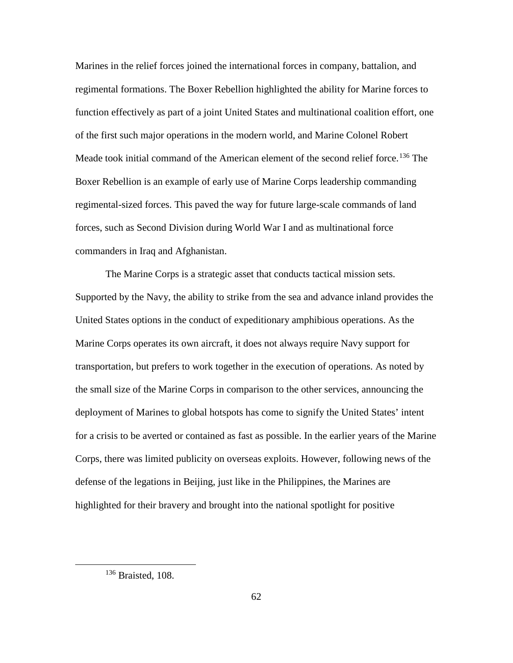Marines in the relief forces joined the international forces in company, battalion, and regimental formations. The Boxer Rebellion highlighted the ability for Marine forces to function effectively as part of a joint United States and multinational coalition effort, one of the first such major operations in the modern world, and Marine Colonel Robert Meade took initial command of the American element of the second relief force.<sup>[136](#page-68-0)</sup> The Boxer Rebellion is an example of early use of Marine Corps leadership commanding regimental-sized forces. This paved the way for future large-scale commands of land forces, such as Second Division during World War I and as multinational force commanders in Iraq and Afghanistan.

The Marine Corps is a strategic asset that conducts tactical mission sets. Supported by the Navy, the ability to strike from the sea and advance inland provides the United States options in the conduct of expeditionary amphibious operations. As the Marine Corps operates its own aircraft, it does not always require Navy support for transportation, but prefers to work together in the execution of operations. As noted by the small size of the Marine Corps in comparison to the other services, announcing the deployment of Marines to global hotspots has come to signify the United States' intent for a crisis to be averted or contained as fast as possible. In the earlier years of the Marine Corps, there was limited publicity on overseas exploits. However, following news of the defense of the legations in Beijing, just like in the Philippines, the Marines are highlighted for their bravery and brought into the national spotlight for positive

<span id="page-68-0"></span><sup>&</sup>lt;sup>136</sup> Braisted, 108.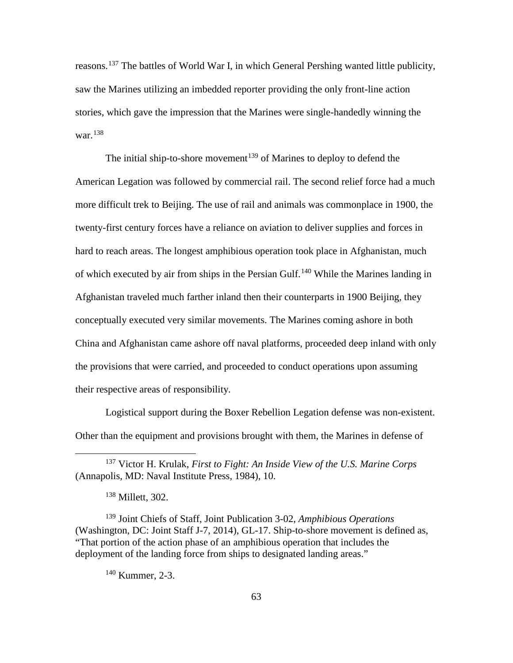reasons.<sup>[137](#page-69-0)</sup> The battles of World War I, in which General Pershing wanted little publicity, saw the Marines utilizing an imbedded reporter providing the only front-line action stories, which gave the impression that the Marines were single-handedly winning the war.[138](#page-69-1)

The initial ship-to-shore movement<sup>[139](#page-69-2)</sup> of Marines to deploy to defend the American Legation was followed by commercial rail. The second relief force had a much more difficult trek to Beijing. The use of rail and animals was commonplace in 1900, the twenty-first century forces have a reliance on aviation to deliver supplies and forces in hard to reach areas. The longest amphibious operation took place in Afghanistan, much of which executed by air from ships in the Persian Gulf.<sup>[140](#page-69-3)</sup> While the Marines landing in Afghanistan traveled much farther inland then their counterparts in 1900 Beijing, they conceptually executed very similar movements. The Marines coming ashore in both China and Afghanistan came ashore off naval platforms, proceeded deep inland with only the provisions that were carried, and proceeded to conduct operations upon assuming their respective areas of responsibility.

Logistical support during the Boxer Rebellion Legation defense was non-existent. Other than the equipment and provisions brought with them, the Marines in defense of

<span id="page-69-3"></span><span id="page-69-2"></span><span id="page-69-1"></span><sup>139</sup> Joint Chiefs of Staff, Joint Publication 3-02, *Amphibious Operations* (Washington, DC: Joint Staff J-7, 2014), GL-17. Ship-to-shore movement is defined as, "That portion of the action phase of an amphibious operation that includes the deployment of the landing force from ships to designated landing areas."

<sup>140</sup> Kummer, 2-3.

<span id="page-69-0"></span> <sup>137</sup> Victor H. Krulak, *First to Fight: An Inside View of the U.S. Marine Corps* (Annapolis, MD: Naval Institute Press, 1984), 10.

<sup>138</sup> Millett, 302.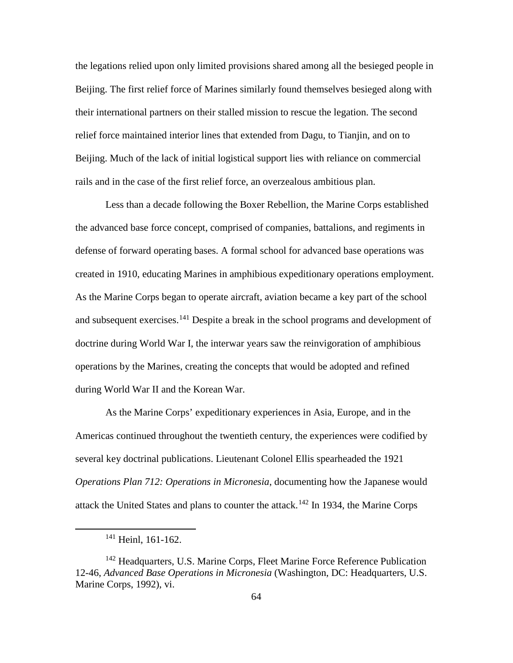the legations relied upon only limited provisions shared among all the besieged people in Beijing. The first relief force of Marines similarly found themselves besieged along with their international partners on their stalled mission to rescue the legation. The second relief force maintained interior lines that extended from Dagu, to Tianjin, and on to Beijing. Much of the lack of initial logistical support lies with reliance on commercial rails and in the case of the first relief force, an overzealous ambitious plan.

Less than a decade following the Boxer Rebellion, the Marine Corps established the advanced base force concept, comprised of companies, battalions, and regiments in defense of forward operating bases. A formal school for advanced base operations was created in 1910, educating Marines in amphibious expeditionary operations employment. As the Marine Corps began to operate aircraft, aviation became a key part of the school and subsequent exercises.<sup>[141](#page-70-0)</sup> Despite a break in the school programs and development of doctrine during World War I, the interwar years saw the reinvigoration of amphibious operations by the Marines, creating the concepts that would be adopted and refined during World War II and the Korean War.

As the Marine Corps' expeditionary experiences in Asia, Europe, and in the Americas continued throughout the twentieth century, the experiences were codified by several key doctrinal publications. Lieutenant Colonel Ellis spearheaded the 1921 *Operations Plan 712: Operations in Micronesia*, documenting how the Japanese would attack the United States and plans to counter the attack.<sup>[142](#page-70-1)</sup> In 1934, the Marine Corps

<sup>&</sup>lt;sup>141</sup> Heinl, 161-162.

<span id="page-70-1"></span><span id="page-70-0"></span><sup>&</sup>lt;sup>142</sup> Headquarters, U.S. Marine Corps, Fleet Marine Force Reference Publication 12-46, *Advanced Base Operations in Micronesia* (Washington, DC: Headquarters, U.S. Marine Corps, 1992), vi.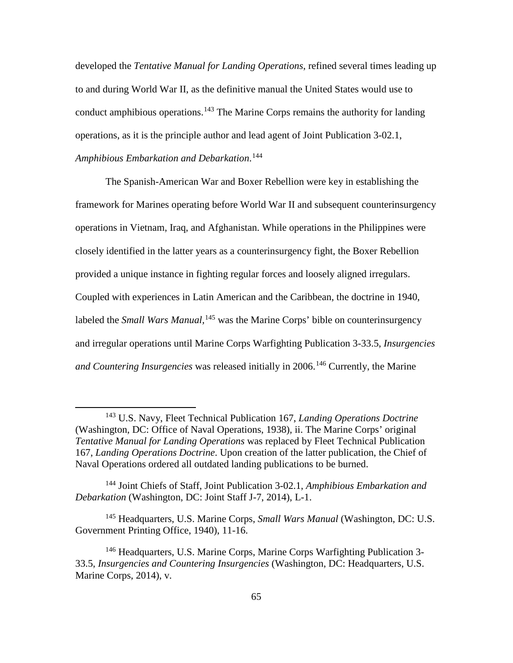developed the *Tentative Manual for Landing Operations*, refined several times leading up to and during World War II, as the definitive manual the United States would use to conduct amphibious operations.<sup>[143](#page-71-0)</sup> The Marine Corps remains the authority for landing operations, as it is the principle author and lead agent of Joint Publication 3-02.1, *Amphibious Embarkation and Debarkation*. [144](#page-71-1)

The Spanish-American War and Boxer Rebellion were key in establishing the framework for Marines operating before World War II and subsequent counterinsurgency operations in Vietnam, Iraq, and Afghanistan. While operations in the Philippines were closely identified in the latter years as a counterinsurgency fight, the Boxer Rebellion provided a unique instance in fighting regular forces and loosely aligned irregulars. Coupled with experiences in Latin American and the Caribbean, the doctrine in 1940, labeled the *Small Wars Manual*, <sup>[145](#page-71-2)</sup> was the Marine Corps' bible on counterinsurgency and irregular operations until Marine Corps Warfighting Publication 3-33.5, *Insurgencies and Countering Insurgencies* was released initially in 2006.<sup>[146](#page-71-3)</sup> Currently, the Marine

<span id="page-71-0"></span> <sup>143</sup> U.S. Navy, Fleet Technical Publication 167, *Landing Operations Doctrine* (Washington, DC: Office of Naval Operations, 1938), ii. The Marine Corps' original *Tentative Manual for Landing Operations* was replaced by Fleet Technical Publication 167, *Landing Operations Doctrine*. Upon creation of the latter publication, the Chief of Naval Operations ordered all outdated landing publications to be burned.

<span id="page-71-1"></span><sup>144</sup> Joint Chiefs of Staff, Joint Publication 3-02.1, *Amphibious Embarkation and Debarkation* (Washington, DC: Joint Staff J-7, 2014), L-1.

<span id="page-71-2"></span><sup>145</sup> Headquarters, U.S. Marine Corps, *Small Wars Manual* (Washington, DC: U.S. Government Printing Office, 1940), 11-16.

<span id="page-71-3"></span><sup>&</sup>lt;sup>146</sup> Headquarters, U.S. Marine Corps, Marine Corps Warfighting Publication 3-33.5, *Insurgencies and Countering Insurgencies* (Washington, DC: Headquarters, U.S. Marine Corps, 2014), v.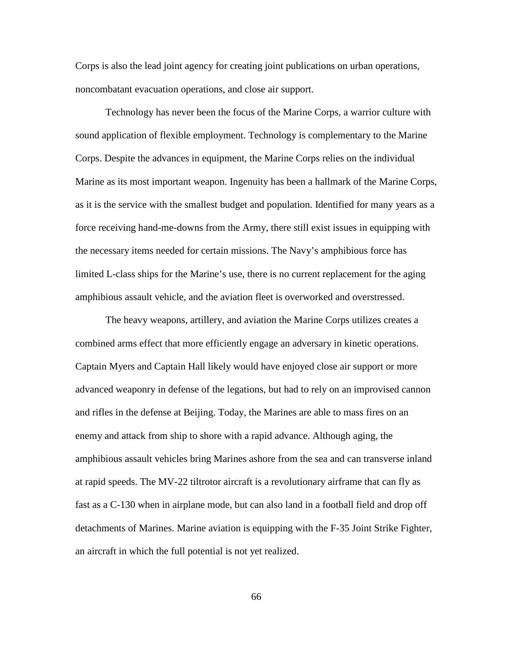Corps is also the lead joint agency for creating joint publications on urban operations, noncombatant evacuation operations, and close air support.

Technology has never been the focus of the Marine Corps, a warrior culture with sound application of flexible employment. Technology is complementary to the Marine Corps. Despite the advances in equipment, the Marine Corps relies on the individual Marine as its most important weapon. Ingenuity has been a hallmark of the Marine Corps, as it is the service with the smallest budget and population. Identified for many years as a force receiving hand-me-downs from the Army, there still exist issues in equipping with the necessary items needed for certain missions. The Navy's amphibious force has limited L-class ships for the Marine's use, there is no current replacement for the aging amphibious assault vehicle, and the aviation fleet is overworked and overstressed.

The heavy weapons, artillery, and aviation the Marine Corps utilizes creates a combined arms effect that more efficiently engage an adversary in kinetic operations. Captain Myers and Captain Hall likely would have enjoyed close air support or more advanced weaponry in defense of the legations, but had to rely on an improvised cannon and rifles in the defense at Beijing. Today, the Marines are able to mass fires on an enemy and attack from ship to shore with a rapid advance. Although aging, the amphibious assault vehicles bring Marines ashore from the sea and can transverse inland at rapid speeds. The MV-22 tiltrotor aircraft is a revolutionary airframe that can fly as fast as a C-130 when in airplane mode, but can also land in a football field and drop off detachments of Marines. Marine aviation is equipping with the F-35 Joint Strike Fighter, an aircraft in which the full potential is not yet realized.

66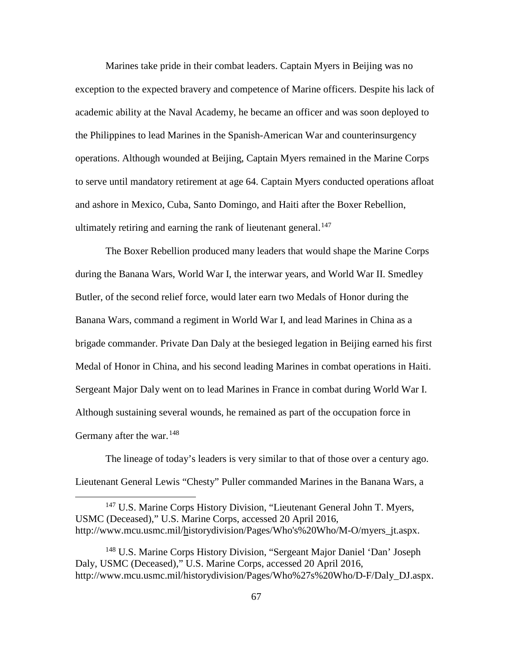Marines take pride in their combat leaders. Captain Myers in Beijing was no exception to the expected bravery and competence of Marine officers. Despite his lack of academic ability at the Naval Academy, he became an officer and was soon deployed to the Philippines to lead Marines in the Spanish-American War and counterinsurgency operations. Although wounded at Beijing, Captain Myers remained in the Marine Corps to serve until mandatory retirement at age 64. Captain Myers conducted operations afloat and ashore in Mexico, Cuba, Santo Domingo, and Haiti after the Boxer Rebellion, ultimately retiring and earning the rank of lieutenant general. $147$ 

The Boxer Rebellion produced many leaders that would shape the Marine Corps during the Banana Wars, World War I, the interwar years, and World War II. Smedley Butler, of the second relief force, would later earn two Medals of Honor during the Banana Wars, command a regiment in World War I, and lead Marines in China as a brigade commander. Private Dan Daly at the besieged legation in Beijing earned his first Medal of Honor in China, and his second leading Marines in combat operations in Haiti. Sergeant Major Daly went on to lead Marines in France in combat during World War I. Although sustaining several wounds, he remained as part of the occupation force in Germany after the war.<sup>[148](#page-73-1)</sup>

The lineage of today's leaders is very similar to that of those over a century ago. Lieutenant General Lewis "Chesty" Puller commanded Marines in the Banana Wars, a

<span id="page-73-0"></span><sup>147</sup> U.S. Marine Corps History Division, "Lieutenant General John T. Myers, USMC (Deceased)," U.S. Marine Corps, accessed 20 April 2016, http://www.mcu.usmc.mil/historydivision/Pages/Who's%20Who/M-O/myers\_jt.aspx.

<span id="page-73-1"></span><sup>&</sup>lt;sup>148</sup> U.S. Marine Corps History Division, "Sergeant Major Daniel 'Dan' Joseph Daly, USMC (Deceased)," U.S. Marine Corps, accessed 20 April 2016, http://www.mcu.usmc.mil/historydivision/Pages/Who%27s%20Who/D-F/Daly\_DJ.aspx.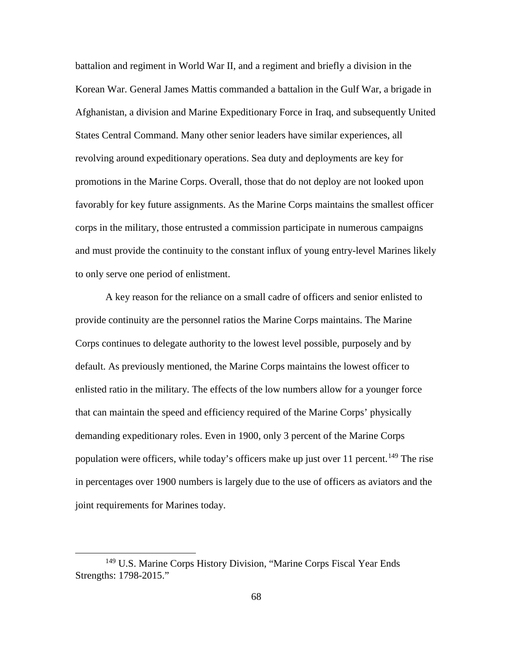battalion and regiment in World War II, and a regiment and briefly a division in the Korean War. General James Mattis commanded a battalion in the Gulf War, a brigade in Afghanistan, a division and Marine Expeditionary Force in Iraq, and subsequently United States Central Command. Many other senior leaders have similar experiences, all revolving around expeditionary operations. Sea duty and deployments are key for promotions in the Marine Corps. Overall, those that do not deploy are not looked upon favorably for key future assignments. As the Marine Corps maintains the smallest officer corps in the military, those entrusted a commission participate in numerous campaigns and must provide the continuity to the constant influx of young entry-level Marines likely to only serve one period of enlistment.

A key reason for the reliance on a small cadre of officers and senior enlisted to provide continuity are the personnel ratios the Marine Corps maintains. The Marine Corps continues to delegate authority to the lowest level possible, purposely and by default. As previously mentioned, the Marine Corps maintains the lowest officer to enlisted ratio in the military. The effects of the low numbers allow for a younger force that can maintain the speed and efficiency required of the Marine Corps' physically demanding expeditionary roles. Even in 1900, only 3 percent of the Marine Corps population were officers, while today's officers make up just over 11 percent.<sup>[149](#page-74-0)</sup> The rise in percentages over 1900 numbers is largely due to the use of officers as aviators and the joint requirements for Marines today.

<span id="page-74-0"></span> <sup>149</sup> U.S. Marine Corps History Division, "Marine Corps Fiscal Year Ends Strengths: 1798-2015."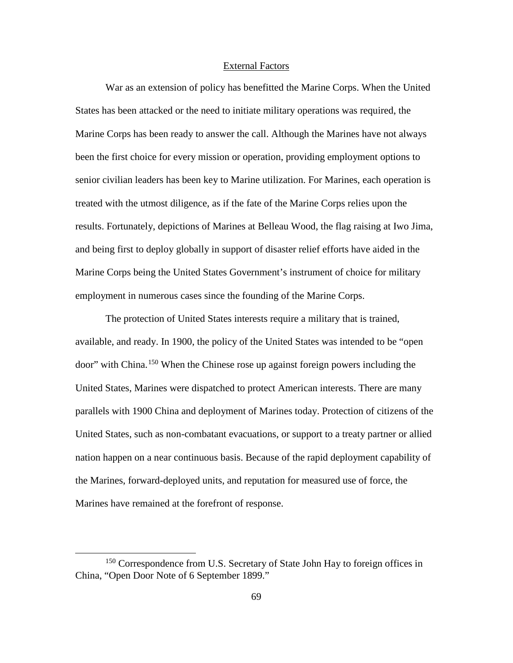# External Factors

War as an extension of policy has benefitted the Marine Corps. When the United States has been attacked or the need to initiate military operations was required, the Marine Corps has been ready to answer the call. Although the Marines have not always been the first choice for every mission or operation, providing employment options to senior civilian leaders has been key to Marine utilization. For Marines, each operation is treated with the utmost diligence, as if the fate of the Marine Corps relies upon the results. Fortunately, depictions of Marines at Belleau Wood, the flag raising at Iwo Jima, and being first to deploy globally in support of disaster relief efforts have aided in the Marine Corps being the United States Government's instrument of choice for military employment in numerous cases since the founding of the Marine Corps.

The protection of United States interests require a military that is trained, available, and ready. In 1900, the policy of the United States was intended to be "open door" with China.[150](#page-75-0) When the Chinese rose up against foreign powers including the United States, Marines were dispatched to protect American interests. There are many parallels with 1900 China and deployment of Marines today. Protection of citizens of the United States, such as non-combatant evacuations, or support to a treaty partner or allied nation happen on a near continuous basis. Because of the rapid deployment capability of the Marines, forward-deployed units, and reputation for measured use of force, the Marines have remained at the forefront of response.

<span id="page-75-0"></span><sup>&</sup>lt;sup>150</sup> Correspondence from U.S. Secretary of State John Hay to foreign offices in China, "Open Door Note of 6 September 1899."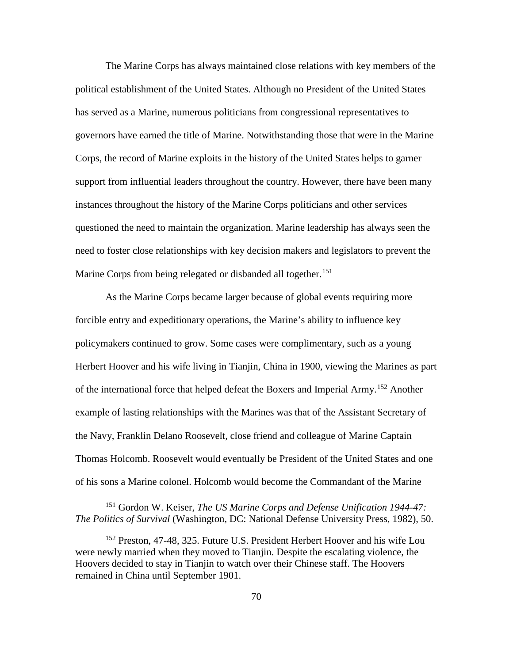The Marine Corps has always maintained close relations with key members of the political establishment of the United States. Although no President of the United States has served as a Marine, numerous politicians from congressional representatives to governors have earned the title of Marine. Notwithstanding those that were in the Marine Corps, the record of Marine exploits in the history of the United States helps to garner support from influential leaders throughout the country. However, there have been many instances throughout the history of the Marine Corps politicians and other services questioned the need to maintain the organization. Marine leadership has always seen the need to foster close relationships with key decision makers and legislators to prevent the Marine Corps from being relegated or disbanded all together.<sup>[151](#page-76-0)</sup>

As the Marine Corps became larger because of global events requiring more forcible entry and expeditionary operations, the Marine's ability to influence key policymakers continued to grow. Some cases were complimentary, such as a young Herbert Hoover and his wife living in Tianjin, China in 1900, viewing the Marines as part of the international force that helped defeat the Boxers and Imperial Army.[152](#page-76-1) Another example of lasting relationships with the Marines was that of the Assistant Secretary of the Navy, Franklin Delano Roosevelt, close friend and colleague of Marine Captain Thomas Holcomb. Roosevelt would eventually be President of the United States and one of his sons a Marine colonel. Holcomb would become the Commandant of the Marine

<span id="page-76-0"></span> <sup>151</sup> Gordon W. Keiser, *The US Marine Corps and Defense Unification 1944-47: The Politics of Survival* (Washington, DC: National Defense University Press, 1982), 50.

<span id="page-76-1"></span><sup>152</sup> Preston, 47-48, 325. Future U.S. President Herbert Hoover and his wife Lou were newly married when they moved to Tianjin. Despite the escalating violence, the Hoovers decided to stay in Tianjin to watch over their Chinese staff. The Hoovers remained in China until September 1901.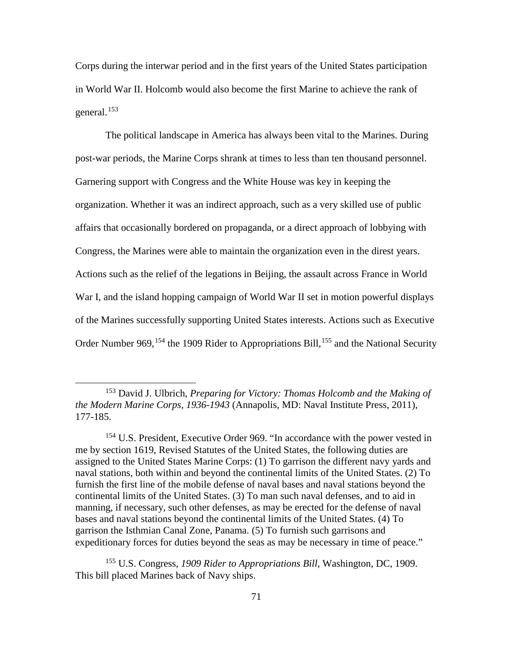Corps during the interwar period and in the first years of the United States participation in World War II. Holcomb would also become the first Marine to achieve the rank of general.[153](#page-77-0)

The political landscape in America has always been vital to the Marines. During post-war periods, the Marine Corps shrank at times to less than ten thousand personnel. Garnering support with Congress and the White House was key in keeping the organization. Whether it was an indirect approach, such as a very skilled use of public affairs that occasionally bordered on propaganda, or a direct approach of lobbying with Congress, the Marines were able to maintain the organization even in the direst years. Actions such as the relief of the legations in Beijing, the assault across France in World War I, and the island hopping campaign of World War II set in motion powerful displays of the Marines successfully supporting United States interests. Actions such as Executive Order Number 969,<sup>[154](#page-77-1)</sup> the 1909 Rider to Appropriations Bill,<sup>[155](#page-77-2)</sup> and the National Security

<span id="page-77-2"></span><sup>155</sup> U.S. Congress, *1909 Rider to Appropriations Bill,* Washington, DC, 1909. This bill placed Marines back of Navy ships.

<span id="page-77-0"></span> <sup>153</sup> David J. Ulbrich, *Preparing for Victory: Thomas Holcomb and the Making of the Modern Marine Corps, 1936-1943* (Annapolis, MD: Naval Institute Press, 2011), 177-185.

<span id="page-77-1"></span><sup>&</sup>lt;sup>154</sup> U.S. President, Executive Order 969. "In accordance with the power vested in me by section 1619, Revised Statutes of the United States, the following duties are assigned to the United States Marine Corps: (1) To garrison the different navy yards and naval stations, both within and beyond the continental limits of the United States. (2) To furnish the first line of the mobile defense of naval bases and naval stations beyond the continental limits of the United States. (3) To man such naval defenses, and to aid in manning, if necessary, such other defenses, as may be erected for the defense of naval bases and naval stations beyond the continental limits of the United States. (4) To garrison the Isthmian Canal Zone, Panama. (5) To furnish such garrisons and expeditionary forces for duties beyond the seas as may be necessary in time of peace."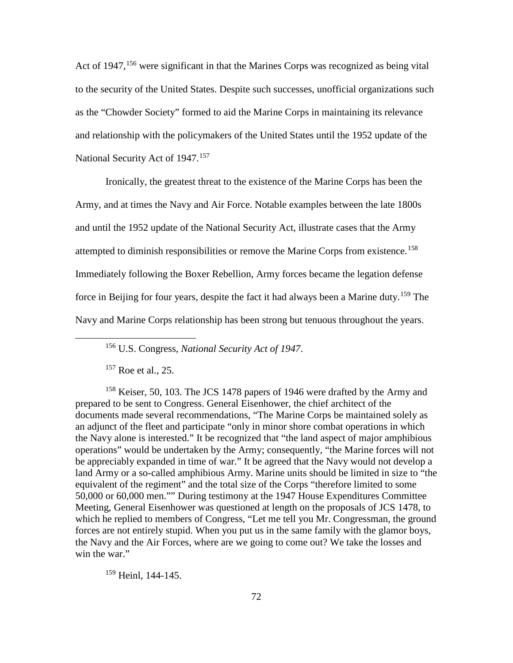Act of 1947, [156](#page-78-0) were significant in that the Marines Corps was recognized as being vital to the security of the United States. Despite such successes, unofficial organizations such as the "Chowder Society" formed to aid the Marine Corps in maintaining its relevance and relationship with the policymakers of the United States until the 1952 update of the National Security Act of 1947.<sup>[157](#page-78-1)</sup>

Ironically, the greatest threat to the existence of the Marine Corps has been the Army, and at times the Navy and Air Force. Notable examples between the late 1800s and until the 1952 update of the National Security Act, illustrate cases that the Army attempted to diminish responsibilities or remove the Marine Corps from existence.<sup>[158](#page-78-2)</sup> Immediately following the Boxer Rebellion, Army forces became the legation defense force in Beijing for four years, despite the fact it had always been a Marine duty.<sup>[159](#page-78-3)</sup> The Navy and Marine Corps relationship has been strong but tenuous throughout the years.

<sup>157</sup> Roe et al., 25.

<span id="page-78-2"></span><span id="page-78-1"></span><span id="page-78-0"></span><sup>158</sup> Keiser, 50, 103. The JCS 1478 papers of 1946 were drafted by the Army and prepared to be sent to Congress. General Eisenhower, the chief architect of the documents made several recommendations, "The Marine Corps be maintained solely as an adjunct of the fleet and participate "only in minor shore combat operations in which the Navy alone is interested." It be recognized that "the land aspect of major amphibious operations" would be undertaken by the Army; consequently, "the Marine forces will not be appreciably expanded in time of war." It be agreed that the Navy would not develop a land Army or a so-called amphibious Army. Marine units should be limited in size to "the equivalent of the regiment" and the total size of the Corps "therefore limited to some 50,000 or 60,000 men."" During testimony at the 1947 House Expenditures Committee Meeting, General Eisenhower was questioned at length on the proposals of JCS 1478, to which he replied to members of Congress, "Let me tell you Mr. Congressman, the ground forces are not entirely stupid. When you put us in the same family with the glamor boys, the Navy and the Air Forces, where are we going to come out? We take the losses and win the war."

<span id="page-78-3"></span><sup>159</sup> Heinl, 144-145.

 <sup>156</sup> U.S. Congress, *National Security Act of 1947*.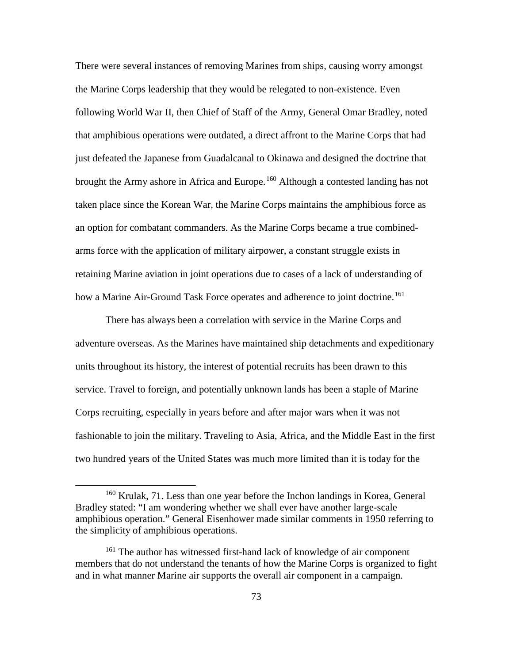There were several instances of removing Marines from ships, causing worry amongst the Marine Corps leadership that they would be relegated to non-existence. Even following World War II, then Chief of Staff of the Army, General Omar Bradley, noted that amphibious operations were outdated, a direct affront to the Marine Corps that had just defeated the Japanese from Guadalcanal to Okinawa and designed the doctrine that brought the Army ashore in Africa and Europe.<sup>[160](#page-79-0)</sup> Although a contested landing has not taken place since the Korean War, the Marine Corps maintains the amphibious force as an option for combatant commanders. As the Marine Corps became a true combinedarms force with the application of military airpower, a constant struggle exists in retaining Marine aviation in joint operations due to cases of a lack of understanding of how a Marine Air-Ground Task Force operates and adherence to joint doctrine.<sup>[161](#page-79-1)</sup>

There has always been a correlation with service in the Marine Corps and adventure overseas. As the Marines have maintained ship detachments and expeditionary units throughout its history, the interest of potential recruits has been drawn to this service. Travel to foreign, and potentially unknown lands has been a staple of Marine Corps recruiting, especially in years before and after major wars when it was not fashionable to join the military. Traveling to Asia, Africa, and the Middle East in the first two hundred years of the United States was much more limited than it is today for the

<span id="page-79-0"></span> <sup>160</sup> Krulak, 71. Less than one year before the Inchon landings in Korea, General Bradley stated: "I am wondering whether we shall ever have another large-scale amphibious operation." General Eisenhower made similar comments in 1950 referring to the simplicity of amphibious operations.

<span id="page-79-1"></span><sup>&</sup>lt;sup>161</sup> The author has witnessed first-hand lack of knowledge of air component members that do not understand the tenants of how the Marine Corps is organized to fight and in what manner Marine air supports the overall air component in a campaign.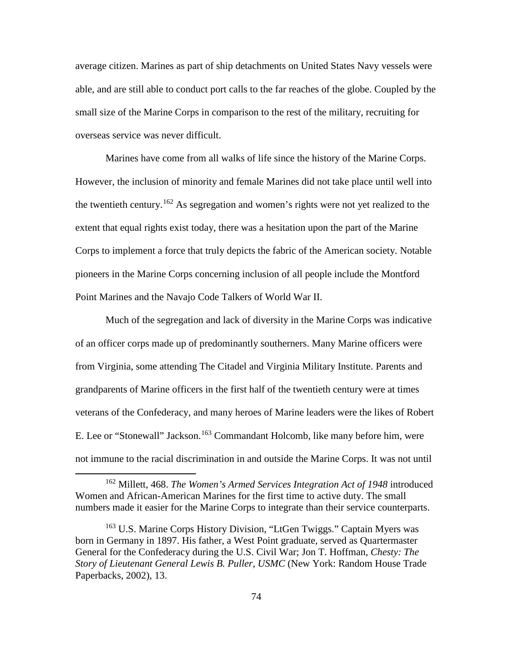average citizen. Marines as part of ship detachments on United States Navy vessels were able, and are still able to conduct port calls to the far reaches of the globe. Coupled by the small size of the Marine Corps in comparison to the rest of the military, recruiting for overseas service was never difficult.

Marines have come from all walks of life since the history of the Marine Corps. However, the inclusion of minority and female Marines did not take place until well into the twentieth century.<sup>[162](#page-80-0)</sup> As segregation and women's rights were not yet realized to the extent that equal rights exist today, there was a hesitation upon the part of the Marine Corps to implement a force that truly depicts the fabric of the American society. Notable pioneers in the Marine Corps concerning inclusion of all people include the Montford Point Marines and the Navajo Code Talkers of World War II.

Much of the segregation and lack of diversity in the Marine Corps was indicative of an officer corps made up of predominantly southerners. Many Marine officers were from Virginia, some attending The Citadel and Virginia Military Institute. Parents and grandparents of Marine officers in the first half of the twentieth century were at times veterans of the Confederacy, and many heroes of Marine leaders were the likes of Robert E. Lee or "Stonewall" Jackson.<sup>[163](#page-80-1)</sup> Commandant Holcomb, like many before him, were not immune to the racial discrimination in and outside the Marine Corps. It was not until

<span id="page-80-0"></span> <sup>162</sup> Millett, 468. *The Women's Armed Services Integration Act of 1948* introduced Women and African-American Marines for the first time to active duty. The small numbers made it easier for the Marine Corps to integrate than their service counterparts.

<span id="page-80-1"></span><sup>&</sup>lt;sup>163</sup> U.S. Marine Corps History Division, "LtGen Twiggs." Captain Myers was born in Germany in 1897. His father, a West Point graduate, served as Quartermaster General for the Confederacy during the U.S. Civil War; Jon T. Hoffman, *Chesty: The Story of Lieutenant General Lewis B. Puller, USMC* (New York: Random House Trade Paperbacks, 2002), 13.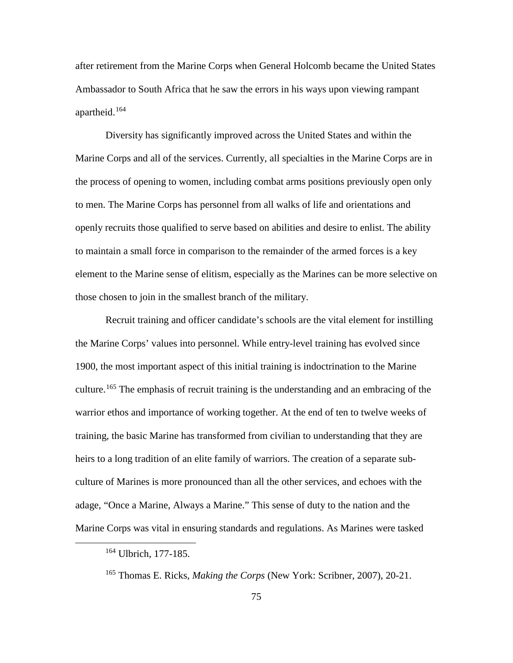after retirement from the Marine Corps when General Holcomb became the United States Ambassador to South Africa that he saw the errors in his ways upon viewing rampant apartheid.<sup>[164](#page-81-0)</sup>

Diversity has significantly improved across the United States and within the Marine Corps and all of the services. Currently, all specialties in the Marine Corps are in the process of opening to women, including combat arms positions previously open only to men. The Marine Corps has personnel from all walks of life and orientations and openly recruits those qualified to serve based on abilities and desire to enlist. The ability to maintain a small force in comparison to the remainder of the armed forces is a key element to the Marine sense of elitism, especially as the Marines can be more selective on those chosen to join in the smallest branch of the military.

Recruit training and officer candidate's schools are the vital element for instilling the Marine Corps' values into personnel. While entry-level training has evolved since 1900, the most important aspect of this initial training is indoctrination to the Marine culture.<sup>[165](#page-81-1)</sup> The emphasis of recruit training is the understanding and an embracing of the warrior ethos and importance of working together. At the end of ten to twelve weeks of training, the basic Marine has transformed from civilian to understanding that they are heirs to a long tradition of an elite family of warriors. The creation of a separate subculture of Marines is more pronounced than all the other services, and echoes with the adage, "Once a Marine, Always a Marine." This sense of duty to the nation and the Marine Corps was vital in ensuring standards and regulations. As Marines were tasked

<span id="page-81-0"></span> <sup>164</sup> Ulbrich, 177-185.

<span id="page-81-1"></span><sup>165</sup> Thomas E. Ricks, *Making the Corps* (New York: Scribner, 2007), 20-21.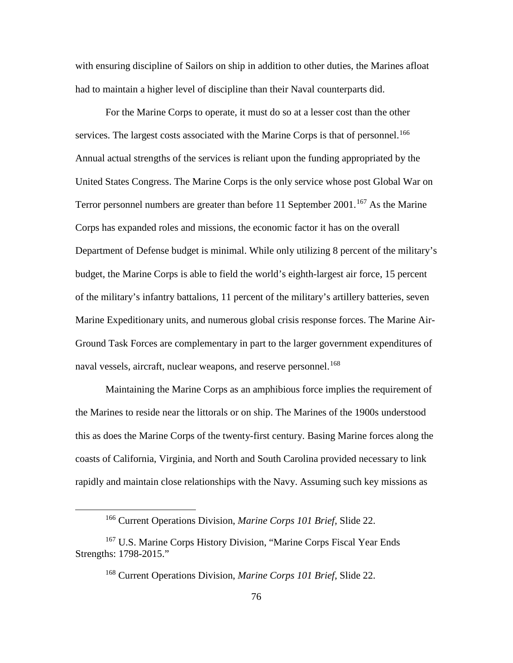with ensuring discipline of Sailors on ship in addition to other duties, the Marines afloat had to maintain a higher level of discipline than their Naval counterparts did.

For the Marine Corps to operate, it must do so at a lesser cost than the other services. The largest costs associated with the Marine Corps is that of personnel.<sup>[166](#page-82-0)</sup> Annual actual strengths of the services is reliant upon the funding appropriated by the United States Congress. The Marine Corps is the only service whose post Global War on Terror personnel numbers are greater than before 11 September 2001.<sup>[167](#page-82-1)</sup> As the Marine Corps has expanded roles and missions, the economic factor it has on the overall Department of Defense budget is minimal. While only utilizing 8 percent of the military's budget, the Marine Corps is able to field the world's eighth-largest air force, 15 percent of the military's infantry battalions, 11 percent of the military's artillery batteries, seven Marine Expeditionary units, and numerous global crisis response forces. The Marine Air-Ground Task Forces are complementary in part to the larger government expenditures of naval vessels, aircraft, nuclear weapons, and reserve personnel.<sup>[168](#page-82-2)</sup>

Maintaining the Marine Corps as an amphibious force implies the requirement of the Marines to reside near the littorals or on ship. The Marines of the 1900s understood this as does the Marine Corps of the twenty-first century. Basing Marine forces along the coasts of California, Virginia, and North and South Carolina provided necessary to link rapidly and maintain close relationships with the Navy. Assuming such key missions as

 <sup>166</sup> Current Operations Division, *Marine Corps 101 Brief,* Slide 22.

<span id="page-82-2"></span><span id="page-82-1"></span><span id="page-82-0"></span><sup>&</sup>lt;sup>167</sup> U.S. Marine Corps History Division, "Marine Corps Fiscal Year Ends Strengths: 1798-2015."

<sup>168</sup> Current Operations Division, *Marine Corps 101 Brief,* Slide 22.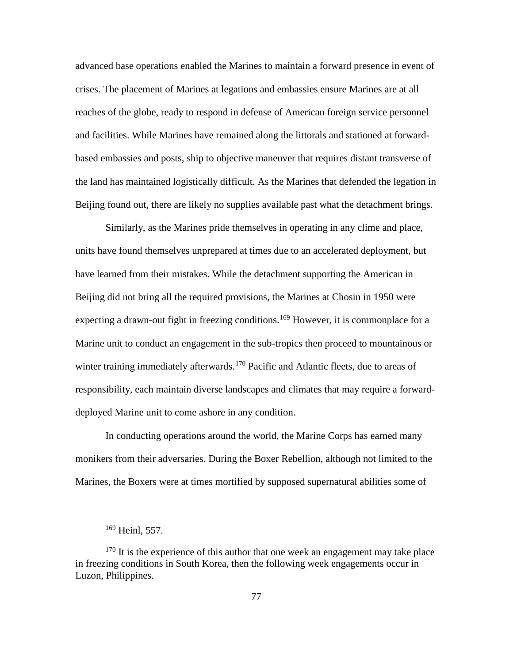advanced base operations enabled the Marines to maintain a forward presence in event of crises. The placement of Marines at legations and embassies ensure Marines are at all reaches of the globe, ready to respond in defense of American foreign service personnel and facilities. While Marines have remained along the littorals and stationed at forwardbased embassies and posts, ship to objective maneuver that requires distant transverse of the land has maintained logistically difficult. As the Marines that defended the legation in Beijing found out, there are likely no supplies available past what the detachment brings.

Similarly, as the Marines pride themselves in operating in any clime and place, units have found themselves unprepared at times due to an accelerated deployment, but have learned from their mistakes. While the detachment supporting the American in Beijing did not bring all the required provisions, the Marines at Chosin in 1950 were expecting a drawn-out fight in freezing conditions.<sup>[169](#page-83-0)</sup> However, it is commonplace for a Marine unit to conduct an engagement in the sub-tropics then proceed to mountainous or winter training immediately afterwards.<sup>[170](#page-83-1)</sup> Pacific and Atlantic fleets, due to areas of responsibility, each maintain diverse landscapes and climates that may require a forwarddeployed Marine unit to come ashore in any condition.

In conducting operations around the world, the Marine Corps has earned many monikers from their adversaries. During the Boxer Rebellion, although not limited to the Marines, the Boxers were at times mortified by supposed supernatural abilities some of

 <sup>169</sup> Heinl, 557.

<span id="page-83-1"></span><span id="page-83-0"></span> $170$  It is the experience of this author that one week an engagement may take place in freezing conditions in South Korea, then the following week engagements occur in Luzon, Philippines.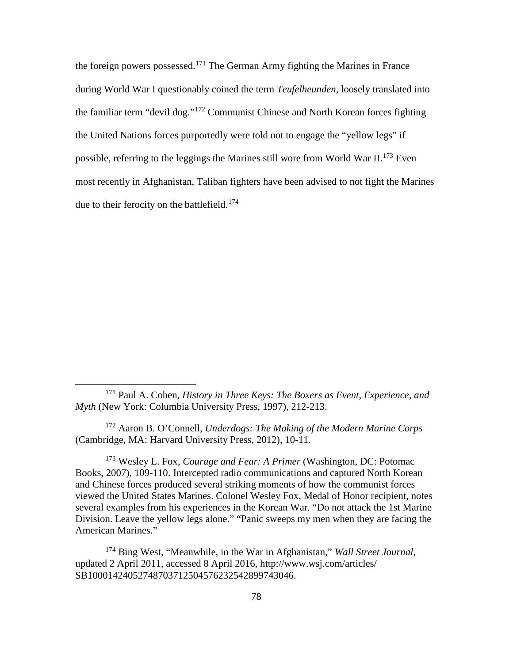the foreign powers possessed. [171](#page-84-0) The German Army fighting the Marines in France during World War I questionably coined the term *Teufelheunden*, loosely translated into the familiar term "devil dog."[172](#page-84-1) Communist Chinese and North Korean forces fighting the United Nations forces purportedly were told not to engage the "yellow legs" if possible, referring to the leggings the Marines still wore from World War II.<sup>[173](#page-84-2)</sup> Even most recently in Afghanistan, Taliban fighters have been advised to not fight the Marines due to their ferocity on the battlefield.<sup>[174](#page-84-3)</sup>

<span id="page-84-1"></span><sup>172</sup> Aaron B. O'Connell, *Underdogs: The Making of the Modern Marine Corps* (Cambridge, MA: Harvard University Press, 2012), 10-11.

<span id="page-84-2"></span><sup>173</sup> Wesley L. Fox, *Courage and Fear: A Primer* (Washington, DC: Potomac Books, 2007), 109-110. Intercepted radio communications and captured North Korean and Chinese forces produced several striking moments of how the communist forces viewed the United States Marines. Colonel Wesley Fox, Medal of Honor recipient, notes several examples from his experiences in the Korean War. "Do not attack the 1st Marine Division. Leave the yellow legs alone." "Panic sweeps my men when they are facing the American Marines."

<span id="page-84-3"></span><sup>174</sup> Bing West, "Meanwhile, in the War in Afghanistan," *Wall Street Journal*, updated 2 April 2011, accessed 8 April 2016, http://www.wsj.com/articles/ SB10001424052748703712504576232542899743046.

<span id="page-84-0"></span> <sup>171</sup> Paul A. Cohen, *History in Three Keys: The Boxers as Event, Experience, and Myth* (New York: Columbia University Press, 1997), 212-213.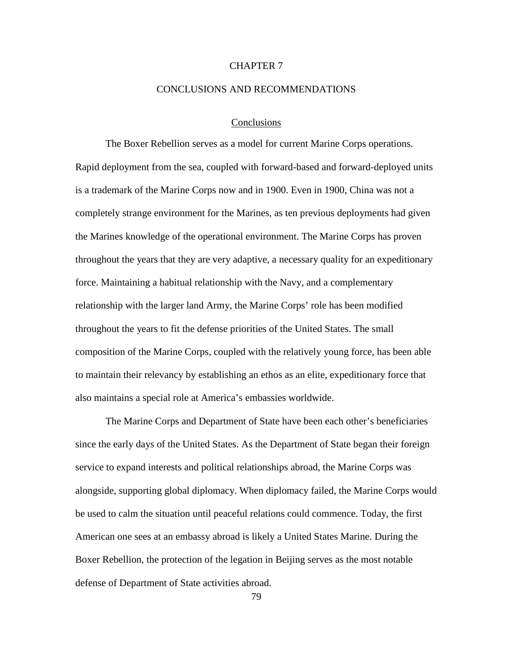# CHAPTER 7

## CONCLUSIONS AND RECOMMENDATIONS

## **Conclusions**

The Boxer Rebellion serves as a model for current Marine Corps operations. Rapid deployment from the sea, coupled with forward-based and forward-deployed units is a trademark of the Marine Corps now and in 1900. Even in 1900, China was not a completely strange environment for the Marines, as ten previous deployments had given the Marines knowledge of the operational environment. The Marine Corps has proven throughout the years that they are very adaptive, a necessary quality for an expeditionary force. Maintaining a habitual relationship with the Navy, and a complementary relationship with the larger land Army, the Marine Corps' role has been modified throughout the years to fit the defense priorities of the United States. The small composition of the Marine Corps, coupled with the relatively young force, has been able to maintain their relevancy by establishing an ethos as an elite, expeditionary force that also maintains a special role at America's embassies worldwide.

The Marine Corps and Department of State have been each other's beneficiaries since the early days of the United States. As the Department of State began their foreign service to expand interests and political relationships abroad, the Marine Corps was alongside, supporting global diplomacy. When diplomacy failed, the Marine Corps would be used to calm the situation until peaceful relations could commence. Today, the first American one sees at an embassy abroad is likely a United States Marine. During the Boxer Rebellion, the protection of the legation in Beijing serves as the most notable defense of Department of State activities abroad.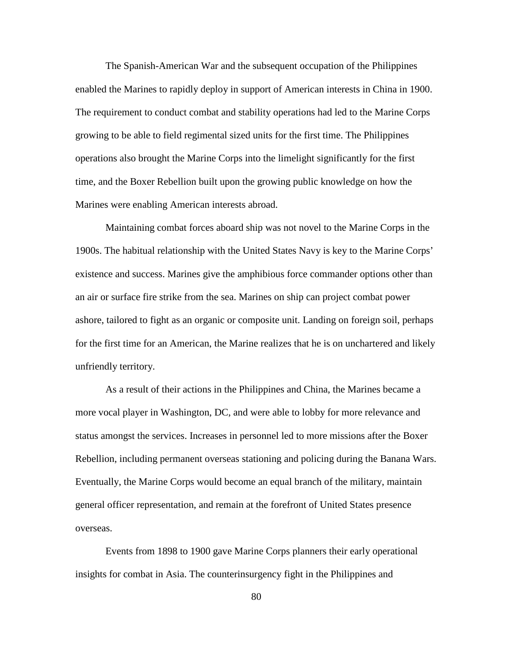The Spanish-American War and the subsequent occupation of the Philippines enabled the Marines to rapidly deploy in support of American interests in China in 1900. The requirement to conduct combat and stability operations had led to the Marine Corps growing to be able to field regimental sized units for the first time. The Philippines operations also brought the Marine Corps into the limelight significantly for the first time, and the Boxer Rebellion built upon the growing public knowledge on how the Marines were enabling American interests abroad.

Maintaining combat forces aboard ship was not novel to the Marine Corps in the 1900s. The habitual relationship with the United States Navy is key to the Marine Corps' existence and success. Marines give the amphibious force commander options other than an air or surface fire strike from the sea. Marines on ship can project combat power ashore, tailored to fight as an organic or composite unit. Landing on foreign soil, perhaps for the first time for an American, the Marine realizes that he is on unchartered and likely unfriendly territory.

As a result of their actions in the Philippines and China, the Marines became a more vocal player in Washington, DC, and were able to lobby for more relevance and status amongst the services. Increases in personnel led to more missions after the Boxer Rebellion, including permanent overseas stationing and policing during the Banana Wars. Eventually, the Marine Corps would become an equal branch of the military, maintain general officer representation, and remain at the forefront of United States presence overseas.

Events from 1898 to 1900 gave Marine Corps planners their early operational insights for combat in Asia. The counterinsurgency fight in the Philippines and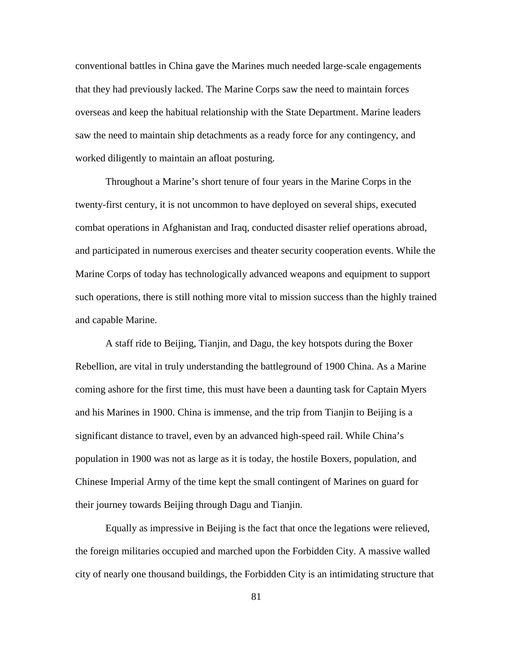conventional battles in China gave the Marines much needed large-scale engagements that they had previously lacked. The Marine Corps saw the need to maintain forces overseas and keep the habitual relationship with the State Department. Marine leaders saw the need to maintain ship detachments as a ready force for any contingency, and worked diligently to maintain an afloat posturing.

Throughout a Marine's short tenure of four years in the Marine Corps in the twenty-first century, it is not uncommon to have deployed on several ships, executed combat operations in Afghanistan and Iraq, conducted disaster relief operations abroad, and participated in numerous exercises and theater security cooperation events. While the Marine Corps of today has technologically advanced weapons and equipment to support such operations, there is still nothing more vital to mission success than the highly trained and capable Marine.

A staff ride to Beijing, Tianjin, and Dagu, the key hotspots during the Boxer Rebellion, are vital in truly understanding the battleground of 1900 China. As a Marine coming ashore for the first time, this must have been a daunting task for Captain Myers and his Marines in 1900. China is immense, and the trip from Tianjin to Beijing is a significant distance to travel, even by an advanced high-speed rail. While China's population in 1900 was not as large as it is today, the hostile Boxers, population, and Chinese Imperial Army of the time kept the small contingent of Marines on guard for their journey towards Beijing through Dagu and Tianjin.

Equally as impressive in Beijing is the fact that once the legations were relieved, the foreign militaries occupied and marched upon the Forbidden City. A massive walled city of nearly one thousand buildings, the Forbidden City is an intimidating structure that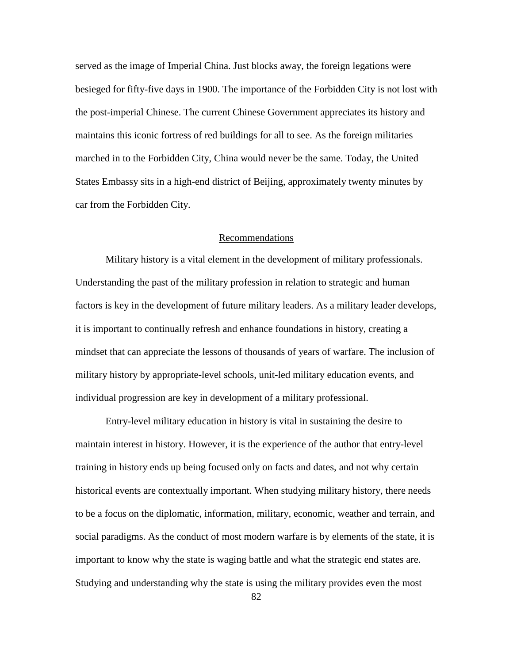served as the image of Imperial China. Just blocks away, the foreign legations were besieged for fifty-five days in 1900. The importance of the Forbidden City is not lost with the post-imperial Chinese. The current Chinese Government appreciates its history and maintains this iconic fortress of red buildings for all to see. As the foreign militaries marched in to the Forbidden City, China would never be the same. Today, the United States Embassy sits in a high-end district of Beijing, approximately twenty minutes by car from the Forbidden City.

# Recommendations

Military history is a vital element in the development of military professionals. Understanding the past of the military profession in relation to strategic and human factors is key in the development of future military leaders. As a military leader develops, it is important to continually refresh and enhance foundations in history, creating a mindset that can appreciate the lessons of thousands of years of warfare. The inclusion of military history by appropriate-level schools, unit-led military education events, and individual progression are key in development of a military professional.

Entry-level military education in history is vital in sustaining the desire to maintain interest in history. However, it is the experience of the author that entry-level training in history ends up being focused only on facts and dates, and not why certain historical events are contextually important. When studying military history, there needs to be a focus on the diplomatic, information, military, economic, weather and terrain, and social paradigms. As the conduct of most modern warfare is by elements of the state, it is important to know why the state is waging battle and what the strategic end states are. Studying and understanding why the state is using the military provides even the most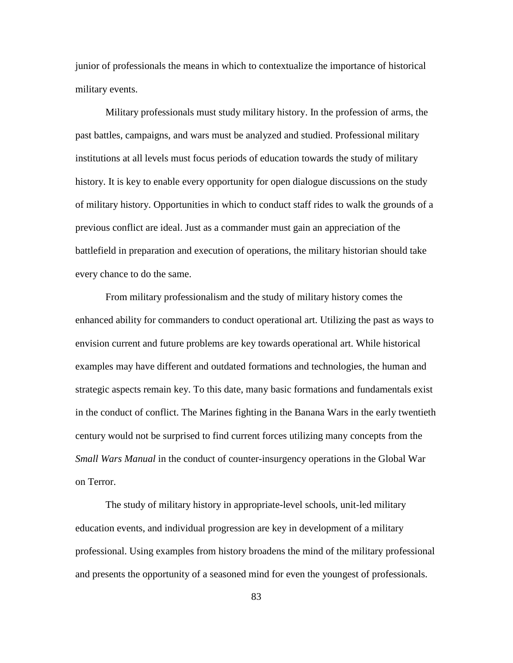junior of professionals the means in which to contextualize the importance of historical military events.

Military professionals must study military history. In the profession of arms, the past battles, campaigns, and wars must be analyzed and studied. Professional military institutions at all levels must focus periods of education towards the study of military history. It is key to enable every opportunity for open dialogue discussions on the study of military history. Opportunities in which to conduct staff rides to walk the grounds of a previous conflict are ideal. Just as a commander must gain an appreciation of the battlefield in preparation and execution of operations, the military historian should take every chance to do the same.

From military professionalism and the study of military history comes the enhanced ability for commanders to conduct operational art. Utilizing the past as ways to envision current and future problems are key towards operational art. While historical examples may have different and outdated formations and technologies, the human and strategic aspects remain key. To this date, many basic formations and fundamentals exist in the conduct of conflict. The Marines fighting in the Banana Wars in the early twentieth century would not be surprised to find current forces utilizing many concepts from the *Small Wars Manual* in the conduct of counter-insurgency operations in the Global War on Terror.

The study of military history in appropriate-level schools, unit-led military education events, and individual progression are key in development of a military professional. Using examples from history broadens the mind of the military professional and presents the opportunity of a seasoned mind for even the youngest of professionals.

83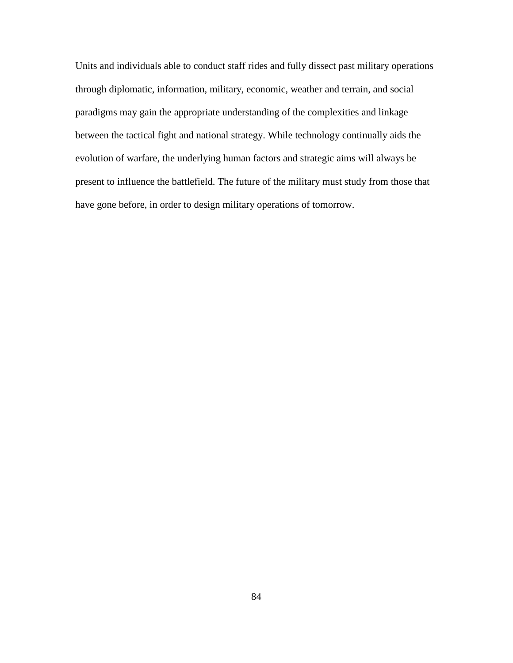Units and individuals able to conduct staff rides and fully dissect past military operations through diplomatic, information, military, economic, weather and terrain, and social paradigms may gain the appropriate understanding of the complexities and linkage between the tactical fight and national strategy. While technology continually aids the evolution of warfare, the underlying human factors and strategic aims will always be present to influence the battlefield. The future of the military must study from those that have gone before, in order to design military operations of tomorrow.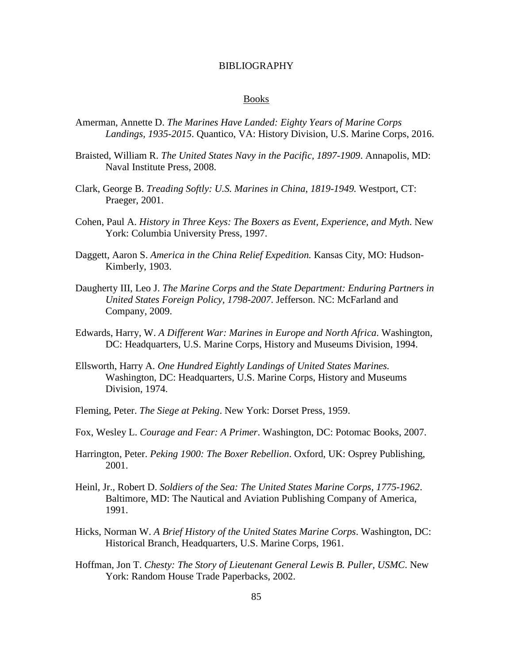## BIBLIOGRAPHY

#### Books

- Amerman, Annette D. *The Marines Have Landed: Eighty Years of Marine Corps Landings, 1935-2015*. Quantico, VA: History Division, U.S. Marine Corps, 2016.
- Braisted, William R. *The United States Navy in the Pacific, 1897-1909*. Annapolis, MD: Naval Institute Press, 2008.
- Clark, George B. *Treading Softly: U.S. Marines in China, 1819-1949.* Westport, CT: Praeger, 2001.
- Cohen, Paul A. *History in Three Keys: The Boxers as Event, Experience, and Myth*. New York: Columbia University Press, 1997.
- Daggett, Aaron S. *America in the China Relief Expedition.* Kansas City, MO: Hudson-Kimberly, 1903.
- Daugherty III, Leo J. *The Marine Corps and the State Department: Enduring Partners in United States Foreign Policy, 1798-2007*. Jefferson. NC: McFarland and Company, 2009.
- Edwards, Harry, W. *A Different War: Marines in Europe and North Africa*. Washington, DC: Headquarters, U.S. Marine Corps, History and Museums Division, 1994.
- Ellsworth, Harry A. *One Hundred Eightly Landings of United States Marines.* Washington, DC: Headquarters, U.S. Marine Corps, History and Museums Division, 1974.
- Fleming, Peter. *The Siege at Peking*. New York: Dorset Press, 1959.
- Fox, Wesley L. *Courage and Fear: A Primer*. Washington, DC: Potomac Books, 2007.
- Harrington, Peter. *Peking 1900: The Boxer Rebellion*. Oxford, UK: Osprey Publishing, 2001.
- Heinl, Jr., Robert D. *Soldiers of the Sea: The United States Marine Corps, 1775-1962*. Baltimore, MD: The Nautical and Aviation Publishing Company of America, 1991.
- Hicks, Norman W. *A Brief History of the United States Marine Corps*. Washington, DC: Historical Branch, Headquarters, U.S. Marine Corps, 1961.
- Hoffman, Jon T. *Chesty: The Story of Lieutenant General Lewis B. Puller, USMC*. New York: Random House Trade Paperbacks, 2002.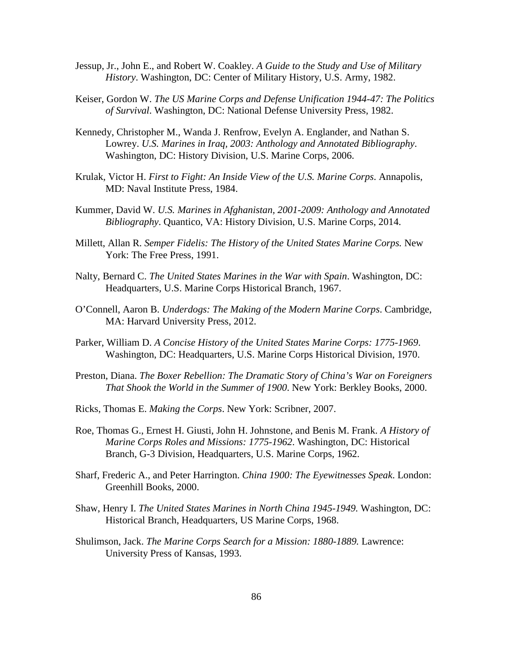- Jessup, Jr., John E., and Robert W. Coakley. *A Guide to the Study and Use of Military History*. Washington, DC: Center of Military History, U.S. Army, 1982.
- Keiser, Gordon W. *The US Marine Corps and Defense Unification 1944-47: The Politics of Survival*. Washington, DC: National Defense University Press, 1982.
- Kennedy, Christopher M., Wanda J. Renfrow, Evelyn A. Englander, and Nathan S. Lowrey. *U.S. Marines in Iraq, 2003: Anthology and Annotated Bibliography*. Washington, DC: History Division, U.S. Marine Corps, 2006.
- Krulak, Victor H. *First to Fight: An Inside View of the U.S. Marine Corps*. Annapolis, MD: Naval Institute Press, 1984.
- Kummer, David W. *U.S. Marines in Afghanistan, 2001-2009: Anthology and Annotated Bibliography*. Quantico, VA: History Division, U.S. Marine Corps, 2014.
- Millett, Allan R. *Semper Fidelis: The History of the United States Marine Corps.* New York: The Free Press, 1991.
- Nalty, Bernard C. *The United States Marines in the War with Spain*. Washington, DC: Headquarters, U.S. Marine Corps Historical Branch, 1967.
- O'Connell, Aaron B. *Underdogs: The Making of the Modern Marine Corps*. Cambridge, MA: Harvard University Press, 2012.
- Parker, William D. *A Concise History of the United States Marine Corps: 1775-1969*. Washington, DC: Headquarters, U.S. Marine Corps Historical Division, 1970.
- Preston, Diana. *The Boxer Rebellion: The Dramatic Story of China's War on Foreigners That Shook the World in the Summer of 1900*. New York: Berkley Books, 2000.
- Ricks, Thomas E. *Making the Corps*. New York: Scribner, 2007.
- Roe, Thomas G., Ernest H. Giusti, John H. Johnstone, and Benis M. Frank. *A History of Marine Corps Roles and Missions: 1775-1962*. Washington, DC: Historical Branch, G-3 Division, Headquarters, U.S. Marine Corps, 1962.
- Sharf, Frederic A., and Peter Harrington. *China 1900: The Eyewitnesses Speak*. London: Greenhill Books, 2000.
- Shaw, Henry I. *The United States Marines in North China 1945-1949.* Washington, DC: Historical Branch, Headquarters, US Marine Corps, 1968.
- Shulimson, Jack. *The Marine Corps Search for a Mission: 1880-1889.* Lawrence: University Press of Kansas, 1993.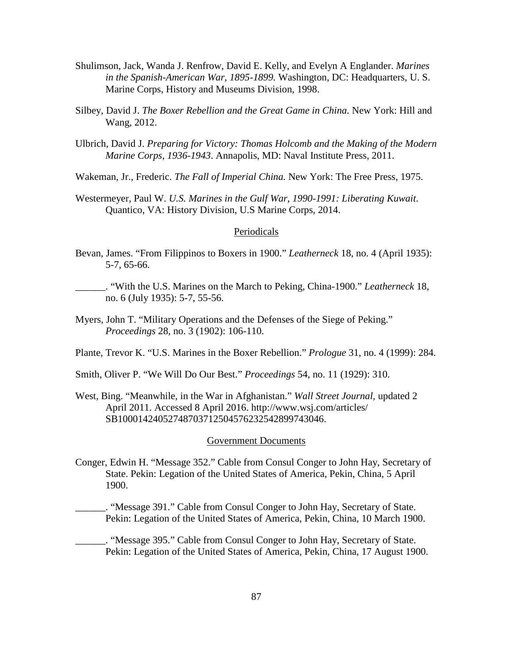- Shulimson, Jack, Wanda J. Renfrow, David E. Kelly, and Evelyn A Englander. *Marines in the Spanish-American War, 1895-1899.* Washington, DC: Headquarters, U. S. Marine Corps, History and Museums Division, 1998.
- Silbey, David J. *The Boxer Rebellion and the Great Game in China.* New York: Hill and Wang, 2012.
- Ulbrich, David J. *Preparing for Victory: Thomas Holcomb and the Making of the Modern Marine Corps, 1936-1943*. Annapolis, MD: Naval Institute Press, 2011.

Wakeman, Jr., Frederic. *The Fall of Imperial China.* New York: The Free Press, 1975.

Westermeyer, Paul W. *U.S. Marines in the Gulf War, 1990-1991: Liberating Kuwait*. Quantico, VA: History Division, U.S Marine Corps, 2014.

### Periodicals

- Bevan, James. "From Filippinos to Boxers in 1900." *Leatherneck* 18, no. 4 (April 1935): 5-7, 65-66.
- \_\_\_\_\_\_. "With the U.S. Marines on the March to Peking, China-1900." *Leatherneck* 18, no. 6 (July 1935): 5-7, 55-56.
- Myers, John T. "Military Operations and the Defenses of the Siege of Peking." *Proceedings* 28, no. 3 (1902): 106-110.

Plante, Trevor K. "U.S. Marines in the Boxer Rebellion." *Prologue* 31, no. 4 (1999): 284.

Smith, Oliver P. "We Will Do Our Best." *Proceedings* 54, no. 11 (1929): 310.

West, Bing. "Meanwhile, in the War in Afghanistan." *Wall Street Journal,* updated 2 April 2011. Accessed 8 April 2016. http://www.wsj.com/articles/ SB10001424052748703712504576232542899743046.

### Government Documents

Conger, Edwin H. "Message 352." Cable from Consul Conger to John Hay, Secretary of State. Pekin: Legation of the United States of America, Pekin, China, 5 April 1900.

\_\_\_\_\_\_. "Message 391." Cable from Consul Conger to John Hay, Secretary of State. Pekin: Legation of the United States of America, Pekin, China, 10 March 1900.

\_\_\_\_\_\_. "Message 395." Cable from Consul Conger to John Hay, Secretary of State. Pekin: Legation of the United States of America, Pekin, China, 17 August 1900.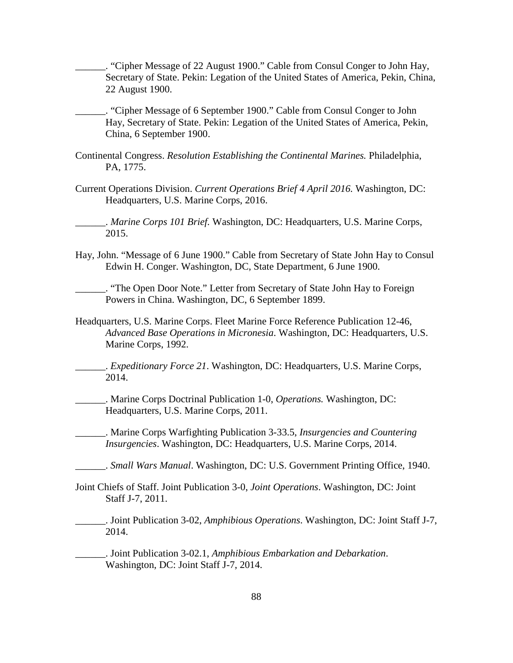\_\_\_\_\_\_. "Cipher Message of 22 August 1900." Cable from Consul Conger to John Hay, Secretary of State. Pekin: Legation of the United States of America, Pekin, China, 22 August 1900.

\_\_\_\_\_\_. "Cipher Message of 6 September 1900." Cable from Consul Conger to John Hay, Secretary of State. Pekin: Legation of the United States of America, Pekin, China, 6 September 1900.

- Continental Congress. *Resolution Establishing the Continental Marines.* Philadelphia, PA, 1775.
- Current Operations Division. *Current Operations Brief 4 April 2016.* Washington, DC: Headquarters, U.S. Marine Corps, 2016.

\_\_\_\_\_\_. *Marine Corps 101 Brief.* Washington, DC: Headquarters, U.S. Marine Corps, 2015.

Hay, John. "Message of 6 June 1900." Cable from Secretary of State John Hay to Consul Edwin H. Conger. Washington, DC, State Department, 6 June 1900.

\_\_\_\_\_\_. "The Open Door Note." Letter from Secretary of State John Hay to Foreign Powers in China. Washington, DC, 6 September 1899.

Headquarters, U.S. Marine Corps. Fleet Marine Force Reference Publication 12-46, *Advanced Base Operations in Micronesia*. Washington, DC: Headquarters, U.S. Marine Corps, 1992.

\_\_\_\_\_\_. *Expeditionary Force 21*. Washington, DC: Headquarters, U.S. Marine Corps, 2014.

\_\_\_\_\_\_. Marine Corps Doctrinal Publication 1-0, *Operations.* Washington, DC: Headquarters, U.S. Marine Corps, 2011.

\_\_\_\_\_\_. Marine Corps Warfighting Publication 3-33.5, *Insurgencies and Countering Insurgencies*. Washington, DC: Headquarters, U.S. Marine Corps, 2014.

\_\_\_\_\_\_. *Small Wars Manual*. Washington, DC: U.S. Government Printing Office, 1940.

Joint Chiefs of Staff. Joint Publication 3-0, *Joint Operations*. Washington, DC: Joint Staff J-7, 2011.

\_\_\_\_\_\_. Joint Publication 3-02, *Amphibious Operations*. Washington, DC: Joint Staff J-7, 2014.

\_\_\_\_\_\_. Joint Publication 3-02.1, *Amphibious Embarkation and Debarkation*. Washington, DC: Joint Staff J-7, 2014.